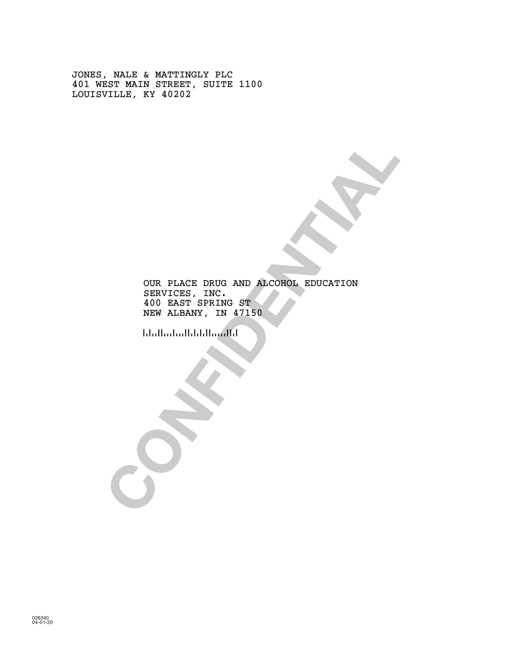JONES, NALE & MATTINGLY PLC 401 WEST MAIN STREET, SUITE 1100 LOUISVILLE, KY 40202

> OUR PLACE DRUG AND ALCOHOL EDUCATION<br>
> SERVICES, INC.<br>
> 400 EAST SPRING ST<br>
> NEW ALBANY, IN 47150<br>
> Hallmandalallandla OUR PLACE DRUG AND ALCOHOL EDUCATION SERVICES, INC. 400 EAST SPRING ST NEW ALBANY, IN 47150

!dolladmlhhhhhm**hl**d

026340 04-01-20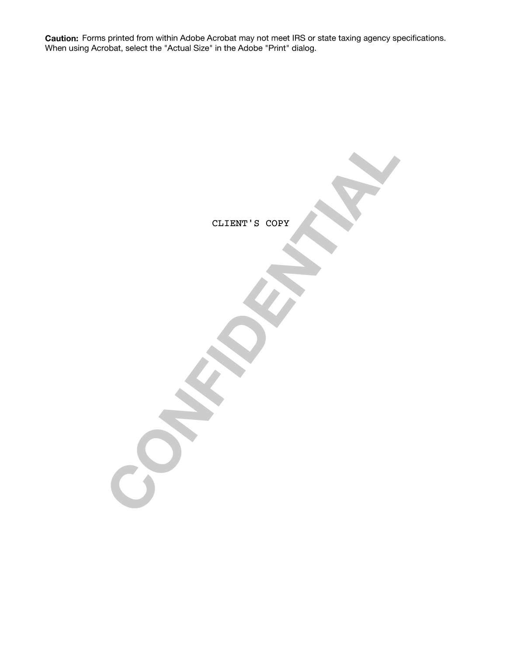**Caution:** Forms printed from within Adobe Acrobat may not meet IRS or state taxing agency specifications. When using Acrobat, select the "Actual Size" in the Adobe "Print" dialog.

> **CONFIDENCE** CLIENT'S COPY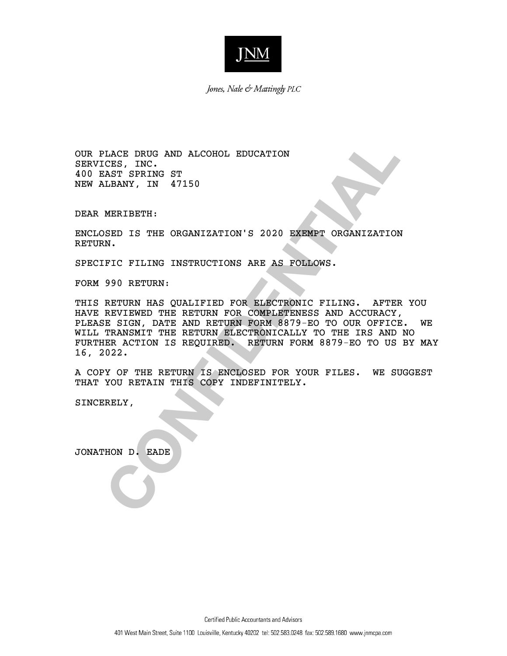

Jones, Nale & Mattingly PLC

OUR PLACE DRUG AND ALCOHOL EDUCATION SERVICES, INC. 400 EAST SPRING ST NEW ALBANY, IN 47150

DEAR MERIBETH:

ENCLOSED IS THE ORGANIZATION'S 2020 EXEMPT ORGANIZATION RETURN.

SPECIFIC FILING INSTRUCTIONS ARE AS FOLLOWS.

FORM 990 RETURN:

LACE DRUG AND ALCOHOL EDUCATION<br>CES, INC.<br>LEANY, IN 47150<br>MERIBETH:<br>LEANY, IN 47150<br>MERIBETH:<br>M.<br>TEC FILING INSTRUCTIONS ARE AS FOLLOWS.<br>PTC FILING INSTRUCTIONS ARE AS FOLLOWS.<br>RETURN HAS QUALIFIED FOR ELECTRONIC FILING. A THIS RETURN HAS QUALIFIED FOR ELECTRONIC FILING. AFTER YOU HAVE REVIEWED THE RETURN FOR COMPLETENESS AND ACCURACY, PLEASE SIGN, DATE AND RETURN FORM 8879-EO TO OUR OFFICE. WE WILL TRANSMIT THE RETURN ELECTRONICALLY TO THE IRS AND NO FURTHER ACTION IS REQUIRED. RETURN FORM 8879-EO TO US BY MAY 16, 2022.

A COPY OF THE RETURN IS ENCLOSED FOR YOUR FILES. WE SUGGEST THAT YOU RETAIN THIS COPY INDEFINITELY.

SINCERELY,

JONATHON D. EADE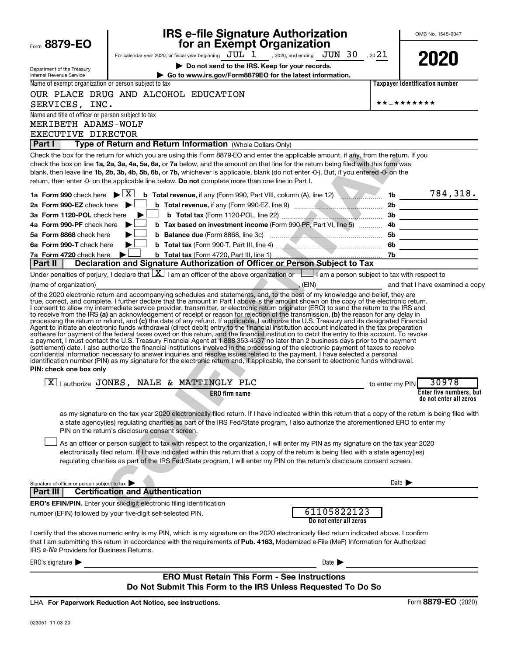| Form 8879-EO                                                               | <b>IRS e-file Signature Authorization</b><br>for an Exempt Organization                                                                                                                                                                                                                                                                                                                                                                                                                                                                                                                                                                                                                                                                                                                                                                                                                                                                                                                                                                                                                                                                                                                                                                                                                                                                                                                                                            |                            | OMB No. 1545-0047                                 |
|----------------------------------------------------------------------------|------------------------------------------------------------------------------------------------------------------------------------------------------------------------------------------------------------------------------------------------------------------------------------------------------------------------------------------------------------------------------------------------------------------------------------------------------------------------------------------------------------------------------------------------------------------------------------------------------------------------------------------------------------------------------------------------------------------------------------------------------------------------------------------------------------------------------------------------------------------------------------------------------------------------------------------------------------------------------------------------------------------------------------------------------------------------------------------------------------------------------------------------------------------------------------------------------------------------------------------------------------------------------------------------------------------------------------------------------------------------------------------------------------------------------------|----------------------------|---------------------------------------------------|
|                                                                            | For calendar year 2020, or fiscal year beginning $JUL$ $1$ , 2020, and ending $JUN$ $30$ , 20 $21$                                                                                                                                                                                                                                                                                                                                                                                                                                                                                                                                                                                                                                                                                                                                                                                                                                                                                                                                                                                                                                                                                                                                                                                                                                                                                                                                 |                            |                                                   |
|                                                                            | Do not send to the IRS. Keep for your records.                                                                                                                                                                                                                                                                                                                                                                                                                                                                                                                                                                                                                                                                                                                                                                                                                                                                                                                                                                                                                                                                                                                                                                                                                                                                                                                                                                                     |                            | 2020                                              |
| Department of the Treasury<br>Internal Revenue Service                     | Go to www.irs.gov/Form8879EO for the latest information.                                                                                                                                                                                                                                                                                                                                                                                                                                                                                                                                                                                                                                                                                                                                                                                                                                                                                                                                                                                                                                                                                                                                                                                                                                                                                                                                                                           |                            |                                                   |
| Name of exempt organization or person subject to tax                       |                                                                                                                                                                                                                                                                                                                                                                                                                                                                                                                                                                                                                                                                                                                                                                                                                                                                                                                                                                                                                                                                                                                                                                                                                                                                                                                                                                                                                                    |                            | Taxpayer identification number                    |
|                                                                            | OUR PLACE DRUG AND ALCOHOL EDUCATION                                                                                                                                                                                                                                                                                                                                                                                                                                                                                                                                                                                                                                                                                                                                                                                                                                                                                                                                                                                                                                                                                                                                                                                                                                                                                                                                                                                               |                            |                                                   |
| SERVICES, INC.                                                             |                                                                                                                                                                                                                                                                                                                                                                                                                                                                                                                                                                                                                                                                                                                                                                                                                                                                                                                                                                                                                                                                                                                                                                                                                                                                                                                                                                                                                                    |                            | * * _ * * * * * * *                               |
| Name and title of officer or person subject to tax                         |                                                                                                                                                                                                                                                                                                                                                                                                                                                                                                                                                                                                                                                                                                                                                                                                                                                                                                                                                                                                                                                                                                                                                                                                                                                                                                                                                                                                                                    |                            |                                                   |
| MERIBETH ADAMS-WOLF                                                        |                                                                                                                                                                                                                                                                                                                                                                                                                                                                                                                                                                                                                                                                                                                                                                                                                                                                                                                                                                                                                                                                                                                                                                                                                                                                                                                                                                                                                                    |                            |                                                   |
| EXECUTIVE DIRECTOR                                                         |                                                                                                                                                                                                                                                                                                                                                                                                                                                                                                                                                                                                                                                                                                                                                                                                                                                                                                                                                                                                                                                                                                                                                                                                                                                                                                                                                                                                                                    |                            |                                                   |
| Part I                                                                     | Type of Return and Return Information (Whole Dollars Only)                                                                                                                                                                                                                                                                                                                                                                                                                                                                                                                                                                                                                                                                                                                                                                                                                                                                                                                                                                                                                                                                                                                                                                                                                                                                                                                                                                         |                            |                                                   |
|                                                                            | Check the box for the return for which you are using this Form 8879-EO and enter the applicable amount, if any, from the return. If you<br>check the box on line 1a, 2a, 3a, 4a, 5a, 6a, or 7a below, and the amount on that line for the return being filed with this form was<br>blank, then leave line 1b, 2b, 3b, 4b, 5b, 6b, or 7b, whichever is applicable, blank (do not enter -0-). But, if you entered -0- on the<br>return, then enter -0- on the applicable line below. Do not complete more than one line in Part I.                                                                                                                                                                                                                                                                                                                                                                                                                                                                                                                                                                                                                                                                                                                                                                                                                                                                                                   |                            |                                                   |
| 1a Form 990 check here $\blacktriangleright \lfloor \underline{X} \rfloor$ | <b>b</b> Total revenue, if any (Form 990, Part VIII, column (A), line 12) <b>10</b> 10 10 20 18 4 318.                                                                                                                                                                                                                                                                                                                                                                                                                                                                                                                                                                                                                                                                                                                                                                                                                                                                                                                                                                                                                                                                                                                                                                                                                                                                                                                             |                            |                                                   |
| 2a Form 990-EZ check here $\blacktriangleright$                            |                                                                                                                                                                                                                                                                                                                                                                                                                                                                                                                                                                                                                                                                                                                                                                                                                                                                                                                                                                                                                                                                                                                                                                                                                                                                                                                                                                                                                                    |                            |                                                   |
| 3a Form 1120-POL check here                                                | ▶                                                                                                                                                                                                                                                                                                                                                                                                                                                                                                                                                                                                                                                                                                                                                                                                                                                                                                                                                                                                                                                                                                                                                                                                                                                                                                                                                                                                                                  | 3b                         | <u> 1990 - John Stone, amerikansk politiker</u>   |
| 4a Form 990-PF check here                                                  | b Tax based on investment income (Form 990-PF, Part VI, line 5) 4b                                                                                                                                                                                                                                                                                                                                                                                                                                                                                                                                                                                                                                                                                                                                                                                                                                                                                                                                                                                                                                                                                                                                                                                                                                                                                                                                                                 |                            |                                                   |
| 5a Form 8868 check here                                                    | ▶                                                                                                                                                                                                                                                                                                                                                                                                                                                                                                                                                                                                                                                                                                                                                                                                                                                                                                                                                                                                                                                                                                                                                                                                                                                                                                                                                                                                                                  |                            | <u> 1990 - John Stone, amerikansk politiker</u>   |
| 6a Form 990-T check here                                                   | b Total tax (Form 990-T, Part III, line 4) <b>Container the Contract of School</b> 6b<br>▶                                                                                                                                                                                                                                                                                                                                                                                                                                                                                                                                                                                                                                                                                                                                                                                                                                                                                                                                                                                                                                                                                                                                                                                                                                                                                                                                         |                            |                                                   |
| 7a Form 4720 check here<br>Part II                                         | ▶<br>Declaration and Signature Authorization of Officer or Person Subject to Tax                                                                                                                                                                                                                                                                                                                                                                                                                                                                                                                                                                                                                                                                                                                                                                                                                                                                                                                                                                                                                                                                                                                                                                                                                                                                                                                                                   |                            |                                                   |
|                                                                            | Under penalties of perjury, I declare that $\lfloor \frac{X}{1} \rfloor$ I am an officer of the above organization or $\lfloor \frac{1}{1} \rfloor$ am a person subject to tax with respect to                                                                                                                                                                                                                                                                                                                                                                                                                                                                                                                                                                                                                                                                                                                                                                                                                                                                                                                                                                                                                                                                                                                                                                                                                                     |                            |                                                   |
|                                                                            | (EIN) and that I have examined a copy and that I have examined a copy<br>(name of organization) example and the state of the state of the state of the state of the state of the state of the state of the state of the state of the state of the state of the state of the state of the state of the s                                                                                                                                                                                                                                                                                                                                                                                                                                                                                                                                                                                                                                                                                                                                                                                                                                                                                                                                                                                                                                                                                                                            |                            |                                                   |
| PIN: check one box only                                                    | true, correct, and complete. I further declare that the amount in Part I above is the amount shown on the copy of the electronic return.<br>I consent to allow my intermediate service provider, transmitter, or electronic return originator (ERO) to send the return to the IRS and<br>to receive from the IRS (a) an acknowledgement of receipt or reason for rejection of the transmission, (b) the reason for any delay in<br>processing the return or refund, and (c) the date of any refund. If applicable, I authorize the U.S. Treasury and its designated Financial<br>Agent to initiate an electronic funds withdrawal (direct debit) entry to the financial institution account indicated in the tax preparation<br>software for payment of the federal taxes owed on this return, and the financial institution to debit the entry to this account. To revoke<br>a payment, I must contact the U.S. Treasury Financial Agent at 1-888-353-4537 no later than 2 business days prior to the payment<br>(settlement) date. I also authorize the financial institutions involved in the processing of the electronic payment of taxes to receive<br>confidential information necessary to answer inquiries and resolve issues related to the payment. I have selected a personal<br>identification number (PIN) as my signature for the electronic return and, if applicable, the consent to electronic funds withdrawal. |                            |                                                   |
|                                                                            | $X$   authorize JONES, NALE & MATTINGLY PLC<br>to enter my PIN                                                                                                                                                                                                                                                                                                                                                                                                                                                                                                                                                                                                                                                                                                                                                                                                                                                                                                                                                                                                                                                                                                                                                                                                                                                                                                                                                                     |                            | 30978                                             |
|                                                                            | <b>ERO</b> firm name                                                                                                                                                                                                                                                                                                                                                                                                                                                                                                                                                                                                                                                                                                                                                                                                                                                                                                                                                                                                                                                                                                                                                                                                                                                                                                                                                                                                               |                            | Enter five numbers, but<br>do not enter all zeros |
|                                                                            | as my signature on the tax year 2020 electronically filed return. If I have indicated within this return that a copy of the return is being filed with<br>a state agency(ies) regulating charities as part of the IRS Fed/State program, I also authorize the aforementioned ERO to enter my<br>PIN on the return's disclosure consent screen.<br>As an officer or person subject to tax with respect to the organization, I will enter my PIN as my signature on the tax year 2020                                                                                                                                                                                                                                                                                                                                                                                                                                                                                                                                                                                                                                                                                                                                                                                                                                                                                                                                                |                            |                                                   |
|                                                                            | electronically filed return. If I have indicated within this return that a copy of the return is being filed with a state agency(ies)<br>regulating charities as part of the IRS Fed/State program, I will enter my PIN on the return's disclosure consent screen.                                                                                                                                                                                                                                                                                                                                                                                                                                                                                                                                                                                                                                                                                                                                                                                                                                                                                                                                                                                                                                                                                                                                                                 |                            |                                                   |
| Signature of officer or person subject to tax<br><b>Part III</b>           | <b>Certification and Authentication</b>                                                                                                                                                                                                                                                                                                                                                                                                                                                                                                                                                                                                                                                                                                                                                                                                                                                                                                                                                                                                                                                                                                                                                                                                                                                                                                                                                                                            | Date $\blacktriangleright$ |                                                   |
|                                                                            | <b>ERO's EFIN/PIN.</b> Enter your six-digit electronic filing identification                                                                                                                                                                                                                                                                                                                                                                                                                                                                                                                                                                                                                                                                                                                                                                                                                                                                                                                                                                                                                                                                                                                                                                                                                                                                                                                                                       |                            |                                                   |
|                                                                            | 61105822123<br>number (EFIN) followed by your five-digit self-selected PIN.<br>Do not enter all zeros                                                                                                                                                                                                                                                                                                                                                                                                                                                                                                                                                                                                                                                                                                                                                                                                                                                                                                                                                                                                                                                                                                                                                                                                                                                                                                                              |                            |                                                   |
| IRS e-file Providers for Business Returns.                                 | I certify that the above numeric entry is my PIN, which is my signature on the 2020 electronically filed return indicated above. I confirm<br>that I am submitting this return in accordance with the requirements of Pub. 4163, Modernized e-File (MeF) Information for Authorized                                                                                                                                                                                                                                                                                                                                                                                                                                                                                                                                                                                                                                                                                                                                                                                                                                                                                                                                                                                                                                                                                                                                                |                            |                                                   |
| ERO's signature $\blacktriangleright$                                      | Date $\blacktriangleright$                                                                                                                                                                                                                                                                                                                                                                                                                                                                                                                                                                                                                                                                                                                                                                                                                                                                                                                                                                                                                                                                                                                                                                                                                                                                                                                                                                                                         |                            |                                                   |
|                                                                            | <b>ERO Must Retain This Form - See Instructions</b><br>Do Not Submit This Form to the IRS Unless Requested To Do So                                                                                                                                                                                                                                                                                                                                                                                                                                                                                                                                                                                                                                                                                                                                                                                                                                                                                                                                                                                                                                                                                                                                                                                                                                                                                                                |                            |                                                   |

**For Paperwork Reduction Act Notice, see instructions.** LHA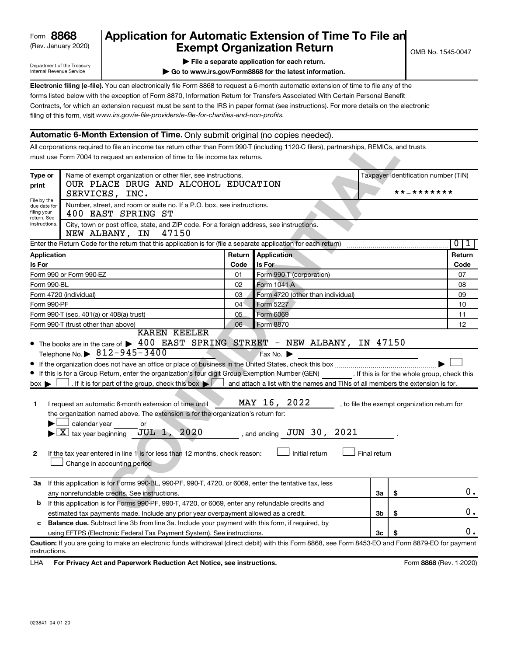# (Rev. January 2020) **Cxempt Organization Return** Manuary 2020) and the settern **Canadian Exempt Organization Return 8868 Application for Automatic Extension of Time To File an**

Department of the Treasury Internal Revenue Service

**| File a separate application for each return.**

**| Go to www.irs.gov/Form8868 for the latest information.**

**Electronic filing (e-file).** You can electronically file Form 8868 to request a 6-month automatic extension of time to file any of the filing of this form, visit www.irs.gov/e-file-providers/e-file-for-charities-and-non-profits. forms listed below with the exception of Form 8870, Information Return for Transfers Associated With Certain Personal Benefit Contracts, for which an extension request must be sent to the IRS in paper format (see instructions). For more details on the electronic

# **Automatic 6-Month Extension of Time.** Only submit original (no copies needed).

|                                                           | Automatic o-month Exteribion of Time. Only Submit Onginal (no copies heeded).                                                                                                                                                                                                                                                                                                                                                                                                                                         |                 |                                                                                                                                             |                                                             |                                              |              |  |  |  |
|-----------------------------------------------------------|-----------------------------------------------------------------------------------------------------------------------------------------------------------------------------------------------------------------------------------------------------------------------------------------------------------------------------------------------------------------------------------------------------------------------------------------------------------------------------------------------------------------------|-----------------|---------------------------------------------------------------------------------------------------------------------------------------------|-------------------------------------------------------------|----------------------------------------------|--------------|--|--|--|
|                                                           | All corporations required to file an income tax return other than Form 990-T (including 1120-C filers), partnerships, REMICs, and trusts                                                                                                                                                                                                                                                                                                                                                                              |                 |                                                                                                                                             |                                                             |                                              |              |  |  |  |
|                                                           | must use Form 7004 to request an extension of time to file income tax returns.                                                                                                                                                                                                                                                                                                                                                                                                                                        |                 |                                                                                                                                             |                                                             |                                              |              |  |  |  |
| Type or<br>print                                          | Name of exempt organization or other filer, see instructions.<br>OUR PLACE DRUG AND ALCOHOL EDUCATION<br>SERVICES, INC.                                                                                                                                                                                                                                                                                                                                                                                               |                 |                                                                                                                                             | Taxpayer identification number (TIN)<br>* * _ * * * * * * * |                                              |              |  |  |  |
| File by the<br>due date for<br>filing your<br>return. See | Number, street, and room or suite no. If a P.O. box, see instructions.<br>400 EAST SPRING ST                                                                                                                                                                                                                                                                                                                                                                                                                          |                 |                                                                                                                                             |                                                             |                                              |              |  |  |  |
| instructions.                                             | City, town or post office, state, and ZIP code. For a foreign address, see instructions.<br>NEW ALBANY, IN<br>47150                                                                                                                                                                                                                                                                                                                                                                                                   |                 |                                                                                                                                             |                                                             |                                              |              |  |  |  |
|                                                           | Enter the Return Code for the return that this application is for (file a separate application for each return)                                                                                                                                                                                                                                                                                                                                                                                                       |                 |                                                                                                                                             |                                                             |                                              | 0<br>$\perp$ |  |  |  |
| Application                                               |                                                                                                                                                                                                                                                                                                                                                                                                                                                                                                                       | Return          | Application                                                                                                                                 |                                                             |                                              | Return       |  |  |  |
| Is For                                                    |                                                                                                                                                                                                                                                                                                                                                                                                                                                                                                                       | Code            | Is For                                                                                                                                      |                                                             |                                              | Code         |  |  |  |
|                                                           | Form 990 or Form 990-EZ                                                                                                                                                                                                                                                                                                                                                                                                                                                                                               | 01              | Form 990-T (corporation)                                                                                                                    |                                                             |                                              | 07           |  |  |  |
| Form 990-BL                                               |                                                                                                                                                                                                                                                                                                                                                                                                                                                                                                                       | 02              | Form 1041-A                                                                                                                                 |                                                             |                                              | 08           |  |  |  |
|                                                           | Form 4720 (individual)                                                                                                                                                                                                                                                                                                                                                                                                                                                                                                | 03              | Form 4720 (other than individual)                                                                                                           |                                                             |                                              | 09           |  |  |  |
| Form 990-PF                                               |                                                                                                                                                                                                                                                                                                                                                                                                                                                                                                                       | 04 <sup>4</sup> | Form 5227                                                                                                                                   |                                                             |                                              | 10           |  |  |  |
|                                                           | Form 990-T (sec. 401(a) or 408(a) trust)                                                                                                                                                                                                                                                                                                                                                                                                                                                                              | 05              | Form 6069                                                                                                                                   |                                                             |                                              | 11           |  |  |  |
|                                                           | Form 990-T (trust other than above)<br><b>KAREN KEELER</b>                                                                                                                                                                                                                                                                                                                                                                                                                                                            | 06              | Form 8870                                                                                                                                   |                                                             |                                              | 12           |  |  |  |
| $box \blacktriangleright$<br>1                            | Telephone No. $\triangleright$ 812-945-3400<br>If this is for a Group Return, enter the organization's four digit Group Exemption Number (GEN) [If this is for the whole group, check this<br>. If it is for part of the group, check this box $\blacktriangleright$<br>I request an automatic 6-month extension of time until<br>the organization named above. The extension is for the organization's return for:<br>calendar year<br>or<br>$\blacktriangleright$ $\boxed{\text{X}}$ tax year beginning JUL 1, 2020 |                 | Fax No.<br>and attach a list with the names and TINs of all members the extension is for.<br>MAY 16, 2022<br>, and ending $JUN 30$ , $2021$ |                                                             | , to file the exempt organization return for |              |  |  |  |
| 2                                                         | Initial return<br>Final return<br>If the tax year entered in line 1 is for less than 12 months, check reason:<br>Change in accounting period                                                                                                                                                                                                                                                                                                                                                                          |                 |                                                                                                                                             |                                                             |                                              |              |  |  |  |
| За                                                        | If this application is for Forms 990-BL, 990-PF, 990-T, 4720, or 6069, enter the tentative tax, less                                                                                                                                                                                                                                                                                                                                                                                                                  |                 |                                                                                                                                             |                                                             |                                              |              |  |  |  |
|                                                           | any nonrefundable credits. See instructions.                                                                                                                                                                                                                                                                                                                                                                                                                                                                          | За              | \$                                                                                                                                          | 0.                                                          |                                              |              |  |  |  |
| b                                                         | If this application is for Forms 990-PF, 990-T, 4720, or 6069, enter any refundable credits and                                                                                                                                                                                                                                                                                                                                                                                                                       |                 |                                                                                                                                             |                                                             |                                              |              |  |  |  |
|                                                           | estimated tax payments made. Include any prior year overpayment allowed as a credit.                                                                                                                                                                                                                                                                                                                                                                                                                                  |                 |                                                                                                                                             | 3b                                                          | \$                                           | 0.           |  |  |  |
| c                                                         | <b>Balance due.</b> Subtract line 3b from line 3a. Include your payment with this form, if required, by                                                                                                                                                                                                                                                                                                                                                                                                               |                 |                                                                                                                                             |                                                             |                                              |              |  |  |  |
|                                                           | using EFTPS (Electronic Federal Tax Payment System). See instructions.                                                                                                                                                                                                                                                                                                                                                                                                                                                |                 |                                                                                                                                             | Зc                                                          |                                              | О.           |  |  |  |
| instructions.                                             | Caution: If you are going to make an electronic funds withdrawal (direct debit) with this Form 8868, see Form 8453-EO and Form 8879-EO for payment                                                                                                                                                                                                                                                                                                                                                                    |                 |                                                                                                                                             |                                                             |                                              |              |  |  |  |
|                                                           |                                                                                                                                                                                                                                                                                                                                                                                                                                                                                                                       |                 |                                                                                                                                             |                                                             |                                              |              |  |  |  |

LHA For Privacy Act and Paperwork Reduction Act Notice, see instructions. **8868** CREV. 1-2020)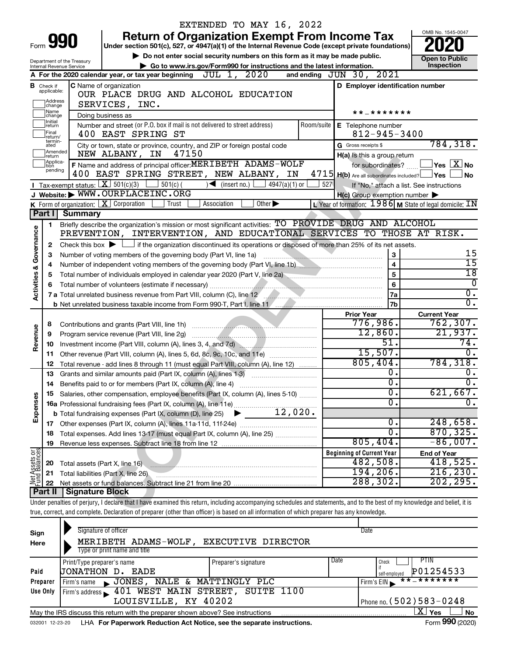|                         |                   |                                                        |                                                                                                                                                                            | EXTENDED TO MAY 16, 2022                                                    |                 |                                                       |                         |                                                         |
|-------------------------|-------------------|--------------------------------------------------------|----------------------------------------------------------------------------------------------------------------------------------------------------------------------------|-----------------------------------------------------------------------------|-----------------|-------------------------------------------------------|-------------------------|---------------------------------------------------------|
|                         |                   |                                                        |                                                                                                                                                                            | <b>Return of Organization Exempt From Income Tax</b>                        |                 |                                                       |                         | OMB No. 1545-0047                                       |
|                         |                   | 990                                                    | Under section 501(c), 527, or 4947(a)(1) of the Internal Revenue Code (except private foundations)                                                                         |                                                                             |                 |                                                       |                         |                                                         |
|                         |                   |                                                        |                                                                                                                                                                            | Do not enter social security numbers on this form as it may be made public. |                 |                                                       |                         | <b>Open to Public</b>                                   |
|                         |                   | Department of the Treasury<br>Internal Revenue Service |                                                                                                                                                                            | Go to www.irs.gov/Form990 for instructions and the latest information.      |                 |                                                       |                         | Inspection                                              |
|                         |                   |                                                        | A For the 2020 calendar year, or tax year beginning $JUL$ 1, $2020$                                                                                                        |                                                                             |                 | and ending $JUN$ 30, $2021$                           |                         |                                                         |
|                         | <b>B</b> Check if |                                                        | <b>C</b> Name of organization                                                                                                                                              |                                                                             |                 | D Employer identification number                      |                         |                                                         |
|                         | applicable:       |                                                        | OUR PLACE DRUG AND ALCOHOL EDUCATION                                                                                                                                       |                                                                             |                 |                                                       |                         |                                                         |
|                         | Address<br>change |                                                        | SERVICES, INC.                                                                                                                                                             |                                                                             |                 |                                                       |                         |                                                         |
|                         | Name<br>change    |                                                        | Doing business as                                                                                                                                                          |                                                                             |                 | * * _ * * * * * * *                                   |                         |                                                         |
|                         | Initial<br>return |                                                        | Number and street (or P.O. box if mail is not delivered to street address)                                                                                                 |                                                                             | Room/suite      | E Telephone number                                    |                         |                                                         |
|                         | Final<br>return/  |                                                        | 400 EAST SPRING ST                                                                                                                                                         |                                                                             |                 | $812 - 945 - 3400$                                    |                         |                                                         |
|                         | termin-<br>ated   |                                                        | City or town, state or province, country, and ZIP or foreign postal code                                                                                                   |                                                                             |                 | G Gross receipts \$                                   |                         | 784, 318.                                               |
|                         | Amended<br>return |                                                        | 47150<br>NEW ALBANY, IN                                                                                                                                                    |                                                                             |                 | H(a) is this a group return                           |                         |                                                         |
|                         | Applica-<br>tion  |                                                        | F Name and address of principal officer: MERIBETH ADAMS-WOLF                                                                                                               |                                                                             |                 | for subordinates?                                     |                         | $\sqrt{}$ Yes $\sqrt{ \ \overline{\text{X}}}$ No        |
|                         | pending           |                                                        | 400 EAST SPRING STREET, NEW ALBANY, IN                                                                                                                                     |                                                                             |                 | $4715$ H(b) Are all subordinates included? $\Box$ Yes |                         | No                                                      |
|                         |                   |                                                        | Tax-exempt status: $X \overline{X}$ 501(c)(3) 501(c)(                                                                                                                      | $\sqrt{\bullet}$ (insert no.)  <br>4947(a)(1) or                            | 527             |                                                       |                         | If "No," attach a list. See instructions                |
|                         |                   |                                                        | J Website: WWW.OURPLACEINC.ORG                                                                                                                                             |                                                                             |                 | $H(c)$ Group exemption number $\blacktriangleright$   |                         |                                                         |
|                         |                   |                                                        | K Form of organization: $X$ Corporation<br>Trust                                                                                                                           | Other $\blacktriangleright$<br>Association                                  |                 |                                                       |                         | L Year of formation: 1986 M State of legal domicile: IN |
|                         | Part I            | Summary                                                |                                                                                                                                                                            |                                                                             |                 |                                                       |                         |                                                         |
|                         | 1.                |                                                        | Briefly describe the organization's mission or most significant activities: TO PROVIDE DRUG AND ALCOHOL                                                                    |                                                                             |                 |                                                       |                         |                                                         |
| Governance              |                   |                                                        | PREVENTION, INTERVENTION, AND EDUCATIONAL SERVICES TO THOSE AT RISK.                                                                                                       |                                                                             |                 |                                                       |                         |                                                         |
|                         | 2                 |                                                        | Check this box $\blacktriangleright$ $\Box$ if the organization discontinued its operations or disposed of more than 25% of its net assets.                                |                                                                             |                 |                                                       |                         |                                                         |
|                         | 3                 |                                                        | Number of voting members of the governing body (Part VI, line 1a)                                                                                                          |                                                                             |                 |                                                       | $\mathbf{3}$            | 15                                                      |
|                         | 4                 |                                                        | Number of independent voting members of the governing body (Part VI, line 1b)                                                                                              |                                                                             |                 |                                                       | $\overline{\mathbf{4}}$ | $\overline{15}$                                         |
|                         | 5                 |                                                        |                                                                                                                                                                            | $\overline{5}$                                                              | $\overline{18}$ |                                                       |                         |                                                         |
| <b>Activities &amp;</b> | 6                 |                                                        |                                                                                                                                                                            |                                                                             |                 |                                                       | $6\phantom{a}$          | 0                                                       |
|                         |                   |                                                        |                                                                                                                                                                            |                                                                             |                 |                                                       | 7a                      | σ.                                                      |
|                         |                   |                                                        |                                                                                                                                                                            |                                                                             |                 |                                                       | 7 <sub>b</sub>          | σ.                                                      |
|                         |                   |                                                        |                                                                                                                                                                            |                                                                             |                 | <b>Prior Year</b>                                     |                         | <b>Current Year</b>                                     |
|                         | 8                 |                                                        |                                                                                                                                                                            |                                                                             |                 | 776,986.                                              |                         | 762, 307.                                               |
| Revenue                 | 9                 |                                                        | Program service revenue (Part VIII, line 2g)                                                                                                                               |                                                                             |                 | 12,860.                                               |                         | 21,937.                                                 |
|                         | 10                |                                                        | Investment income (Part VIII, column (A), lines 3, 4, and 7d)                                                                                                              |                                                                             |                 |                                                       | 51.                     | 74.                                                     |
|                         | 11                |                                                        |                                                                                                                                                                            |                                                                             |                 | 15,507.                                               |                         | 0.                                                      |
|                         | 12                |                                                        | Total revenue - add lines 8 through 11 (must equal Part VIII, column (A), line 12)                                                                                         |                                                                             |                 | 805, 404.                                             |                         | 784,318.                                                |
|                         | 13                |                                                        | Grants and similar amounts paid (Part IX, column (A), lines 1-3)                                                                                                           |                                                                             |                 |                                                       | 0.                      | о.                                                      |
|                         |                   |                                                        | 14 Benefits paid to or for members (Part IX, column (A), line 4)                                                                                                           |                                                                             |                 |                                                       | $\overline{0}$ .        | Ο.                                                      |
|                         |                   |                                                        | 15 Salaries, other compensation, employee benefits (Part IX, column (A), lines 5-10)                                                                                       |                                                                             |                 |                                                       | $\overline{0}$ .        | 621,667.                                                |
| Expenses                |                   |                                                        | 15 Salaries, other components,<br>16a Professional fundraising fees (Part IX, column (A), line 11e)<br>23, 020.                                                            |                                                                             |                 |                                                       | $\overline{0}$ .        | $\overline{0}$ .                                        |
|                         |                   |                                                        |                                                                                                                                                                            |                                                                             |                 |                                                       |                         |                                                         |
|                         |                   |                                                        |                                                                                                                                                                            |                                                                             |                 |                                                       | 0.                      | 248,658.                                                |
|                         | 18                |                                                        | Total expenses. Add lines 13-17 (must equal Part IX, column (A), line 25)                                                                                                  |                                                                             |                 |                                                       | $\overline{0}$ .        | 870, 325.                                               |
|                         | 19                |                                                        |                                                                                                                                                                            |                                                                             |                 | 805,404.                                              |                         | $-86,007.$                                              |
|                         |                   |                                                        |                                                                                                                                                                            |                                                                             |                 | <b>Beginning of Current Year</b>                      |                         | <b>End of Year</b>                                      |
| Net Assets or           | 20                |                                                        | Total assets (Part X, line 16)                                                                                                                                             |                                                                             |                 | 482,508.                                              |                         | 418,525.                                                |
|                         | 21                |                                                        | Total liabilities (Part X, line 26).                                                                                                                                       |                                                                             |                 | 194, 206.                                             |                         | 216, 230.                                               |
|                         | 22                |                                                        |                                                                                                                                                                            |                                                                             |                 | 288, 302.                                             |                         | 202, 295.                                               |
|                         | Part II           | <b>Signature Block</b>                                 |                                                                                                                                                                            |                                                                             |                 |                                                       |                         |                                                         |
|                         |                   |                                                        | Under penalties of perjury, I declare that I have examined this return, including accompanying schedules and statements, and to the best of my knowledge and belief, it is |                                                                             |                 |                                                       |                         |                                                         |
|                         |                   |                                                        | true, correct, and complete. Declaration of preparer (other than officer) is based on all information of which preparer has any knowledge.                                 |                                                                             |                 |                                                       |                         |                                                         |
|                         |                   |                                                        |                                                                                                                                                                            |                                                                             |                 |                                                       |                         |                                                         |
| Sign                    |                   |                                                        | Signature of officer                                                                                                                                                       |                                                                             |                 | Date                                                  |                         |                                                         |
| Here                    |                   |                                                        | MERIBETH ADAMS-WOLF, EXECUTIVE DIRECTOR                                                                                                                                    |                                                                             |                 |                                                       |                         |                                                         |
|                         |                   |                                                        | Type or print name and title                                                                                                                                               |                                                                             |                 |                                                       |                         |                                                         |
|                         |                   | Print/Type preparer's name                             |                                                                                                                                                                            | Preparer's signature                                                        |                 | Date                                                  | Check                   | PTIN                                                    |
| <b>Paid</b>             |                   |                                                        | חמב ח החמדים המחד                                                                                                                                                          |                                                                             |                 | if                                                    |                         | P01254533                                               |

|                                                                                                          | Print/Type preparer's name                      | Preparer's signature         | Dale | PHN<br>Check                         |  |  |  |
|----------------------------------------------------------------------------------------------------------|-------------------------------------------------|------------------------------|------|--------------------------------------|--|--|--|
| Paid                                                                                                     | <b>JONATHON D. EADE</b>                         |                              |      | P01254533<br>self-emploved           |  |  |  |
| Preparer                                                                                                 | JONES, NALE & MATTINGLY PLC<br>Firm's name      |                              |      | ** <del>_*******</del><br>Firm's EIN |  |  |  |
| Use Only                                                                                                 | Firm's address 101 WEST MAIN STREET, SUITE 1100 |                              |      |                                      |  |  |  |
|                                                                                                          | LOUISVILLE, KY 40202                            | I Phone no. $(502)$ 583-0248 |      |                                      |  |  |  |
| x<br>Yes<br><b>No</b><br>May the IRS discuss this return with the preparer shown above? See instructions |                                                 |                              |      |                                      |  |  |  |

032001 12-23-20 LHA **For Paperwork Reduction Act Notice, see the separate instructions.** Form 990 (2020)

**990**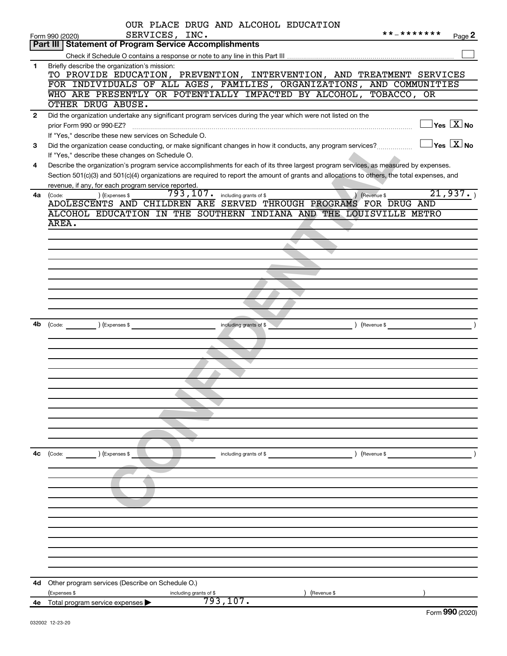|                      | OUR PLACE DRUG AND ALCOHOL EDUCATION                                                                                                         |         |
|----------------------|----------------------------------------------------------------------------------------------------------------------------------------------|---------|
|                      | * * _ * * * * * * *<br>SERVICES, INC.<br>Form 990 (2020)                                                                                     | Page 2  |
|                      | <b>Part III   Statement of Program Service Accomplishments</b>                                                                               |         |
|                      |                                                                                                                                              |         |
| $\blacktriangleleft$ | Briefly describe the organization's mission:<br>TO PROVIDE EDUCATION, PREVENTION, INTERVENTION, AND TREATMENT SERVICES                       |         |
|                      | FOR INDIVIDUALS OF ALL AGES, FAMILIES, ORGANIZATIONS, AND COMMUNITIES                                                                        |         |
|                      | WHO ARE PRESENTLY OR POTENTIALLY IMPACTED BY ALCOHOL, TOBACCO, OR                                                                            |         |
|                      | OTHER DRUG ABUSE.                                                                                                                            |         |
| $\overline{2}$       | Did the organization undertake any significant program services during the year which were not listed on the                                 |         |
|                      | $\Box$ Yes $[\overline{\mathrm{X}}]$ No                                                                                                      |         |
|                      | If "Yes," describe these new services on Schedule O.                                                                                         |         |
| 3                    | $\Box$ Yes $\Box X$ No<br>Did the organization cease conducting, or make significant changes in how it conducts, any program services?       |         |
|                      | If "Yes," describe these changes on Schedule O.                                                                                              |         |
| 4                    | Describe the organization's program service accomplishments for each of its three largest program services, as measured by expenses.         |         |
|                      | Section 501(c)(3) and 501(c)(4) organizations are required to report the amount of grants and allocations to others, the total expenses, and |         |
|                      | revenue, if any, for each program service reported.                                                                                          |         |
|                      | 793, 107. including grants of \$<br>) (Expenses \$<br>(Revenue \$<br>4a (Code:                                                               | 21,937. |
|                      | ADOLESCENTS AND CHILDREN ARE SERVED THROUGH PROGRAMS FOR DRUG AND                                                                            |         |
|                      | ALCOHOL EDUCATION IN THE SOUTHERN INDIANA AND THE LOUISVILLE METRO                                                                           |         |
|                      | AREA.                                                                                                                                        |         |
|                      |                                                                                                                                              |         |
|                      |                                                                                                                                              |         |
|                      |                                                                                                                                              |         |
|                      |                                                                                                                                              |         |
|                      |                                                                                                                                              |         |
|                      |                                                                                                                                              |         |
|                      |                                                                                                                                              |         |
|                      |                                                                                                                                              |         |
| 4b                   | (Code: ) (Expenses \$<br>including grants of \$<br>$\left($ Revenue \$                                                                       |         |
|                      |                                                                                                                                              |         |
|                      |                                                                                                                                              |         |
|                      |                                                                                                                                              |         |
|                      |                                                                                                                                              |         |
|                      |                                                                                                                                              |         |
|                      |                                                                                                                                              |         |
|                      |                                                                                                                                              |         |
|                      |                                                                                                                                              |         |
|                      |                                                                                                                                              |         |
|                      |                                                                                                                                              |         |
|                      |                                                                                                                                              |         |
| 4c                   | (Code: ) (Expenses \$<br>(Revenue \$                                                                                                         |         |
|                      | including grants of $$$                                                                                                                      |         |
|                      |                                                                                                                                              |         |
|                      |                                                                                                                                              |         |
|                      |                                                                                                                                              |         |
|                      |                                                                                                                                              |         |
|                      |                                                                                                                                              |         |
|                      |                                                                                                                                              |         |
|                      |                                                                                                                                              |         |
|                      |                                                                                                                                              |         |
|                      |                                                                                                                                              |         |
|                      |                                                                                                                                              |         |
|                      |                                                                                                                                              |         |
|                      | 4d Other program services (Describe on Schedule O.)                                                                                          |         |
|                      | (Expenses \$<br>(Revenue \$<br>including grants of \$<br>793,107.                                                                            |         |
|                      | 4e Total program service expenses ><br><b>000</b>                                                                                            |         |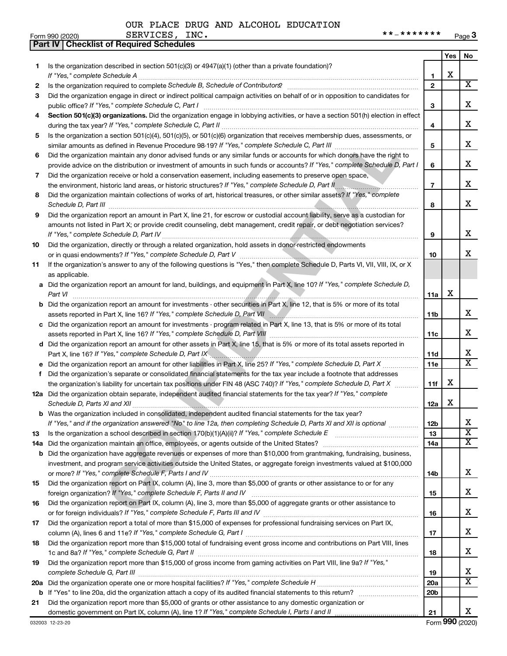**Part IV Checklist of Required Schedules**

|     |                                                                                                                                         |                 | Yes | No                      |
|-----|-----------------------------------------------------------------------------------------------------------------------------------------|-----------------|-----|-------------------------|
| 1.  | Is the organization described in section 501(c)(3) or 4947(a)(1) (other than a private foundation)?                                     |                 |     |                         |
|     | If "Yes," complete Schedule A                                                                                                           | 1               | х   |                         |
| 2   |                                                                                                                                         | $\mathbf{2}$    |     | $\overline{\mathbf{X}}$ |
| 3   | Did the organization engage in direct or indirect political campaign activities on behalf of or in opposition to candidates for         |                 |     |                         |
|     | public office? If "Yes," complete Schedule C, Part I                                                                                    | 3               |     | x                       |
| 4   | Section 501(c)(3) organizations. Did the organization engage in lobbying activities, or have a section 501(h) election in effect        | 4               |     | x                       |
| 5   | Is the organization a section 501(c)(4), 501(c)(5), or 501(c)(6) organization that receives membership dues, assessments, or            |                 |     |                         |
|     |                                                                                                                                         | 5               |     | x                       |
| 6   | Did the organization maintain any donor advised funds or any similar funds or accounts for which donors have the right to               |                 |     |                         |
|     | provide advice on the distribution or investment of amounts in such funds or accounts? If "Yes," complete Schedule D, Part I            | 6               |     | x                       |
| 7   | Did the organization receive or hold a conservation easement, including easements to preserve open space,                               |                 |     |                         |
|     |                                                                                                                                         | $\overline{7}$  |     | x                       |
| 8   | Did the organization maintain collections of works of art, historical treasures, or other similar assets? If "Yes," complete            |                 |     |                         |
|     | Schedule D, Part III                                                                                                                    | 8               |     | x                       |
| 9   | Did the organization report an amount in Part X, line 21, for escrow or custodial account liability, serve as a custodian for           |                 |     |                         |
|     | amounts not listed in Part X; or provide credit counseling, debt management, credit repair, or debt negotiation services?               |                 |     |                         |
|     |                                                                                                                                         | 9               |     | x                       |
| 10  | Did the organization, directly or through a related organization, hold assets in donor-restricted endowments                            |                 |     |                         |
|     |                                                                                                                                         | 10              |     | x                       |
| 11  | If the organization's answer to any of the following questions is "Yes," then complete Schedule D, Parts VI, VII, VIII, IX, or X        |                 |     |                         |
|     | as applicable.                                                                                                                          |                 |     |                         |
|     | a Did the organization report an amount for land, buildings, and equipment in Part X, line 10? If "Yes," complete Schedule D,           |                 | X   |                         |
|     | Part VI<br>Did the organization report an amount for investments - other securities in Part X, line 12, that is 5% or more of its total | 11a             |     |                         |
| b   | assets reported in Part X, line 16? If "Yes," complete Schedule D, Part VII <b>Communisties</b> reported in Part X, line                | 11b             |     | x                       |
|     | c Did the organization report an amount for investments - program related in Part X, line 13, that is 5% or more of its total           |                 |     |                         |
|     |                                                                                                                                         | 11c             |     | х                       |
|     | d Did the organization report an amount for other assets in Part X, line 15, that is 5% or more of its total assets reported in         |                 |     |                         |
|     |                                                                                                                                         | 11d             |     | x                       |
| е   | Did the organization report an amount for other liabilities in Part X, line 25? If "Yes," complete Schedule D, Part X manu-             | 11e             |     | $\overline{\mathtt{x}}$ |
| f   | Did the organization's separate or consolidated financial statements for the tax year include a footnote that addresses                 |                 |     |                         |
|     | the organization's liability for uncertain tax positions under FIN 48 (ASC 740)? If "Yes," complete Schedule D, Part X                  | 11f             | X   |                         |
|     | 12a Did the organization obtain separate, independent audited financial statements for the tax year? If "Yes," complete                 |                 |     |                         |
|     |                                                                                                                                         | 12a             | х   |                         |
|     | <b>b</b> Was the organization included in consolidated, independent audited financial statements for the tax year?                      |                 |     |                         |
|     | If "Yes," and if the organization answered "No" to line 12a, then completing Schedule D, Parts XI and XII is optional                   | 12 <sub>b</sub> |     | х                       |
| 13  |                                                                                                                                         | 13              |     | $\overline{\textbf{X}}$ |
| 14a |                                                                                                                                         | 14a             |     | $\overline{\mathbf{X}}$ |
| b   | Did the organization have aggregate revenues or expenses of more than \$10,000 from grantmaking, fundraising, business,                 |                 |     |                         |
|     | investment, and program service activities outside the United States, or aggregate foreign investments valued at \$100,000              |                 |     |                         |
|     |                                                                                                                                         | 14b             |     | x                       |
| 15  | Did the organization report on Part IX, column (A), line 3, more than \$5,000 of grants or other assistance to or for any               |                 |     | x                       |
| 16  | Did the organization report on Part IX, column (A), line 3, more than \$5,000 of aggregate grants or other assistance to                | 15              |     |                         |
|     |                                                                                                                                         | 16              |     | x                       |
| 17  | Did the organization report a total of more than \$15,000 of expenses for professional fundraising services on Part IX,                 |                 |     |                         |
|     |                                                                                                                                         | 17              |     | x                       |
| 18  | Did the organization report more than \$15,000 total of fundraising event gross income and contributions on Part VIII, lines            |                 |     |                         |
|     |                                                                                                                                         | 18              |     | x                       |
| 19  | Did the organization report more than \$15,000 of gross income from gaming activities on Part VIII, line 9a? If "Yes,"                  |                 |     |                         |
|     |                                                                                                                                         | 19              |     | x                       |
| 20a |                                                                                                                                         | <b>20a</b>      |     | $\overline{\mathtt{x}}$ |
| b   |                                                                                                                                         | 20 <sub>b</sub> |     |                         |
| 21  | Did the organization report more than \$5,000 of grants or other assistance to any domestic organization or                             |                 |     |                         |
|     |                                                                                                                                         | 21              |     | x                       |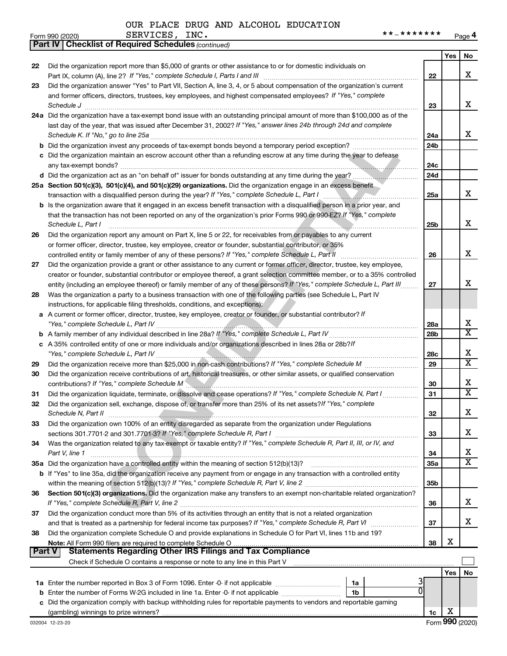| Form 990 (2020) | INC.<br><b>SERVICES</b> | **_*******<br>$P_{\text{aqe}}$ 4 |
|-----------------|-------------------------|----------------------------------|
|-----------------|-------------------------|----------------------------------|

|        | <b>Part IV   Checklist of Required Schedules (continued)</b>                                                                                                                           |                 |     |                         |
|--------|----------------------------------------------------------------------------------------------------------------------------------------------------------------------------------------|-----------------|-----|-------------------------|
|        |                                                                                                                                                                                        |                 | Yes | No                      |
| 22     | Did the organization report more than \$5,000 of grants or other assistance to or for domestic individuals on                                                                          |                 |     |                         |
|        |                                                                                                                                                                                        | 22              |     | X                       |
| 23     | Did the organization answer "Yes" to Part VII, Section A, line 3, 4, or 5 about compensation of the organization's current                                                             |                 |     |                         |
|        | and former officers, directors, trustees, key employees, and highest compensated employees? If "Yes," complete                                                                         |                 |     |                         |
|        |                                                                                                                                                                                        | 23              |     | х                       |
|        | Schedule J <b>Execute Schedule J Execute Schedule J</b><br>24a Did the organization have a tax-exempt bond issue with an outstanding principal amount of more than \$100,000 as of the |                 |     |                         |
|        |                                                                                                                                                                                        |                 |     |                         |
|        | last day of the year, that was issued after December 31, 2002? If "Yes," answer lines 24b through 24d and complete                                                                     |                 |     | X                       |
|        |                                                                                                                                                                                        | 24a             |     |                         |
|        |                                                                                                                                                                                        | 24 <sub>b</sub> |     |                         |
|        | c Did the organization maintain an escrow account other than a refunding escrow at any time during the year to defease                                                                 |                 |     |                         |
|        |                                                                                                                                                                                        | 24c             |     |                         |
|        |                                                                                                                                                                                        | 24d             |     |                         |
|        | 25a Section 501(c)(3), 501(c)(4), and 501(c)(29) organizations. Did the organization engage in an excess benefit                                                                       |                 |     |                         |
|        | transaction with a disqualified person during the year? If "Yes," complete Schedule L, Part I                                                                                          | 25a             |     | x                       |
|        | <b>b</b> Is the organization aware that it engaged in an excess benefit transaction with a disqualified person in a prior year, and                                                    |                 |     |                         |
|        | that the transaction has not been reported on any of the organization's prior Forms 990 or 990 EZ? If "Yes," complete                                                                  |                 |     |                         |
|        | Schedule L, Part I                                                                                                                                                                     | 25b             |     | х                       |
| 26     | Did the organization report any amount on Part X, line 5 or 22, for receivables from or payables to any current                                                                        |                 |     |                         |
|        | or former officer, director, trustee, key employee, creator or founder, substantial contributor, or 35%                                                                                |                 |     |                         |
|        | controlled entity or family member of any of these persons? If "Yes," complete Schedule L, Part II                                                                                     | 26              |     | X                       |
| 27     | Did the organization provide a grant or other assistance to any current or former officer, director, trustee, key employee,                                                            |                 |     |                         |
|        | creator or founder, substantial contributor or employee thereof, a grant selection committee member, or to a 35% controlled                                                            |                 |     |                         |
|        |                                                                                                                                                                                        |                 |     | х                       |
|        | entity (including an employee thereof) or family member of any of these persons? If "Yes," complete Schedule L, Part III.                                                              | 27              |     |                         |
| 28     | Was the organization a party to a business transaction with one of the following parties (see Schedule L, Part IV                                                                      |                 |     |                         |
|        | instructions, for applicable filing thresholds, conditions, and exceptions):                                                                                                           |                 |     |                         |
| а      | A current or former officer, director, trustee, key employee, creator or founder, or substantial contributor? If                                                                       |                 |     |                         |
|        |                                                                                                                                                                                        | 28a             |     | х                       |
|        |                                                                                                                                                                                        | 28 <sub>b</sub> |     | $\overline{\texttt{x}}$ |
|        | c A 35% controlled entity of one or more individuals and/or organizations described in lines 28a or 28b?!f                                                                             |                 |     |                         |
|        |                                                                                                                                                                                        | 28c             |     | х                       |
| 29     |                                                                                                                                                                                        | 29              |     | $\overline{\text{x}}$   |
| 30     | Did the organization receive contributions of art, historical treasures, or other similar assets, or qualified conservation                                                            |                 |     |                         |
|        |                                                                                                                                                                                        | 30              |     | х                       |
| 31     | Did the organization liquidate, terminate, or dissolve and cease operations? If "Yes," complete Schedule N, Part I                                                                     | 31              |     | X                       |
| 32     | Did the organization sell, exchange, dispose of, or transfer more than 25% of its net assets? If "Yes," complete                                                                       |                 |     |                         |
|        |                                                                                                                                                                                        | 32              |     | Χ                       |
| 33     | Did the organization own 100% of an entity disregarded as separate from the organization under Regulations                                                                             |                 |     |                         |
|        |                                                                                                                                                                                        | 33              |     | x                       |
| 34     | Was the organization related to any tax-exempt or taxable entity? If "Yes," complete Schedule R, Part II, III, or IV, and                                                              |                 |     |                         |
|        | Part V, line 1                                                                                                                                                                         | 34              |     | х                       |
|        |                                                                                                                                                                                        | 35a             |     | $\overline{\text{X}}$   |
|        |                                                                                                                                                                                        |                 |     |                         |
|        | b If "Yes" to line 35a, did the organization receive any payment from or engage in any transaction with a controlled entity                                                            |                 |     |                         |
|        |                                                                                                                                                                                        | 35b             |     |                         |
| 36     | Section 501(c)(3) organizations. Did the organization make any transfers to an exempt non-charitable related organization?                                                             |                 |     | x                       |
|        |                                                                                                                                                                                        | 36              |     |                         |
| 37     | Did the organization conduct more than 5% of its activities through an entity that is not a related organization                                                                       |                 |     |                         |
|        |                                                                                                                                                                                        | 37              |     | х                       |
| 38     | Did the organization complete Schedule O and provide explanations in Schedule O for Part VI, lines 11b and 19?                                                                         |                 |     |                         |
|        |                                                                                                                                                                                        | 38              | х   |                         |
| Part V |                                                                                                                                                                                        |                 |     |                         |
|        |                                                                                                                                                                                        |                 |     |                         |
|        |                                                                                                                                                                                        |                 | Yes | No                      |
|        | 1a                                                                                                                                                                                     |                 |     |                         |
|        | 1b                                                                                                                                                                                     |                 |     |                         |
|        | c Did the organization comply with backup withholding rules for reportable payments to vendors and reportable gaming                                                                   |                 |     |                         |
|        |                                                                                                                                                                                        | 1c              | X   |                         |
|        |                                                                                                                                                                                        |                 | ההה |                         |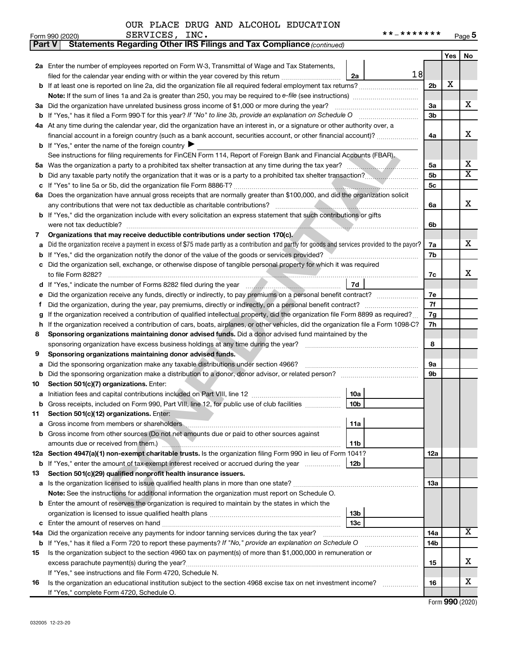| OUR PLACE DRUG AND ALCOHOL EDUCATION |  |  |  |  |  |  |
|--------------------------------------|--|--|--|--|--|--|
|--------------------------------------|--|--|--|--|--|--|

| Part V                                                                                                                                  | Statements Regarding Other IRS Filings and Tax Compliance (continued)                                                                                        |                |     |                         |  |  |  |
|-----------------------------------------------------------------------------------------------------------------------------------------|--------------------------------------------------------------------------------------------------------------------------------------------------------------|----------------|-----|-------------------------|--|--|--|
|                                                                                                                                         |                                                                                                                                                              |                | Yes | No                      |  |  |  |
|                                                                                                                                         | 2a Enter the number of employees reported on Form W-3, Transmittal of Wage and Tax Statements,                                                               |                |     |                         |  |  |  |
|                                                                                                                                         | 18<br>filed for the calendar year ending with or within the year covered by this return<br>2a                                                                |                |     |                         |  |  |  |
| b                                                                                                                                       |                                                                                                                                                              | 2 <sub>b</sub> | X   |                         |  |  |  |
|                                                                                                                                         |                                                                                                                                                              |                |     |                         |  |  |  |
|                                                                                                                                         | 3a Did the organization have unrelated business gross income of \$1,000 or more during the year?                                                             | За             |     | х                       |  |  |  |
| b                                                                                                                                       |                                                                                                                                                              |                |     |                         |  |  |  |
|                                                                                                                                         | 4a At any time during the calendar year, did the organization have an interest in, or a signature or other authority over, a                                 |                |     |                         |  |  |  |
|                                                                                                                                         | financial account in a foreign country (such as a bank account, securities account, or other financial account)?                                             | 4a             |     | x                       |  |  |  |
|                                                                                                                                         | <b>b</b> If "Yes," enter the name of the foreign country $\blacktriangleright$                                                                               |                |     |                         |  |  |  |
|                                                                                                                                         | See instructions for filing requirements for FinCEN Form 114, Report of Foreign Bank and Financial Accounts (FBAR).                                          |                |     |                         |  |  |  |
| 5a                                                                                                                                      |                                                                                                                                                              | 5a             |     | х                       |  |  |  |
| b                                                                                                                                       |                                                                                                                                                              | 5b             |     | $\overline{\textbf{X}}$ |  |  |  |
| с                                                                                                                                       |                                                                                                                                                              | 5с             |     |                         |  |  |  |
|                                                                                                                                         | 6a Does the organization have annual gross receipts that are normally greater than \$100,000, and did the organization solicit                               |                |     |                         |  |  |  |
|                                                                                                                                         |                                                                                                                                                              | 6a             |     | x                       |  |  |  |
| b                                                                                                                                       | If "Yes," did the organization include with every solicitation an express statement that such contributions or gifts                                         |                |     |                         |  |  |  |
|                                                                                                                                         | were not tax deductible?                                                                                                                                     | 6b             |     |                         |  |  |  |
| 7                                                                                                                                       | Organizations that may receive deductible contributions under section 170(c).                                                                                |                |     |                         |  |  |  |
| a                                                                                                                                       | Did the organization receive a payment in excess of \$75 made partly as a contribution and partly for goods and services provided to the payor?              | 7a             |     | x                       |  |  |  |
| b                                                                                                                                       | If "Yes," did the organization notify the donor of the value of the goods or services provided?                                                              | 7b             |     |                         |  |  |  |
|                                                                                                                                         | Did the organization sell, exchange, or otherwise dispose of tangible personal property for which it was required                                            |                |     |                         |  |  |  |
|                                                                                                                                         |                                                                                                                                                              | 7c             |     | x                       |  |  |  |
| d                                                                                                                                       | 7d                                                                                                                                                           |                |     |                         |  |  |  |
| е                                                                                                                                       | Did the organization receive any funds, directly or indirectly, to pay premiums on a personal benefit contract?                                              | 7е<br>7f       |     |                         |  |  |  |
| f                                                                                                                                       |                                                                                                                                                              |                |     |                         |  |  |  |
|                                                                                                                                         | If the organization received a contribution of qualified intellectual property, did the organization file Form 8899 as required?                             |                |     |                         |  |  |  |
| If the organization received a contribution of cars, boats, airplanes, or other vehicles, did the organization file a Form 1098-C?<br>h |                                                                                                                                                              |                |     |                         |  |  |  |
| Sponsoring organizations maintaining donor advised funds. Did a donor advised fund maintained by the<br>8                               |                                                                                                                                                              |                |     |                         |  |  |  |
|                                                                                                                                         | sponsoring organization have excess business holdings at any time during the year?                                                                           |                |     |                         |  |  |  |
| Sponsoring organizations maintaining donor advised funds.<br>9                                                                          |                                                                                                                                                              |                |     |                         |  |  |  |
| Did the sponsoring organization make any taxable distributions under section 4966?<br>а                                                 |                                                                                                                                                              |                |     |                         |  |  |  |
| b                                                                                                                                       |                                                                                                                                                              | 9b             |     |                         |  |  |  |
| 10                                                                                                                                      | Section 501(c)(7) organizations. Enter:                                                                                                                      |                |     |                         |  |  |  |
| а                                                                                                                                       | 10a                                                                                                                                                          |                |     |                         |  |  |  |
|                                                                                                                                         | 10 <sub>b</sub><br>Gross receipts, included on Form 990, Part VIII, line 12, for public use of club facilities                                               |                |     |                         |  |  |  |
| 11                                                                                                                                      | Section 501(c)(12) organizations. Enter:                                                                                                                     |                |     |                         |  |  |  |
| а                                                                                                                                       | 11a                                                                                                                                                          |                |     |                         |  |  |  |
|                                                                                                                                         | Gross income from other sources (Do not net amounts due or paid to other sources against                                                                     |                |     |                         |  |  |  |
|                                                                                                                                         | amounts due or received from them.)<br>11b<br>12a Section 4947(a)(1) non-exempt charitable trusts. Is the organization filing Form 990 in lieu of Form 1041? | 12a            |     |                         |  |  |  |
|                                                                                                                                         | b If "Yes," enter the amount of tax-exempt interest received or accrued during the year<br>12 <sub>b</sub>                                                   |                |     |                         |  |  |  |
| 13                                                                                                                                      | Section 501(c)(29) qualified nonprofit health insurance issuers.                                                                                             |                |     |                         |  |  |  |
| a                                                                                                                                       | Is the organization licensed to issue qualified health plans in more than one state?                                                                         | 13a            |     |                         |  |  |  |
|                                                                                                                                         | Note: See the instructions for additional information the organization must report on Schedule O.                                                            |                |     |                         |  |  |  |
| b                                                                                                                                       | Enter the amount of reserves the organization is required to maintain by the states in which the                                                             |                |     |                         |  |  |  |
|                                                                                                                                         | 13b                                                                                                                                                          |                |     |                         |  |  |  |
| с                                                                                                                                       | 13c                                                                                                                                                          |                |     |                         |  |  |  |
| 14a                                                                                                                                     | Did the organization receive any payments for indoor tanning services during the tax year?                                                                   | 14a            |     | x                       |  |  |  |
|                                                                                                                                         | <b>b</b> If "Yes," has it filed a Form 720 to report these payments? If "No," provide an explanation on Schedule O                                           | 14b            |     |                         |  |  |  |
| 15                                                                                                                                      | Is the organization subject to the section 4960 tax on payment(s) of more than \$1,000,000 in remuneration or                                                |                |     |                         |  |  |  |
|                                                                                                                                         |                                                                                                                                                              | 15             |     | x.                      |  |  |  |
|                                                                                                                                         | If "Yes," see instructions and file Form 4720, Schedule N.                                                                                                   |                |     |                         |  |  |  |
| 16                                                                                                                                      | Is the organization an educational institution subject to the section 4968 excise tax on net investment income?                                              | 16             |     | х                       |  |  |  |
|                                                                                                                                         | If "Yes," complete Form 4720, Schedule O.                                                                                                                    |                |     |                         |  |  |  |

Form (2020) **990**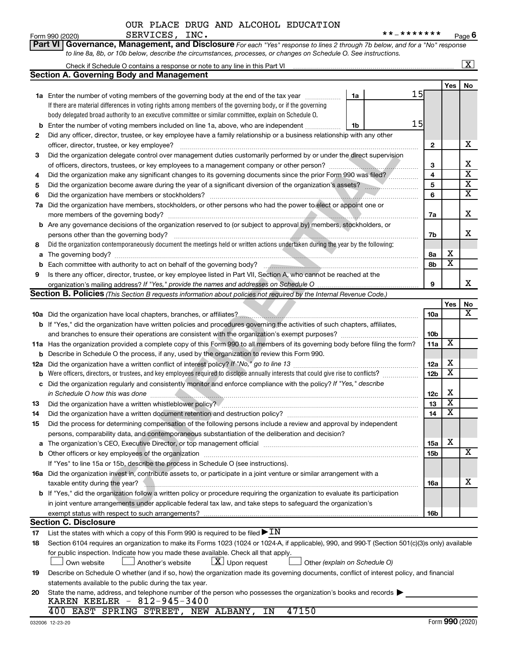|                 |          |      |  | OUR PLACE DRUG AND ALCOHOL EDUCATION |            |      |
|-----------------|----------|------|--|--------------------------------------|------------|------|
| Form 990 (2020) | SERVICES | INC. |  |                                      | **_******* | Page |

**Part VI Governance, Management, and Disclosure** 

*For each "Yes" response to lines 2 through 7b below, and for a "No" response*

|    | to line 8a, 8b, or 10b below, describe the circumstances, processes, or changes on Schedule O. See instructions.                                                                                               |                 |                         |                         |
|----|----------------------------------------------------------------------------------------------------------------------------------------------------------------------------------------------------------------|-----------------|-------------------------|-------------------------|
|    | Check if Schedule O contains a response or note to any line in this Part VI                                                                                                                                    |                 |                         | $\overline{\mathbf{x}}$ |
|    | <b>Section A. Governing Body and Management</b>                                                                                                                                                                |                 |                         |                         |
|    |                                                                                                                                                                                                                |                 | Yes                     | No                      |
|    | 15<br>1a Enter the number of voting members of the governing body at the end of the tax year<br>1a                                                                                                             |                 |                         |                         |
|    | If there are material differences in voting rights among members of the governing body, or if the governing                                                                                                    |                 |                         |                         |
|    | body delegated broad authority to an executive committee or similar committee, explain on Schedule O.                                                                                                          |                 |                         |                         |
| b  | 15<br>Enter the number of voting members included on line 1a, above, who are independent<br>1b                                                                                                                 |                 |                         |                         |
| 2  | Did any officer, director, trustee, or key employee have a family relationship or a business relationship with any other                                                                                       |                 |                         |                         |
|    |                                                                                                                                                                                                                | $\mathbf{2}$    |                         | х                       |
| 3  | Did the organization delegate control over management duties customarily performed by or under the direct supervision                                                                                          |                 |                         |                         |
|    |                                                                                                                                                                                                                | 3               |                         | х                       |
| 4  | Did the organization make any significant changes to its governing documents since the prior Form 990 was filed?                                                                                               | 4               |                         | $\overline{\mathbf{x}}$ |
| 5  | Did the organization become aware during the year of a significant diversion of the organization's assets?                                                                                                     | 5               |                         | $\overline{\mathbf{x}}$ |
| 6  |                                                                                                                                                                                                                | 6               |                         | $\overline{\mathbf{x}}$ |
|    | 7a Did the organization have members, stockholders, or other persons who had the power to elect or appoint one or                                                                                              |                 |                         |                         |
|    |                                                                                                                                                                                                                | 7a              |                         | х                       |
|    | b Are any governance decisions of the organization reserved to (or subject to approval by) members, stockholders, or                                                                                           |                 |                         |                         |
|    | persons other than the governing body?                                                                                                                                                                         | 7b              |                         | x                       |
| 8  | Did the organization contemporaneously document the meetings held or written actions undertaken during the year by the following:                                                                              |                 |                         |                         |
| a  | The governing body?                                                                                                                                                                                            | 8а              | х                       |                         |
| b  |                                                                                                                                                                                                                | 8b              | $\overline{\mathbf{x}}$ |                         |
| 9  | Is there any officer, director, trustee, or key employee listed in Part VII, Section A, who cannot be reached at the                                                                                           |                 |                         |                         |
|    | organization's mailing address? If "Yes," provide the names and addresses on Schedule O                                                                                                                        | 9               |                         | x                       |
|    | <b>Section B. Policies</b> (This Section B requests information about policies not required by the Internal Revenue Code.)                                                                                     |                 |                         |                         |
|    |                                                                                                                                                                                                                |                 | Yes                     | No                      |
|    |                                                                                                                                                                                                                | 10a             |                         | x                       |
|    | b If "Yes," did the organization have written policies and procedures governing the activities of such chapters, affiliates,                                                                                   |                 |                         |                         |
|    | and branches to ensure their operations are consistent with the organization's exempt purposes? www.www.www.www.                                                                                               | 10 <sub>b</sub> |                         |                         |
|    | 11a Has the organization provided a complete copy of this Form 990 to all members of its governing body before filing the form?                                                                                | 11a             | х                       |                         |
|    | <b>b</b> Describe in Schedule O the process, if any, used by the organization to review this Form 990.                                                                                                         |                 |                         |                         |
|    |                                                                                                                                                                                                                | 12a             | х                       |                         |
|    | <b>b</b> Were officers, directors, or trustees, and key employees required to disclose annually interests that could give rise to conflicts?                                                                   | 12 <sub>b</sub> | $\overline{\textbf{x}}$ |                         |
|    | c Did the organization regularly and consistently monitor and enforce compliance with the policy? If "Yes," describe                                                                                           |                 |                         |                         |
|    | in Schedule O how this was done<br>the contract of the contract of the contract of the contract of the contract of the contract of the contract of                                                             | 12c             | х                       |                         |
| 13 |                                                                                                                                                                                                                | 13              | $\overline{\textbf{x}}$ |                         |
| 14 |                                                                                                                                                                                                                | 14              | $\overline{\textbf{x}}$ |                         |
| 15 | Did the process for determining compensation of the following persons include a review and approval by independent                                                                                             |                 |                         |                         |
|    | persons, comparability data, and contemporaneous substantiation of the deliberation and decision?                                                                                                              |                 |                         |                         |
| a  | The organization's CEO, Executive Director, or top management official manufacture content of the organization's CEO, Executive Director, or top management official manufacture content of the organization's | 15a             | х                       |                         |
|    |                                                                                                                                                                                                                | 15b             |                         | х                       |
|    | If "Yes" to line 15a or 15b, describe the process in Schedule O (see instructions).                                                                                                                            |                 |                         |                         |
|    | 16a Did the organization invest in, contribute assets to, or participate in a joint venture or similar arrangement with a                                                                                      |                 |                         |                         |
|    | taxable entity during the year?                                                                                                                                                                                | 16a             |                         | х                       |
|    | b If "Yes," did the organization follow a written policy or procedure requiring the organization to evaluate its participation                                                                                 |                 |                         |                         |
|    | in joint venture arrangements under applicable federal tax law, and take steps to safeguard the organization's                                                                                                 |                 |                         |                         |
|    | exempt status with respect to such arrangements?                                                                                                                                                               | 16b             |                         |                         |
|    | <b>Section C. Disclosure</b>                                                                                                                                                                                   |                 |                         |                         |
| 17 | List the states with which a copy of this Form 990 is required to be filed $\blacktriangleright\text{IN}$                                                                                                      |                 |                         |                         |
| 18 | Section 6104 requires an organization to make its Forms 1023 (1024 or 1024-A, if applicable), 990, and 990-T (Section 501(c)(3)s only) available                                                               |                 |                         |                         |
|    | for public inspection. Indicate how you made these available. Check all that apply.                                                                                                                            |                 |                         |                         |
|    | $\lfloor x \rfloor$ Upon request<br>Own website<br>Another's website<br>Other (explain on Schedule O)                                                                                                          |                 |                         |                         |
| 19 | Describe on Schedule O whether (and if so, how) the organization made its governing documents, conflict of interest policy, and financial                                                                      |                 |                         |                         |
|    | statements available to the public during the tax year.                                                                                                                                                        |                 |                         |                         |
| 20 | State the name, address, and telephone number of the person who possesses the organization's books and records<br>KAREN KEELER - 812-945-3400                                                                  |                 |                         |                         |

|  |  |  |  |  | 400 EAST SPRING STREET, NEW ALBANY, IN 47150 |  |  |
|--|--|--|--|--|----------------------------------------------|--|--|
|--|--|--|--|--|----------------------------------------------|--|--|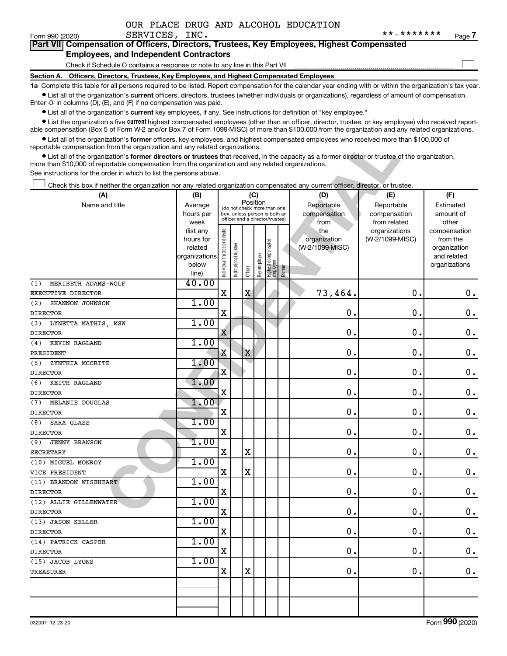|  |  | OUR PLACE DRUG AND ALCOHOL EDUCATION |
|--|--|--------------------------------------|
|  |  |                                      |

 $\Box$ 

|  | Part VII Compensation of Officers, Directors, Trustees, Key Employees, Highest Compensated |  |  |  |  |
|--|--------------------------------------------------------------------------------------------|--|--|--|--|
|  | <b>Employees, and Independent Contractors</b>                                              |  |  |  |  |

Check if Schedule O contains a response or note to any line in this Part VII

**Section A. Officers, Directors, Trustees, Key Employees, and Highest Compensated Employees**

**1a**  Complete this table for all persons required to be listed. Report compensation for the calendar year ending with or within the organization's tax year.  $\bullet$  List all of the organization's current officers, directors, trustees (whether individuals or organizations), regardless of amount of compensation.

Enter -0- in columns (D), (E), and (F) if no compensation was paid.

**•** List all of the organization's current key employees, if any. See instructions for definition of "key employee."

• List the organization's five *current* highest compensated employees (other than an officer, director, trustee, or key employee) who received reportable compensation (Box 5 of Form W-2 and/or Box 7 of Form 1099-MISC) of more than \$100,000 from the organization and any related organizations.

| • List all of the organization's former officers, key employees, and highest compensated employees who received more than \$100,000 of                                                                                            |                      |                                |                       |             |              |                                                              |        |                                 |                 |                             |
|-----------------------------------------------------------------------------------------------------------------------------------------------------------------------------------------------------------------------------------|----------------------|--------------------------------|-----------------------|-------------|--------------|--------------------------------------------------------------|--------|---------------------------------|-----------------|-----------------------------|
| reportable compensation from the organization and any related organizations.<br>• List all of the organization's former directors or trustees that received, in the capacity as a former director or trustee of the organization, |                      |                                |                       |             |              |                                                              |        |                                 |                 |                             |
| more than \$10,000 of reportable compensation from the organization and any related organizations.                                                                                                                                |                      |                                |                       |             |              |                                                              |        |                                 |                 |                             |
| See instructions for the order in which to list the persons above.                                                                                                                                                                |                      |                                |                       |             |              |                                                              |        |                                 |                 |                             |
| Check this box if neither the organization nor any related organization compensated any current officer, director, or trustee.                                                                                                    |                      |                                |                       |             |              |                                                              |        |                                 |                 |                             |
| (A)                                                                                                                                                                                                                               | (B)                  |                                |                       |             | (C)          |                                                              |        | (D)                             | (E)             | (F)                         |
| Name and title                                                                                                                                                                                                                    | Average              |                                |                       | Position    |              |                                                              |        | Reportable                      | Reportable      | Estimated                   |
|                                                                                                                                                                                                                                   | hours per            |                                |                       |             |              | (do not check more than one<br>box, unless person is both an |        | compensation                    | compensation    | amount of                   |
|                                                                                                                                                                                                                                   | week                 |                                |                       |             |              | officer and a director/trustee)                              |        | from                            | from related    | other                       |
|                                                                                                                                                                                                                                   | (list any            |                                |                       |             |              |                                                              |        | the                             | organizations   | compensation                |
|                                                                                                                                                                                                                                   | hours for<br>related |                                |                       |             |              |                                                              |        | organization<br>(W-2/1099-MISC) | (W-2/1099-MISC) | from the                    |
|                                                                                                                                                                                                                                   | organizations        | Individual trustee or director | Institutional trustee |             |              | Highest compensated<br>employee                              |        |                                 |                 | organization<br>and related |
|                                                                                                                                                                                                                                   | below                |                                |                       |             | Key employee |                                                              |        |                                 |                 | organizations               |
|                                                                                                                                                                                                                                   | line)                |                                |                       | Officer     |              |                                                              | Former |                                 |                 |                             |
| MERIBETH ADAMS-WOLF<br>(1)                                                                                                                                                                                                        | 40.00                |                                |                       |             |              |                                                              |        |                                 |                 |                             |
| EXECUTIVE DIRECTOR                                                                                                                                                                                                                |                      | $\mathbf X$                    |                       | X           |              |                                                              |        | 73,464.                         | 0               | 0.                          |
| (2)<br>SHANNON JOHNSON                                                                                                                                                                                                            | 1.00                 |                                |                       |             |              |                                                              |        |                                 |                 |                             |
| <b>DIRECTOR</b>                                                                                                                                                                                                                   |                      | X                              |                       |             |              |                                                              |        | 0.                              | 0               | $\boldsymbol{0}$ .          |
| (3)<br>LYNETTA MATHIS, MSW                                                                                                                                                                                                        | 1.00                 |                                |                       |             |              |                                                              |        |                                 |                 |                             |
| <b>DIRECTOR</b>                                                                                                                                                                                                                   |                      | X                              |                       |             |              |                                                              |        | 0.                              | 0               | $\boldsymbol{0}$ .          |
| (4)<br>KEVIN RAGLAND                                                                                                                                                                                                              | 1.00                 |                                |                       |             |              |                                                              |        |                                 |                 |                             |
| PRESIDENT                                                                                                                                                                                                                         |                      | X                              |                       | X           |              |                                                              |        | 0.                              | 0               | $\boldsymbol{0}$ .          |
| (5)<br>ZYNTHIA MCCRITE                                                                                                                                                                                                            | 1.00                 |                                |                       |             |              |                                                              |        |                                 |                 |                             |
| <b>DIRECTOR</b>                                                                                                                                                                                                                   |                      | $\mathbf x$                    |                       |             |              |                                                              |        | 0.                              | 0               | $\boldsymbol{0}$ .          |
| (6)<br>KEITH RAGLAND                                                                                                                                                                                                              | 1.00                 |                                |                       |             |              |                                                              |        |                                 |                 |                             |
| <b>DIRECTOR</b>                                                                                                                                                                                                                   |                      | X                              |                       |             |              |                                                              |        | 0.                              | 0               | $\boldsymbol{0}$ .          |
| (7)<br>MELANIE DOUGLAS                                                                                                                                                                                                            | 1.00                 | X                              |                       |             |              |                                                              |        | 0.                              | 0               | $\boldsymbol{0}$ .          |
| <b>DIRECTOR</b><br>(8)<br>SARA GLASS                                                                                                                                                                                              | 1.00                 |                                |                       |             |              |                                                              |        |                                 |                 |                             |
| <b>DIRECTOR</b>                                                                                                                                                                                                                   |                      | X                              |                       |             |              |                                                              |        | 0.                              | 0               | $\boldsymbol{0}$ .          |
| (9)<br><b>JENNY BRANSON</b>                                                                                                                                                                                                       | 1.00                 |                                |                       |             |              |                                                              |        |                                 |                 |                             |
| SECRETARY                                                                                                                                                                                                                         |                      | X                              |                       | $\mathbf X$ |              |                                                              |        | 0.                              | 0               | $\boldsymbol{0}$ .          |
| (10) MIGUEL MONROY                                                                                                                                                                                                                | 1.00                 |                                |                       |             |              |                                                              |        |                                 |                 |                             |
| VICE PRESIDENT                                                                                                                                                                                                                    |                      | X                              |                       | $\mathbf X$ |              |                                                              |        | $\mathbf 0$ .                   | 0               | $\boldsymbol{0}$ .          |
| (11) BRANDON WISEHEART                                                                                                                                                                                                            | 1.00                 |                                |                       |             |              |                                                              |        |                                 |                 |                             |
| <b>DIRECTOR</b>                                                                                                                                                                                                                   |                      | X                              |                       |             |              |                                                              |        | $\mathbf 0$                     | 0               | $\mathbf 0$ .               |
| (12) ALLIE GILLENWATER                                                                                                                                                                                                            | 1.00                 |                                |                       |             |              |                                                              |        |                                 |                 |                             |
| <b>DIRECTOR</b>                                                                                                                                                                                                                   |                      | Χ                              |                       |             |              |                                                              |        | Ο.                              | 0.              | $\mathbf 0$ .               |
| (13) JASON KELLER                                                                                                                                                                                                                 | 1.00                 |                                |                       |             |              |                                                              |        |                                 |                 |                             |
| DIRECTOR                                                                                                                                                                                                                          |                      | X                              |                       |             |              |                                                              |        | 0.                              | $\mathbf 0$ .   | 0.                          |
| (14) PATRICK CASPER                                                                                                                                                                                                               | 1.00                 |                                |                       |             |              |                                                              |        |                                 |                 |                             |
| <b>DIRECTOR</b>                                                                                                                                                                                                                   |                      | X                              |                       |             |              |                                                              |        | 0.                              | $\mathbf 0$ .   | 0.                          |
| (15) JACOB LYONS                                                                                                                                                                                                                  | 1.00                 |                                |                       |             |              |                                                              |        |                                 |                 |                             |
| TREASURER                                                                                                                                                                                                                         |                      | X                              |                       | X           |              |                                                              |        | 0.                              | $\mathbf 0$ .   | 0.                          |
|                                                                                                                                                                                                                                   |                      |                                |                       |             |              |                                                              |        |                                 |                 |                             |
|                                                                                                                                                                                                                                   |                      |                                |                       |             |              |                                                              |        |                                 |                 |                             |
|                                                                                                                                                                                                                                   |                      |                                |                       |             |              |                                                              |        |                                 |                 |                             |
|                                                                                                                                                                                                                                   |                      |                                |                       |             |              |                                                              |        |                                 |                 |                             |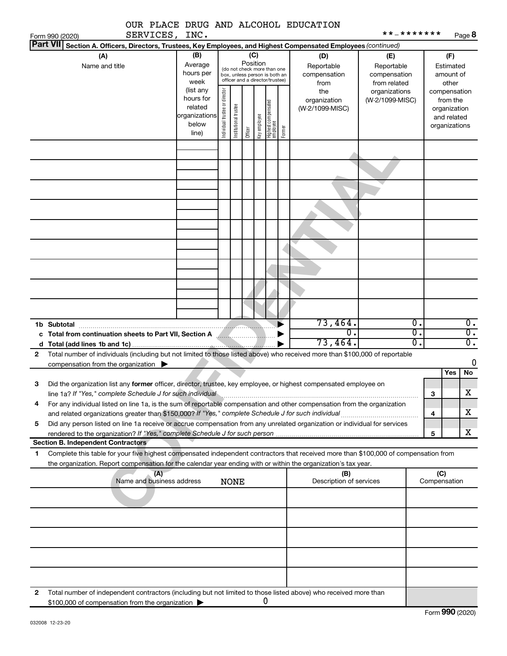|                 | SERVICES, INC.<br>Form 990 (2020)                                                                                                                                                                                                                      |                                                                                                                                                                                                                                                                                           |  |             |                 |  |                                                                                                 | OUR PLACE DRUG AND ALCOHOL EDUCATION                                     | * * _ * * * * * * *                               |                           |                     |                                        | Page 8                               |
|-----------------|--------------------------------------------------------------------------------------------------------------------------------------------------------------------------------------------------------------------------------------------------------|-------------------------------------------------------------------------------------------------------------------------------------------------------------------------------------------------------------------------------------------------------------------------------------------|--|-------------|-----------------|--|-------------------------------------------------------------------------------------------------|--------------------------------------------------------------------------|---------------------------------------------------|---------------------------|---------------------|----------------------------------------|--------------------------------------|
| <b>Part VII</b> | Section A. Officers, Directors, Trustees, Key Employees, and Highest Compensated Employees (continued)                                                                                                                                                 |                                                                                                                                                                                                                                                                                           |  |             |                 |  |                                                                                                 |                                                                          |                                                   |                           |                     |                                        |                                      |
|                 | (A)<br>Name and title                                                                                                                                                                                                                                  | (B)<br>Average<br>hours per<br>week                                                                                                                                                                                                                                                       |  |             | (C)<br>Position |  | (do not check more than one<br>box, unless person is both an<br>officer and a director/trustee) | (D)<br>Reportable<br>compensation<br>from                                | (E)<br>Reportable<br>compensation<br>from related |                           |                     | (F)<br>Estimated<br>amount of<br>other |                                      |
|                 |                                                                                                                                                                                                                                                        | (list any<br>Individual trustee or director<br>the<br>organizations<br>hours for<br>(W-2/1099-MISC)<br>organization<br>  Highest compensated<br>  employee<br>related<br>Institutional trustee<br>(W-2/1099-MISC)<br>organizations<br>Key employee<br>below<br>Former<br>Officer<br>line) |  |             |                 |  |                                                                                                 | compensation<br>from the<br>organization<br>and related<br>organizations |                                                   |                           |                     |                                        |                                      |
|                 |                                                                                                                                                                                                                                                        |                                                                                                                                                                                                                                                                                           |  |             |                 |  |                                                                                                 |                                                                          |                                                   |                           |                     |                                        |                                      |
|                 |                                                                                                                                                                                                                                                        |                                                                                                                                                                                                                                                                                           |  |             |                 |  |                                                                                                 |                                                                          |                                                   |                           |                     |                                        |                                      |
|                 |                                                                                                                                                                                                                                                        |                                                                                                                                                                                                                                                                                           |  |             |                 |  |                                                                                                 |                                                                          |                                                   |                           |                     |                                        |                                      |
|                 |                                                                                                                                                                                                                                                        |                                                                                                                                                                                                                                                                                           |  |             |                 |  |                                                                                                 |                                                                          |                                                   |                           |                     |                                        |                                      |
|                 |                                                                                                                                                                                                                                                        |                                                                                                                                                                                                                                                                                           |  |             |                 |  |                                                                                                 |                                                                          |                                                   |                           |                     |                                        |                                      |
|                 |                                                                                                                                                                                                                                                        |                                                                                                                                                                                                                                                                                           |  |             |                 |  |                                                                                                 |                                                                          |                                                   |                           |                     |                                        |                                      |
|                 |                                                                                                                                                                                                                                                        |                                                                                                                                                                                                                                                                                           |  |             |                 |  |                                                                                                 |                                                                          |                                                   |                           |                     |                                        |                                      |
|                 |                                                                                                                                                                                                                                                        |                                                                                                                                                                                                                                                                                           |  |             |                 |  |                                                                                                 |                                                                          |                                                   |                           |                     |                                        |                                      |
|                 | 1b Subtotal                                                                                                                                                                                                                                            |                                                                                                                                                                                                                                                                                           |  |             |                 |  |                                                                                                 | 73,464.                                                                  |                                                   | $\overline{\mathbf{0}}$ . |                     |                                        | $\overline{0}$ .                     |
|                 | c Total from continuation sheets to Part VII, Section A                                                                                                                                                                                                |                                                                                                                                                                                                                                                                                           |  |             |                 |  |                                                                                                 | $\overline{0}$ .<br>73,464.                                              |                                                   | $\overline{0}$ .<br>0.    |                     |                                        | $\overline{0}$ .<br>$\overline{0}$ . |
| 2               | Total number of individuals (including but not limited to those listed above) who received more than \$100,000 of reportable<br>compensation from the organization $\blacktriangleright$                                                               |                                                                                                                                                                                                                                                                                           |  |             |                 |  |                                                                                                 |                                                                          |                                                   |                           |                     |                                        | $\mathbf 0$                          |
|                 |                                                                                                                                                                                                                                                        |                                                                                                                                                                                                                                                                                           |  |             |                 |  |                                                                                                 |                                                                          |                                                   |                           |                     | Yes                                    | No                                   |
| З               | Did the organization list any former officer, director, trustee, key employee, or highest compensated employee on<br>line 1a? If "Yes," complete Schedule J for such individual                                                                        |                                                                                                                                                                                                                                                                                           |  |             |                 |  |                                                                                                 |                                                                          |                                                   |                           | 3                   |                                        | Χ                                    |
| 4               | For any individual listed on line 1a, is the sum of reportable compensation and other compensation from the organization                                                                                                                               |                                                                                                                                                                                                                                                                                           |  |             |                 |  |                                                                                                 |                                                                          |                                                   |                           |                     |                                        |                                      |
|                 | and related organizations greater than \$150,000? If "Yes," complete Schedule J for such individual                                                                                                                                                    |                                                                                                                                                                                                                                                                                           |  |             |                 |  |                                                                                                 |                                                                          |                                                   |                           | 4                   |                                        | х                                    |
| 5               | Did any person listed on line 1a receive or accrue compensation from any unrelated organization or individual for services                                                                                                                             |                                                                                                                                                                                                                                                                                           |  |             |                 |  |                                                                                                 |                                                                          |                                                   |                           | 5                   |                                        | x                                    |
|                 | <b>Section B. Independent Contractors</b>                                                                                                                                                                                                              |                                                                                                                                                                                                                                                                                           |  |             |                 |  |                                                                                                 |                                                                          |                                                   |                           |                     |                                        |                                      |
| 1               | Complete this table for your five highest compensated independent contractors that received more than \$100,000 of compensation from<br>the organization. Report compensation for the calendar year ending with or within the organization's tax year. |                                                                                                                                                                                                                                                                                           |  |             |                 |  |                                                                                                 |                                                                          |                                                   |                           |                     |                                        |                                      |
|                 | (A)<br>Name and business address                                                                                                                                                                                                                       |                                                                                                                                                                                                                                                                                           |  | <b>NONE</b> |                 |  |                                                                                                 | (B)<br>Description of services                                           |                                                   |                           | (C)<br>Compensation |                                        |                                      |
|                 |                                                                                                                                                                                                                                                        |                                                                                                                                                                                                                                                                                           |  |             |                 |  |                                                                                                 |                                                                          |                                                   |                           |                     |                                        |                                      |
|                 |                                                                                                                                                                                                                                                        |                                                                                                                                                                                                                                                                                           |  |             |                 |  |                                                                                                 |                                                                          |                                                   |                           |                     |                                        |                                      |
|                 |                                                                                                                                                                                                                                                        |                                                                                                                                                                                                                                                                                           |  |             |                 |  |                                                                                                 |                                                                          |                                                   |                           |                     |                                        |                                      |
|                 |                                                                                                                                                                                                                                                        |                                                                                                                                                                                                                                                                                           |  |             |                 |  |                                                                                                 |                                                                          |                                                   |                           |                     |                                        |                                      |
|                 |                                                                                                                                                                                                                                                        |                                                                                                                                                                                                                                                                                           |  |             |                 |  |                                                                                                 |                                                                          |                                                   |                           |                     |                                        |                                      |
| 2               | Total number of independent contractors (including but not limited to those listed above) who received more than<br>\$100,000 of compensation from the organization                                                                                    |                                                                                                                                                                                                                                                                                           |  |             |                 |  | 0                                                                                               |                                                                          |                                                   |                           |                     |                                        |                                      |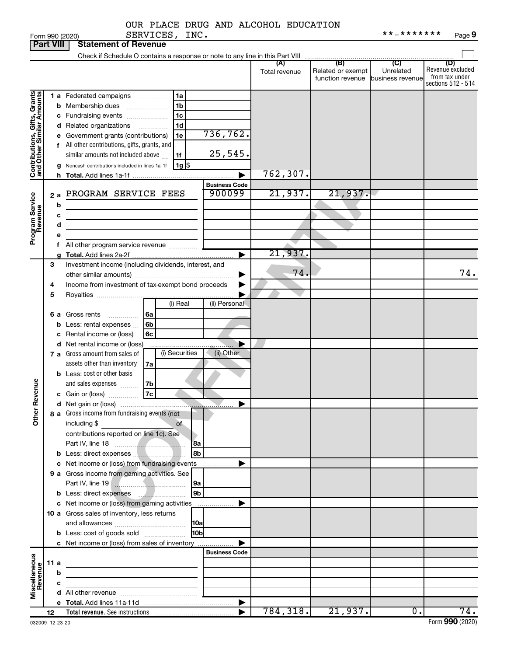|                                                           | <b>Part VIII</b> |             | <b>Statement of Revenue</b>                                                                                                                                                                                                                                                                                                                                                         |                       |                |                                                        |                  |                                                                 |
|-----------------------------------------------------------|------------------|-------------|-------------------------------------------------------------------------------------------------------------------------------------------------------------------------------------------------------------------------------------------------------------------------------------------------------------------------------------------------------------------------------------|-----------------------|----------------|--------------------------------------------------------|------------------|-----------------------------------------------------------------|
|                                                           |                  |             |                                                                                                                                                                                                                                                                                                                                                                                     |                       |                |                                                        |                  |                                                                 |
|                                                           |                  |             |                                                                                                                                                                                                                                                                                                                                                                                     |                       | Total revenue  | Related or exempt<br>function revenue business revenue | Unrelated        | (D)<br>Revenue excluded<br>from tax under<br>sections 512 - 514 |
| Contributions, Gifts, Grants<br>and Other Similar Amounts |                  | b<br>е<br>g | <b>1 a</b> Federated campaigns<br>1a<br>1 <sub>b</sub><br>Membership dues<br>1c<br>c Fundraising events<br>d Related organizations<br>1d<br>$\overline{\phantom{a}}$<br>Government grants (contributions)<br>1e<br>f All other contributions, gifts, grants, and<br>similar amounts not included above<br>1f<br>Noncash contributions included in lines 1a-1f<br>$1g$ $\frac{1}{3}$ | 736,762.<br>25,545.   | 762,307.       |                                                        |                  |                                                                 |
|                                                           |                  |             |                                                                                                                                                                                                                                                                                                                                                                                     | <b>Business Code</b>  |                |                                                        |                  |                                                                 |
| Program Service<br>Revenue                                | 2a               | b<br>с<br>d | PROGRAM SERVICE FEES<br>the control of the control of the control of the control of                                                                                                                                                                                                                                                                                                 | 900099                | 21,937.        | 21,937.                                                |                  |                                                                 |
|                                                           |                  | е           |                                                                                                                                                                                                                                                                                                                                                                                     |                       |                |                                                        |                  |                                                                 |
|                                                           |                  | f.          | All other program service revenue                                                                                                                                                                                                                                                                                                                                                   |                       |                |                                                        |                  |                                                                 |
|                                                           | 3                |             | Investment income (including dividends, interest, and                                                                                                                                                                                                                                                                                                                               |                       | 21,937.<br>74. |                                                        |                  | 74.                                                             |
|                                                           | 4                |             | Income from investment of tax-exempt bond proceeds                                                                                                                                                                                                                                                                                                                                  |                       |                |                                                        |                  |                                                                 |
|                                                           | 5                |             |                                                                                                                                                                                                                                                                                                                                                                                     |                       |                |                                                        |                  |                                                                 |
|                                                           | 6а               | b           | (i) Real<br>Gross rents<br>6a<br>Less: rental expenses<br>6b                                                                                                                                                                                                                                                                                                                        | (ii) Personal         |                |                                                        |                  |                                                                 |
|                                                           |                  | с           | 6c<br>Rental income or (loss)<br>d Net rental income or (loss)                                                                                                                                                                                                                                                                                                                      |                       |                |                                                        |                  |                                                                 |
|                                                           |                  |             | (i) Securities<br>7 a Gross amount from sales of                                                                                                                                                                                                                                                                                                                                    | (ii) Other            |                |                                                        |                  |                                                                 |
| Revenue                                                   |                  |             | assets other than inventory<br>7a<br><b>b</b> Less: cost or other basis<br>and sales expenses<br>7b                                                                                                                                                                                                                                                                                 |                       |                |                                                        |                  |                                                                 |
|                                                           |                  |             | 7c<br>c Gain or (loss)                                                                                                                                                                                                                                                                                                                                                              |                       |                |                                                        |                  |                                                                 |
| $\tilde{\epsilon}$                                        |                  |             | 8 a Gross income from fundraising events (not<br>including \$<br>of<br>contributions reported on line 1c). See                                                                                                                                                                                                                                                                      | ▶                     |                |                                                        |                  |                                                                 |
|                                                           |                  |             | 8a<br>8b<br><b>b</b> Less: direct expenses <b>b</b> Less: direct expenses <b>b</b><br>c Net income or (loss) from fundraising events                                                                                                                                                                                                                                                | .                     |                |                                                        |                  |                                                                 |
|                                                           |                  |             | 9 a Gross income from gaming activities. See<br>l 9a<br>9 <sub>b</sub>                                                                                                                                                                                                                                                                                                              |                       |                |                                                        |                  |                                                                 |
|                                                           |                  |             | c Net income or (loss) from gaming activities                                                                                                                                                                                                                                                                                                                                       | ▶                     |                |                                                        |                  |                                                                 |
|                                                           |                  |             | 10 a Gross sales of inventory, less returns                                                                                                                                                                                                                                                                                                                                         |                       |                |                                                        |                  |                                                                 |
|                                                           |                  |             | <b>HObl</b><br><b>b</b> Less: cost of goods sold<br>c Net income or (loss) from sales of inventory                                                                                                                                                                                                                                                                                  |                       |                |                                                        |                  |                                                                 |
|                                                           |                  |             |                                                                                                                                                                                                                                                                                                                                                                                     | <b>Business Code</b>  |                |                                                        |                  |                                                                 |
| Miscellaneous<br>Revenue                                  | 11 a             |             | <u> 1989 - Johann Barbara, martin a</u>                                                                                                                                                                                                                                                                                                                                             |                       |                |                                                        |                  |                                                                 |
|                                                           |                  | b           | the control of the control of the control of the control of the control of                                                                                                                                                                                                                                                                                                          |                       |                |                                                        |                  |                                                                 |
|                                                           |                  | с           | the control of the control of the control of                                                                                                                                                                                                                                                                                                                                        |                       |                |                                                        |                  |                                                                 |
|                                                           |                  |             |                                                                                                                                                                                                                                                                                                                                                                                     |                       |                |                                                        |                  |                                                                 |
|                                                           |                  |             |                                                                                                                                                                                                                                                                                                                                                                                     | $\blacktriangleright$ |                |                                                        |                  |                                                                 |
|                                                           | 12               |             | Total revenue. See instructions [101] [101] Total revenue See instructions [101] [101] Total Press, Table                                                                                                                                                                                                                                                                           | ▶                     | 784, 318.      | 21,937.                                                | $\overline{0}$ . | 74.                                                             |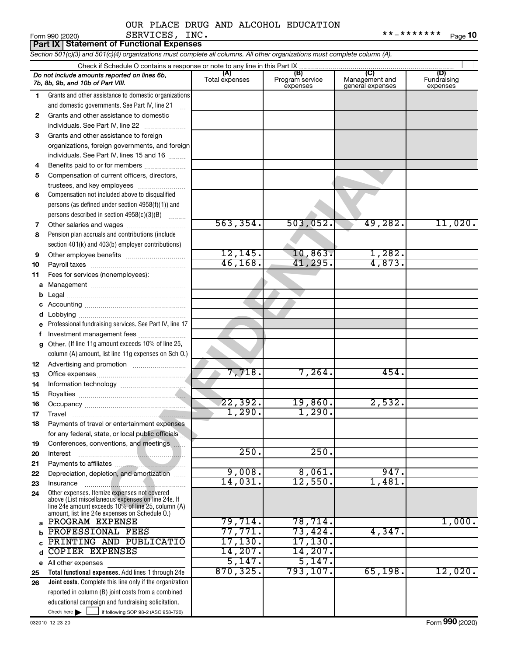Form 990 (2020) Page SERVICES, INC. \*\*-\*\*\*\*\*\*\* **Part IX Statement of Functional Expenses**

*Section 501(c)(3) and 501(c)(4) organizations must complete all columns. All other organizations must complete column (A).* Check if Schedule O contains a response or note to any line in this Part IX

|              | Do not include amounts reported on lines 6b,<br>7b, 8b, 9b, and 10b of Part VIII.                                     | (A)<br>Total expenses | (B)<br>Program service<br>expenses | (C)<br>Management and<br>general expenses | (D)<br>Fundraising<br>expenses |
|--------------|-----------------------------------------------------------------------------------------------------------------------|-----------------------|------------------------------------|-------------------------------------------|--------------------------------|
| 1            | Grants and other assistance to domestic organizations                                                                 |                       |                                    |                                           |                                |
|              | and domestic governments. See Part IV, line 21                                                                        |                       |                                    |                                           |                                |
| $\mathbf{2}$ | Grants and other assistance to domestic                                                                               |                       |                                    |                                           |                                |
|              | individuals. See Part IV, line 22                                                                                     |                       |                                    |                                           |                                |
| 3            | Grants and other assistance to foreign                                                                                |                       |                                    |                                           |                                |
|              | organizations, foreign governments, and foreign                                                                       |                       |                                    |                                           |                                |
|              | individuals. See Part IV, lines 15 and 16                                                                             |                       |                                    |                                           |                                |
| 4            | Benefits paid to or for members                                                                                       |                       |                                    |                                           |                                |
| 5            | Compensation of current officers, directors,                                                                          |                       |                                    |                                           |                                |
|              | trustees, and key employees                                                                                           |                       |                                    |                                           |                                |
| 6            | Compensation not included above to disqualified                                                                       |                       |                                    |                                           |                                |
|              | persons (as defined under section 4958(f)(1)) and                                                                     |                       |                                    |                                           |                                |
|              | persons described in section 4958(c)(3)(B)                                                                            |                       |                                    |                                           |                                |
| 7            | Other salaries and wages                                                                                              | 563, 354.             | 503,052.                           | 49,282.                                   | 11,020.                        |
| 8            | Pension plan accruals and contributions (include                                                                      |                       |                                    |                                           |                                |
|              | section 401(k) and 403(b) employer contributions)                                                                     |                       |                                    |                                           |                                |
| 9            | Other employee benefits                                                                                               | 12,145.               | 10,863.                            | 1,282.                                    |                                |
| 10           |                                                                                                                       | 46, 168.              | 41,295.                            | 4,873.                                    |                                |
| 11           | Fees for services (nonemployees):                                                                                     |                       |                                    |                                           |                                |
| a            |                                                                                                                       |                       |                                    |                                           |                                |
| b            |                                                                                                                       |                       |                                    |                                           |                                |
| с            |                                                                                                                       |                       |                                    |                                           |                                |
| d            |                                                                                                                       |                       |                                    |                                           |                                |
| е            | Professional fundraising services. See Part IV, line 17                                                               |                       |                                    |                                           |                                |
| f            | Investment management fees<br>Other. (If line 11g amount exceeds 10% of line 25,                                      |                       |                                    |                                           |                                |
| g            | column (A) amount, list line 11g expenses on Sch O.)                                                                  |                       |                                    |                                           |                                |
| 12           |                                                                                                                       |                       |                                    |                                           |                                |
| 13           |                                                                                                                       | 7,718.                | 7,264.                             | 454.                                      |                                |
| 14           |                                                                                                                       |                       |                                    |                                           |                                |
| 15           |                                                                                                                       |                       |                                    |                                           |                                |
| 16           |                                                                                                                       | 22, 392.              | 19,860                             | 2,532.                                    |                                |
| 17           |                                                                                                                       | 1,290.                | 1,290.                             |                                           |                                |
| 18           | Payments of travel or entertainment expenses                                                                          |                       |                                    |                                           |                                |
|              | for any federal, state, or local public officials                                                                     |                       |                                    |                                           |                                |
| 19           | Conferences, conventions, and meetings                                                                                |                       |                                    |                                           |                                |
| 20           | Interest                                                                                                              | 250.                  | 250.                               |                                           |                                |
| 21           |                                                                                                                       |                       |                                    |                                           |                                |
| 22           | Depreciation, depletion, and amortization                                                                             | 9,008.                | 8,061.                             | 947.                                      |                                |
| 23           | Insurance                                                                                                             | 14,031.               | 12,550.                            | 1,481.                                    |                                |
| 24           | Other expenses. Itemize expenses not covered<br>above (List miscellaneous expenses on line 24e. If                    |                       |                                    |                                           |                                |
|              | line 24e amount exceeds 10% of line 25, column (A)                                                                    |                       |                                    |                                           |                                |
|              | amount, list line 24e expenses on Schedule O.)                                                                        |                       |                                    |                                           |                                |
| a            | PROGRAM EXPENSE                                                                                                       | 79,714.               | 78, 714.                           |                                           | 1,000.                         |
| b            | PROFESSIONAL FEES                                                                                                     | 77,771.               | 73,424.                            | 4,347.                                    |                                |
|              | PRINTING AND PUBLICATIO                                                                                               | 17,130.<br>14,207.    | 17, 130.<br>14,207.                |                                           |                                |
| d            | <b>COPIER EXPENSES</b>                                                                                                | 5,147.                | 5,147.                             |                                           |                                |
|              | e All other expenses                                                                                                  | 870, 325.             | 793,107 <b>.</b>                   | 65,198.                                   | 12,020.                        |
| 25           | Total functional expenses. Add lines 1 through 24e<br><b>Joint costs.</b> Complete this line only if the organization |                       |                                    |                                           |                                |
| 26           | reported in column (B) joint costs from a combined                                                                    |                       |                                    |                                           |                                |
|              | educational campaign and fundraising solicitation.                                                                    |                       |                                    |                                           |                                |
|              | Check here $\blacktriangleright$<br>if following SOP 98-2 (ASC 958-720)                                               |                       |                                    |                                           |                                |
|              |                                                                                                                       |                       |                                    |                                           |                                |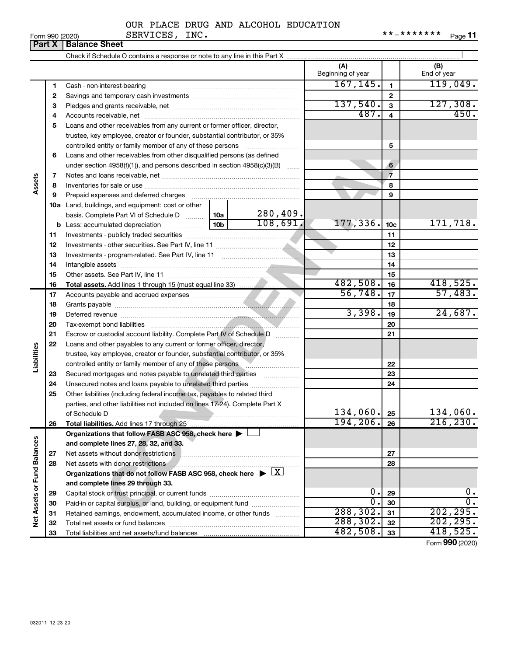|  |  |  | OUR PLACE DRUG AND ALCOHOL EDUCATION |
|--|--|--|--------------------------------------|
|  |  |  |                                      |

Form 990 (2020) Page **11**

|                             | <b>Part X</b> | <b>Balance Sheet</b>                                                                                                                                                                                                           |          |                      |                          |                  |                    |
|-----------------------------|---------------|--------------------------------------------------------------------------------------------------------------------------------------------------------------------------------------------------------------------------------|----------|----------------------|--------------------------|------------------|--------------------|
|                             |               |                                                                                                                                                                                                                                |          |                      |                          |                  |                    |
|                             |               |                                                                                                                                                                                                                                |          |                      | (A)<br>Beginning of year |                  | (B)<br>End of year |
|                             | 1             |                                                                                                                                                                                                                                |          |                      | 167, 145.                | 1                | 119,049.           |
|                             | 2             |                                                                                                                                                                                                                                |          |                      |                          | $\mathbf{2}$     |                    |
|                             | З             |                                                                                                                                                                                                                                |          |                      | 137,540.                 | 3                | 127,308.           |
|                             | 4             |                                                                                                                                                                                                                                |          |                      | 487.                     | 4                | 450.               |
|                             | 5             | Loans and other receivables from any current or former officer, director,                                                                                                                                                      |          |                      |                          |                  |                    |
|                             |               | trustee, key employee, creator or founder, substantial contributor, or 35%                                                                                                                                                     |          |                      |                          |                  |                    |
|                             |               |                                                                                                                                                                                                                                |          |                      |                          | 5                |                    |
|                             | 6             | Loans and other receivables from other disqualified persons (as defined                                                                                                                                                        |          |                      |                          |                  |                    |
|                             |               | under section 4958(f)(1)), and persons described in section $4958(c)(3)(B)$                                                                                                                                                    |          |                      |                          | 6                |                    |
|                             | 7             |                                                                                                                                                                                                                                |          |                      |                          | 7                |                    |
| Assets                      | 8             |                                                                                                                                                                                                                                |          |                      |                          | 8                |                    |
|                             | 9             | Prepaid expenses and deferred charges [11] matter continuum matter and referred charges [11] matter continuum matter continuum matter and continuum matter continuum matter and continuum matter continuum matter continuum ma |          |                      |                          | 9                |                    |
|                             |               | <b>10a</b> Land, buildings, and equipment: cost or other                                                                                                                                                                       |          |                      |                          |                  |                    |
|                             |               | basis. Complete Part VI of Schedule D    10a                                                                                                                                                                                   |          | 280,409.<br>108,691. |                          |                  |                    |
|                             |               | <b>b</b> Less: accumulated depreciation <b>contains 100</b>                                                                                                                                                                    | 177,336. | 10 <sub>c</sub>      | 171,718.                 |                  |                    |
|                             | 11            |                                                                                                                                                                                                                                |          | 11                   |                          |                  |                    |
|                             | 12            |                                                                                                                                                                                                                                |          | 12                   |                          |                  |                    |
|                             | 13            |                                                                                                                                                                                                                                |          | 13                   |                          |                  |                    |
|                             | 14            |                                                                                                                                                                                                                                |          |                      |                          | 14               |                    |
|                             | 15            |                                                                                                                                                                                                                                |          |                      |                          | 15               |                    |
|                             | 16            |                                                                                                                                                                                                                                |          |                      | 482,508.                 | 16               | 418,525.           |
|                             | 17            |                                                                                                                                                                                                                                |          |                      | 56,748.                  | 17               | 57,483.            |
|                             | 18            |                                                                                                                                                                                                                                |          | 18                   |                          |                  |                    |
|                             | 19            |                                                                                                                                                                                                                                |          |                      | 3,398.                   | 19               | 24,687.            |
|                             | 20            |                                                                                                                                                                                                                                |          |                      |                          | 20               |                    |
|                             | 21            | Escrow or custodial account liability. Complete Part IV of Schedule D                                                                                                                                                          |          |                      |                          | 21               |                    |
|                             | 22            | Loans and other payables to any current or former officer, director,                                                                                                                                                           |          |                      |                          |                  |                    |
|                             |               | trustee, key employee, creator or founder, substantial contributor, or 35%                                                                                                                                                     |          |                      |                          |                  |                    |
| Liabilities                 |               | controlled entity or family member of any of these persons                                                                                                                                                                     |          |                      |                          | 22               |                    |
|                             | 23            | Secured mortgages and notes payable to unrelated third parties                                                                                                                                                                 |          |                      |                          | 23               |                    |
|                             | 24            |                                                                                                                                                                                                                                |          |                      |                          | 24               |                    |
|                             | 25            | Other liabilities (including federal income tax, payables to related third                                                                                                                                                     |          |                      |                          |                  |                    |
|                             |               | parties, and other liabilities not included on lines 17-24). Complete Part X                                                                                                                                                   |          |                      |                          |                  |                    |
|                             |               | of Schedule D                                                                                                                                                                                                                  |          |                      | 134,060.                 | 25               | 134,060.           |
|                             | 26            | Total liabilities. Add lines 17 through 25                                                                                                                                                                                     |          |                      | 194,206.                 | 26               | 216, 230.          |
|                             |               | Organizations that follow FASB ASC 958, check here ▶ □                                                                                                                                                                         |          |                      |                          |                  |                    |
|                             |               | and complete lines 27, 28, 32, and 33.                                                                                                                                                                                         |          |                      |                          |                  |                    |
|                             | 27            | Net assets without donor restrictions                                                                                                                                                                                          |          |                      |                          | 27               |                    |
|                             | 28            |                                                                                                                                                                                                                                |          |                      |                          | 28               |                    |
|                             |               | Organizations that do not follow FASB ASC 958, check here $\triangleright \lfloor X \rfloor$                                                                                                                                   |          |                      |                          |                  |                    |
|                             |               | and complete lines 29 through 33.                                                                                                                                                                                              |          |                      |                          |                  |                    |
|                             | 29            |                                                                                                                                                                                                                                |          | 0.                   | 29                       | 0.               |                    |
| Net Assets or Fund Balances | 30            | Paid-in or capital surplus, or land, building, or equipment fund                                                                                                                                                               |          | $\overline{0}$ .     | 30                       | $\overline{0}$ . |                    |
|                             | 31            | Retained earnings, endowment, accumulated income, or other funds                                                                                                                                                               |          |                      | 288, 302.                | 31               | 202, 295.          |
|                             | 32            |                                                                                                                                                                                                                                |          |                      | 288, 302.                | 32               | 202, 295.          |
|                             | 33            |                                                                                                                                                                                                                                |          |                      | 482,508.                 | 33               | 418,525.           |

Form (2020) **990**

# SERVICES, INC.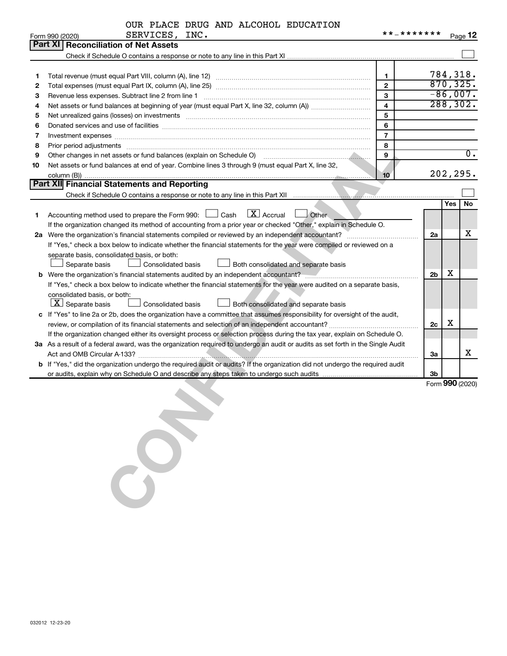|    | OUR PLACE DRUG AND ALCOHOL EDUCATION                                                                                                                                                                                                |                |     |                         |
|----|-------------------------------------------------------------------------------------------------------------------------------------------------------------------------------------------------------------------------------------|----------------|-----|-------------------------|
|    | SERVICES, INC.<br>Form 990 (2020)                                                                                                                                                                                                   | **_*******     |     | Page 12                 |
|    | Part XI<br><b>Reconciliation of Net Assets</b>                                                                                                                                                                                      |                |     |                         |
|    |                                                                                                                                                                                                                                     |                |     |                         |
|    |                                                                                                                                                                                                                                     |                |     |                         |
| 1  | 1.                                                                                                                                                                                                                                  |                |     | 784,318.<br>870, 325.   |
| 2  | $\overline{2}$                                                                                                                                                                                                                      |                |     |                         |
| 3  | $\mathbf{3}$                                                                                                                                                                                                                        |                |     | $-86,007.$<br>288, 302. |
| 4  | $\overline{\mathbf{4}}$                                                                                                                                                                                                             |                |     |                         |
| 5  | 5<br>Net unrealized gains (losses) on investments [11] matter in the contract of the state of the state of the state of the state of the state of the state of the state of the state of the state of the state of the state of the |                |     |                         |
| 6  | 6                                                                                                                                                                                                                                   |                |     |                         |
| 7  | $\overline{7}$                                                                                                                                                                                                                      |                |     |                         |
| 8  | 8<br>Prior period adjustments www.communication.communication.com/news/communication.com/news/communication.com/new                                                                                                                 |                |     | 0.                      |
| 9  | 9<br>Other changes in net assets or fund balances (explain on Schedule O) [11] [12] manuscription of the changes in net assets or fund balances (explain on Schedule O)                                                             |                |     |                         |
| 10 | Net assets or fund balances at end of year. Combine lines 3 through 9 (must equal Part X, line 32,                                                                                                                                  |                |     |                         |
|    | 10                                                                                                                                                                                                                                  |                |     | 202,295.                |
|    | Part XII Financial Statements and Reporting                                                                                                                                                                                         |                |     |                         |
|    |                                                                                                                                                                                                                                     |                | Yes | <b>No</b>               |
|    | $\boxed{\text{X}}$ Accrual                                                                                                                                                                                                          |                |     |                         |
| 1  | $\Box$ Other<br>Accounting method used to prepare the Form 990: $\Box$ Cash                                                                                                                                                         |                |     |                         |
|    | If the organization changed its method of accounting from a prior year or checked "Other," explain in Schedule O.                                                                                                                   | 2a             |     | х                       |
|    | If "Yes," check a box below to indicate whether the financial statements for the year were compiled or reviewed on a                                                                                                                |                |     |                         |
|    | separate basis, consolidated basis, or both:                                                                                                                                                                                        |                |     |                         |
|    | Separate basis<br>Consolidated basis<br>Both consolidated and separate basis                                                                                                                                                        |                |     |                         |
|    |                                                                                                                                                                                                                                     | 2 <sub>b</sub> | x   |                         |
|    | If "Yes," check a box below to indicate whether the financial statements for the year were audited on a separate basis,                                                                                                             |                |     |                         |
|    | consolidated basis, or both:                                                                                                                                                                                                        |                |     |                         |
|    | $\lfloor x \rfloor$ Separate basis<br><b>Consolidated basis</b><br>Both consolidated and separate basis                                                                                                                             |                |     |                         |
|    | c If "Yes" to line 2a or 2b, does the organization have a committee that assumes responsibility for oversight of the audit,                                                                                                         |                |     |                         |
|    |                                                                                                                                                                                                                                     | 2c             | х   |                         |
|    | If the organization changed either its oversight process or selection process during the tax year, explain on Schedule O.                                                                                                           |                |     |                         |
|    | 3a As a result of a federal award, was the organization required to undergo an audit or audits as set forth in the Single Audit                                                                                                     |                |     |                         |
|    |                                                                                                                                                                                                                                     | За             |     | x                       |
|    | b If "Yes," did the organization undergo the required audit or audits? If the organization did not undergo the required audit                                                                                                       |                |     |                         |
|    |                                                                                                                                                                                                                                     | 3b             |     |                         |
|    |                                                                                                                                                                                                                                     |                |     | Form 990 (2020)         |
|    |                                                                                                                                                                                                                                     |                |     |                         |
|    |                                                                                                                                                                                                                                     |                |     |                         |
|    |                                                                                                                                                                                                                                     |                |     |                         |
|    |                                                                                                                                                                                                                                     |                |     |                         |
|    |                                                                                                                                                                                                                                     |                |     |                         |
|    |                                                                                                                                                                                                                                     |                |     |                         |
|    |                                                                                                                                                                                                                                     |                |     |                         |
|    |                                                                                                                                                                                                                                     |                |     |                         |
|    |                                                                                                                                                                                                                                     |                |     |                         |
|    |                                                                                                                                                                                                                                     |                |     |                         |
|    |                                                                                                                                                                                                                                     |                |     |                         |
|    |                                                                                                                                                                                                                                     |                |     |                         |
|    |                                                                                                                                                                                                                                     |                |     |                         |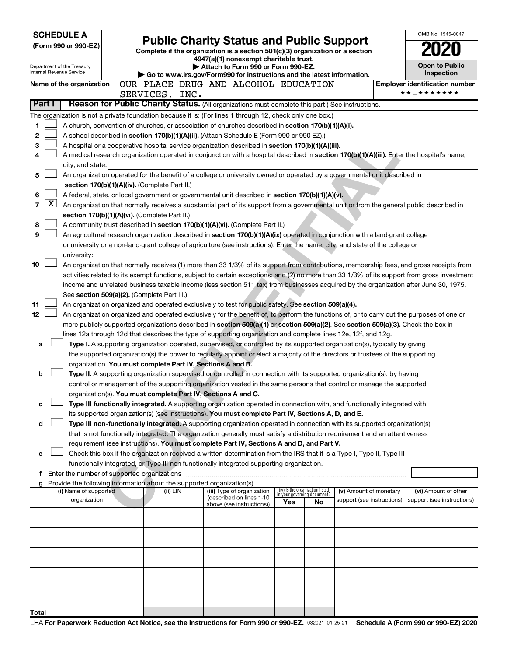| <b>SCHEDULE A</b>                                                                                                                                                               |                                                                                                                                                                                                                                                                 |                                                        |  | OMB No. 1545-0047                                                                                                                                                                                                               |  |  |                                                        |  |                                        |                                   |                                                      |  |                                                                                                                                              |  |
|---------------------------------------------------------------------------------------------------------------------------------------------------------------------------------|-----------------------------------------------------------------------------------------------------------------------------------------------------------------------------------------------------------------------------------------------------------------|--------------------------------------------------------|--|---------------------------------------------------------------------------------------------------------------------------------------------------------------------------------------------------------------------------------|--|--|--------------------------------------------------------|--|----------------------------------------|-----------------------------------|------------------------------------------------------|--|----------------------------------------------------------------------------------------------------------------------------------------------|--|
|                                                                                                                                                                                 |                                                                                                                                                                                                                                                                 | (Form 990 or 990-EZ)                                   |  | <b>Public Charity Status and Public Support</b><br>Complete if the organization is a section 501(c)(3) organization or a section                                                                                                |  |  |                                                        |  |                                        |                                   |                                                      |  |                                                                                                                                              |  |
|                                                                                                                                                                                 |                                                                                                                                                                                                                                                                 |                                                        |  |                                                                                                                                                                                                                                 |  |  |                                                        |  | 4947(a)(1) nonexempt charitable trust. |                                   |                                                      |  |                                                                                                                                              |  |
|                                                                                                                                                                                 |                                                                                                                                                                                                                                                                 | Department of the Treasury<br>Internal Revenue Service |  |                                                                                                                                                                                                                                 |  |  |                                                        |  | Attach to Form 990 or Form 990-EZ.     |                                   |                                                      |  | <b>Open to Public</b><br>Inspection                                                                                                          |  |
|                                                                                                                                                                                 |                                                                                                                                                                                                                                                                 | Name of the organization                               |  | Go to www.irs.gov/Form990 for instructions and the latest information.<br>OUR PLACE DRUG AND ALCOHOL EDUCATION                                                                                                                  |  |  |                                                        |  |                                        |                                   |                                                      |  | <b>Employer identification number</b>                                                                                                        |  |
|                                                                                                                                                                                 |                                                                                                                                                                                                                                                                 |                                                        |  | SERVICES, INC.                                                                                                                                                                                                                  |  |  |                                                        |  |                                        |                                   |                                                      |  | **_*******                                                                                                                                   |  |
|                                                                                                                                                                                 | Part I                                                                                                                                                                                                                                                          |                                                        |  | Reason for Public Charity Status. (All organizations must complete this part.) See instructions.                                                                                                                                |  |  |                                                        |  |                                        |                                   |                                                      |  |                                                                                                                                              |  |
|                                                                                                                                                                                 |                                                                                                                                                                                                                                                                 |                                                        |  | The organization is not a private foundation because it is: (For lines 1 through 12, check only one box.)                                                                                                                       |  |  |                                                        |  |                                        |                                   |                                                      |  |                                                                                                                                              |  |
| 1                                                                                                                                                                               |                                                                                                                                                                                                                                                                 |                                                        |  | A church, convention of churches, or association of churches described in <b>section 170(b)(1)(A)(i).</b>                                                                                                                       |  |  |                                                        |  |                                        |                                   |                                                      |  |                                                                                                                                              |  |
| 2                                                                                                                                                                               |                                                                                                                                                                                                                                                                 |                                                        |  | A school described in section 170(b)(1)(A)(ii). (Attach Schedule E (Form 990 or 990-EZ).)                                                                                                                                       |  |  |                                                        |  |                                        |                                   |                                                      |  |                                                                                                                                              |  |
| 3                                                                                                                                                                               |                                                                                                                                                                                                                                                                 |                                                        |  | A hospital or a cooperative hospital service organization described in section 170(b)(1)(A)(iii).                                                                                                                               |  |  |                                                        |  |                                        |                                   |                                                      |  |                                                                                                                                              |  |
| 4                                                                                                                                                                               |                                                                                                                                                                                                                                                                 |                                                        |  |                                                                                                                                                                                                                                 |  |  |                                                        |  |                                        |                                   |                                                      |  | A medical research organization operated in conjunction with a hospital described in section 170(b)(1)(A)(iii). Enter the hospital's name,   |  |
|                                                                                                                                                                                 |                                                                                                                                                                                                                                                                 | city, and state:                                       |  |                                                                                                                                                                                                                                 |  |  |                                                        |  |                                        |                                   |                                                      |  |                                                                                                                                              |  |
| An organization operated for the benefit of a college or university owned or operated by a governmental unit described in<br>5<br>section 170(b)(1)(A)(iv). (Complete Part II.) |                                                                                                                                                                                                                                                                 |                                                        |  |                                                                                                                                                                                                                                 |  |  |                                                        |  |                                        |                                   |                                                      |  |                                                                                                                                              |  |
|                                                                                                                                                                                 |                                                                                                                                                                                                                                                                 |                                                        |  |                                                                                                                                                                                                                                 |  |  |                                                        |  |                                        |                                   |                                                      |  |                                                                                                                                              |  |
| 6<br>$\overline{7}$                                                                                                                                                             | A federal, state, or local government or governmental unit described in section 170(b)(1)(A)(v).<br>$\mathbf{X}$<br>An organization that normally receives a substantial part of its support from a governmental unit or from the general public described in   |                                                        |  |                                                                                                                                                                                                                                 |  |  |                                                        |  |                                        |                                   |                                                      |  |                                                                                                                                              |  |
|                                                                                                                                                                                 | section 170(b)(1)(A)(vi). (Complete Part II.)                                                                                                                                                                                                                   |                                                        |  |                                                                                                                                                                                                                                 |  |  |                                                        |  |                                        |                                   |                                                      |  |                                                                                                                                              |  |
| 8                                                                                                                                                                               | A community trust described in section 170(b)(1)(A)(vi). (Complete Part II.)                                                                                                                                                                                    |                                                        |  |                                                                                                                                                                                                                                 |  |  |                                                        |  |                                        |                                   |                                                      |  |                                                                                                                                              |  |
| 9                                                                                                                                                                               |                                                                                                                                                                                                                                                                 |                                                        |  |                                                                                                                                                                                                                                 |  |  |                                                        |  |                                        |                                   |                                                      |  |                                                                                                                                              |  |
|                                                                                                                                                                                 | An agricultural research organization described in section 170(b)(1)(A)(ix) operated in conjunction with a land-grant college<br>or university or a non-land-grant college of agriculture (see instructions). Enter the name, city, and state of the college or |                                                        |  |                                                                                                                                                                                                                                 |  |  |                                                        |  |                                        |                                   |                                                      |  |                                                                                                                                              |  |
|                                                                                                                                                                                 | university:                                                                                                                                                                                                                                                     |                                                        |  |                                                                                                                                                                                                                                 |  |  |                                                        |  |                                        |                                   |                                                      |  |                                                                                                                                              |  |
| 10                                                                                                                                                                              |                                                                                                                                                                                                                                                                 |                                                        |  |                                                                                                                                                                                                                                 |  |  |                                                        |  |                                        |                                   |                                                      |  | An organization that normally receives (1) more than 33 1/3% of its support from contributions, membership fees, and gross receipts from     |  |
|                                                                                                                                                                                 |                                                                                                                                                                                                                                                                 |                                                        |  |                                                                                                                                                                                                                                 |  |  |                                                        |  |                                        |                                   |                                                      |  | activities related to its exempt functions, subject to certain exceptions; and (2) no more than 33 1/3% of its support from gross investment |  |
|                                                                                                                                                                                 | income and unrelated business taxable income (less section 511 tax) from businesses acquired by the organization after June 30, 1975.                                                                                                                           |                                                        |  |                                                                                                                                                                                                                                 |  |  |                                                        |  |                                        |                                   |                                                      |  |                                                                                                                                              |  |
|                                                                                                                                                                                 | See section 509(a)(2). (Complete Part III.)                                                                                                                                                                                                                     |                                                        |  |                                                                                                                                                                                                                                 |  |  |                                                        |  |                                        |                                   |                                                      |  |                                                                                                                                              |  |
| 11<br>12                                                                                                                                                                        | An organization organized and operated exclusively to test for public safety. See section 509(a)(4).<br>An organization organized and operated exclusively for the benefit of, to perform the functions of, or to carry out the purposes of one or              |                                                        |  |                                                                                                                                                                                                                                 |  |  |                                                        |  |                                        |                                   |                                                      |  |                                                                                                                                              |  |
|                                                                                                                                                                                 |                                                                                                                                                                                                                                                                 |                                                        |  |                                                                                                                                                                                                                                 |  |  |                                                        |  |                                        |                                   |                                                      |  | more publicly supported organizations described in section 509(a)(1) or section 509(a)(2). See section 509(a)(3). Check the box in           |  |
|                                                                                                                                                                                 |                                                                                                                                                                                                                                                                 |                                                        |  | lines 12a through 12d that describes the type of supporting organization and complete lines 12e, 12f, and 12g.                                                                                                                  |  |  |                                                        |  |                                        |                                   |                                                      |  |                                                                                                                                              |  |
| а                                                                                                                                                                               |                                                                                                                                                                                                                                                                 |                                                        |  | Type I. A supporting organization operated, supervised, or controlled by its supported organization(s), typically by giving                                                                                                     |  |  |                                                        |  |                                        |                                   |                                                      |  |                                                                                                                                              |  |
|                                                                                                                                                                                 |                                                                                                                                                                                                                                                                 |                                                        |  | the supported organization(s) the power to regularly appoint or elect a majority of the directors or trustees of the supporting                                                                                                 |  |  |                                                        |  |                                        |                                   |                                                      |  |                                                                                                                                              |  |
|                                                                                                                                                                                 |                                                                                                                                                                                                                                                                 |                                                        |  | organization. You must complete Part IV, Sections A and B.                                                                                                                                                                      |  |  |                                                        |  |                                        |                                   |                                                      |  |                                                                                                                                              |  |
| b                                                                                                                                                                               |                                                                                                                                                                                                                                                                 |                                                        |  | Type II. A supporting organization supervised or controlled in connection with its supported organization(s), by having                                                                                                         |  |  |                                                        |  |                                        |                                   |                                                      |  |                                                                                                                                              |  |
|                                                                                                                                                                                 |                                                                                                                                                                                                                                                                 |                                                        |  | control or management of the supporting organization vested in the same persons that control or manage the supported                                                                                                            |  |  |                                                        |  |                                        |                                   |                                                      |  |                                                                                                                                              |  |
|                                                                                                                                                                                 |                                                                                                                                                                                                                                                                 |                                                        |  | organization(s). You must complete Part IV, Sections A and C.                                                                                                                                                                   |  |  |                                                        |  |                                        |                                   |                                                      |  |                                                                                                                                              |  |
| с                                                                                                                                                                               |                                                                                                                                                                                                                                                                 |                                                        |  | Type III functionally integrated. A supporting organization operated in connection with, and functionally integrated with,                                                                                                      |  |  |                                                        |  |                                        |                                   |                                                      |  |                                                                                                                                              |  |
| d                                                                                                                                                                               |                                                                                                                                                                                                                                                                 |                                                        |  | its supported organization(s) (see instructions). You must complete Part IV, Sections A, D, and E.<br>Type III non-functionally integrated. A supporting organization operated in connection with its supported organization(s) |  |  |                                                        |  |                                        |                                   |                                                      |  |                                                                                                                                              |  |
|                                                                                                                                                                                 |                                                                                                                                                                                                                                                                 |                                                        |  | that is not functionally integrated. The organization generally must satisfy a distribution requirement and an attentiveness                                                                                                    |  |  |                                                        |  |                                        |                                   |                                                      |  |                                                                                                                                              |  |
|                                                                                                                                                                                 |                                                                                                                                                                                                                                                                 |                                                        |  | requirement (see instructions). You must complete Part IV, Sections A and D, and Part V.                                                                                                                                        |  |  |                                                        |  |                                        |                                   |                                                      |  |                                                                                                                                              |  |
| е                                                                                                                                                                               |                                                                                                                                                                                                                                                                 |                                                        |  | Check this box if the organization received a written determination from the IRS that it is a Type I, Type II, Type III                                                                                                         |  |  |                                                        |  |                                        |                                   |                                                      |  |                                                                                                                                              |  |
|                                                                                                                                                                                 |                                                                                                                                                                                                                                                                 |                                                        |  | functionally integrated, or Type III non-functionally integrated supporting organization.                                                                                                                                       |  |  |                                                        |  |                                        |                                   |                                                      |  |                                                                                                                                              |  |
|                                                                                                                                                                                 |                                                                                                                                                                                                                                                                 |                                                        |  | f Enter the number of supported organizations                                                                                                                                                                                   |  |  |                                                        |  |                                        |                                   |                                                      |  |                                                                                                                                              |  |
| g                                                                                                                                                                               |                                                                                                                                                                                                                                                                 |                                                        |  | Provide the following information about the supported organization(s).                                                                                                                                                          |  |  |                                                        |  |                                        | (iv) Is the organization listed   |                                                      |  |                                                                                                                                              |  |
|                                                                                                                                                                                 |                                                                                                                                                                                                                                                                 | (i) Name of supported<br>organization                  |  | (ii) EIN                                                                                                                                                                                                                        |  |  | (iii) Type of organization<br>(described on lines 1-10 |  | Yes                                    | in your governing document?<br>No | (v) Amount of monetary<br>support (see instructions) |  | (vi) Amount of other<br>support (see instructions)                                                                                           |  |
|                                                                                                                                                                                 |                                                                                                                                                                                                                                                                 |                                                        |  |                                                                                                                                                                                                                                 |  |  | above (see instructions))                              |  |                                        |                                   |                                                      |  |                                                                                                                                              |  |
|                                                                                                                                                                                 |                                                                                                                                                                                                                                                                 |                                                        |  |                                                                                                                                                                                                                                 |  |  |                                                        |  |                                        |                                   |                                                      |  |                                                                                                                                              |  |
|                                                                                                                                                                                 |                                                                                                                                                                                                                                                                 |                                                        |  |                                                                                                                                                                                                                                 |  |  |                                                        |  |                                        |                                   |                                                      |  |                                                                                                                                              |  |
|                                                                                                                                                                                 |                                                                                                                                                                                                                                                                 |                                                        |  |                                                                                                                                                                                                                                 |  |  |                                                        |  |                                        |                                   |                                                      |  |                                                                                                                                              |  |
|                                                                                                                                                                                 |                                                                                                                                                                                                                                                                 |                                                        |  |                                                                                                                                                                                                                                 |  |  |                                                        |  |                                        |                                   |                                                      |  |                                                                                                                                              |  |
|                                                                                                                                                                                 |                                                                                                                                                                                                                                                                 |                                                        |  |                                                                                                                                                                                                                                 |  |  |                                                        |  |                                        |                                   |                                                      |  |                                                                                                                                              |  |
|                                                                                                                                                                                 |                                                                                                                                                                                                                                                                 |                                                        |  |                                                                                                                                                                                                                                 |  |  |                                                        |  |                                        |                                   |                                                      |  |                                                                                                                                              |  |
|                                                                                                                                                                                 |                                                                                                                                                                                                                                                                 |                                                        |  |                                                                                                                                                                                                                                 |  |  |                                                        |  |                                        |                                   |                                                      |  |                                                                                                                                              |  |
|                                                                                                                                                                                 |                                                                                                                                                                                                                                                                 |                                                        |  |                                                                                                                                                                                                                                 |  |  |                                                        |  |                                        |                                   |                                                      |  |                                                                                                                                              |  |
| Total                                                                                                                                                                           |                                                                                                                                                                                                                                                                 |                                                        |  |                                                                                                                                                                                                                                 |  |  |                                                        |  |                                        |                                   |                                                      |  |                                                                                                                                              |  |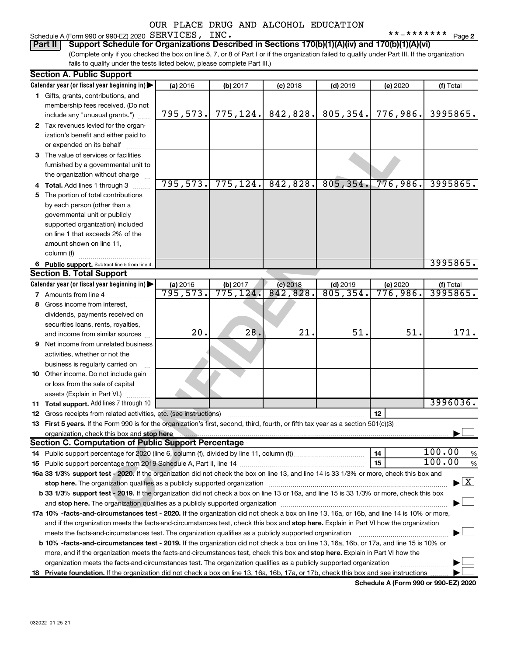**2**

## Schedule A (Form 990 or 990-EZ) 2020 SERVICES, INC.  $***$   $***$   $***$   $*$

(Complete only if you checked the box on line 5, 7, or 8 of Part I or if the organization failed to qualify under Part III. If the organization **Part II Support Schedule for Organizations Described in Sections 170(b)(1)(A)(iv) and 170(b)(1)(A)(vi)**

fails to qualify under the tests listed below, please complete Part III.)

|    | <b>Section A. Public Support</b>                                                                                                               |                      |                       |                        |                         |                      |                                    |  |  |  |  |
|----|------------------------------------------------------------------------------------------------------------------------------------------------|----------------------|-----------------------|------------------------|-------------------------|----------------------|------------------------------------|--|--|--|--|
|    | Calendar year (or fiscal year beginning in)                                                                                                    | (a) 2016             | (b) 2017              | $(c)$ 2018             | $(d)$ 2019              | (e) 2020             | (f) Total                          |  |  |  |  |
|    | 1 Gifts, grants, contributions, and                                                                                                            |                      |                       |                        |                         |                      |                                    |  |  |  |  |
|    | membership fees received. (Do not                                                                                                              |                      |                       |                        |                         |                      |                                    |  |  |  |  |
|    | include any "unusual grants.")                                                                                                                 | 795, 573.            | 775, 124.             | 842,828.               | 805, 354.               | 776,986.             | 3995865.                           |  |  |  |  |
|    | 2 Tax revenues levied for the organ-                                                                                                           |                      |                       |                        |                         |                      |                                    |  |  |  |  |
|    | ization's benefit and either paid to                                                                                                           |                      |                       |                        |                         |                      |                                    |  |  |  |  |
|    | or expended on its behalf                                                                                                                      |                      |                       |                        |                         |                      |                                    |  |  |  |  |
|    | 3 The value of services or facilities                                                                                                          |                      |                       |                        |                         |                      |                                    |  |  |  |  |
|    | furnished by a governmental unit to                                                                                                            |                      |                       |                        |                         |                      |                                    |  |  |  |  |
|    | the organization without charge                                                                                                                |                      |                       |                        |                         |                      |                                    |  |  |  |  |
|    | 4 Total. Add lines 1 through 3                                                                                                                 | 795,573.             | 775, 124.             | 842,828.               | 805, 354.               | 776,986.             | 3995865.                           |  |  |  |  |
| 5. | The portion of total contributions                                                                                                             |                      |                       |                        |                         |                      |                                    |  |  |  |  |
|    | by each person (other than a                                                                                                                   |                      |                       |                        |                         |                      |                                    |  |  |  |  |
|    | governmental unit or publicly                                                                                                                  |                      |                       |                        |                         |                      |                                    |  |  |  |  |
|    | supported organization) included                                                                                                               |                      |                       |                        |                         |                      |                                    |  |  |  |  |
|    | on line 1 that exceeds 2% of the                                                                                                               |                      |                       |                        |                         |                      |                                    |  |  |  |  |
|    | amount shown on line 11,                                                                                                                       |                      |                       |                        |                         |                      |                                    |  |  |  |  |
|    | column (f)                                                                                                                                     |                      |                       |                        |                         |                      |                                    |  |  |  |  |
|    |                                                                                                                                                |                      |                       |                        |                         |                      | 3995865.                           |  |  |  |  |
|    | 6 Public support. Subtract line 5 from line 4.<br><b>Section B. Total Support</b>                                                              |                      |                       |                        |                         |                      |                                    |  |  |  |  |
|    |                                                                                                                                                |                      |                       |                        |                         |                      |                                    |  |  |  |  |
|    | Calendar year (or fiscal year beginning in)                                                                                                    | (a) 2016<br>795,573. | (b) 2017<br>775, 124. | $(c)$ 2018<br>842,828. | $(d)$ 2019<br>805, 354. | (e) 2020<br>776,986. | (f) Total<br>3995865.              |  |  |  |  |
|    | <b>7</b> Amounts from line 4                                                                                                                   |                      |                       |                        |                         |                      |                                    |  |  |  |  |
| 8  | Gross income from interest,                                                                                                                    |                      |                       |                        |                         |                      |                                    |  |  |  |  |
|    | dividends, payments received on                                                                                                                |                      |                       |                        |                         |                      |                                    |  |  |  |  |
|    | securities loans, rents, royalties,                                                                                                            |                      |                       |                        |                         |                      |                                    |  |  |  |  |
|    | and income from similar sources                                                                                                                | 20.                  | 28.                   | 21                     | 51.                     | 51.                  | 171.                               |  |  |  |  |
| 9  | Net income from unrelated business                                                                                                             |                      |                       |                        |                         |                      |                                    |  |  |  |  |
|    | activities, whether or not the                                                                                                                 |                      |                       |                        |                         |                      |                                    |  |  |  |  |
|    | business is regularly carried on                                                                                                               |                      |                       |                        |                         |                      |                                    |  |  |  |  |
|    | 10 Other income. Do not include gain                                                                                                           |                      |                       |                        |                         |                      |                                    |  |  |  |  |
|    | or loss from the sale of capital                                                                                                               |                      |                       |                        |                         |                      |                                    |  |  |  |  |
|    | assets (Explain in Part VI.)                                                                                                                   |                      |                       |                        |                         |                      |                                    |  |  |  |  |
|    | <b>11 Total support.</b> Add lines 7 through 10                                                                                                |                      |                       |                        |                         |                      | 3996036.                           |  |  |  |  |
|    | 12 Gross receipts from related activities, etc. (see instructions)                                                                             |                      |                       |                        |                         | 12                   |                                    |  |  |  |  |
|    | 13 First 5 years. If the Form 990 is for the organization's first, second, third, fourth, or fifth tax year as a section 501(c)(3)             |                      |                       |                        |                         |                      |                                    |  |  |  |  |
|    | organization, check this box and stop here                                                                                                     |                      |                       |                        |                         |                      |                                    |  |  |  |  |
|    | <b>Section C. Computation of Public Support Percentage</b>                                                                                     |                      |                       |                        |                         |                      |                                    |  |  |  |  |
|    |                                                                                                                                                |                      |                       |                        |                         | 14                   | 100.00<br>%                        |  |  |  |  |
|    |                                                                                                                                                |                      |                       |                        |                         | 15                   | 100.00<br>%                        |  |  |  |  |
|    | 16a 33 1/3% support test - 2020. If the organization did not check the box on line 13, and line 14 is 33 1/3% or more, check this box and      |                      |                       |                        |                         |                      |                                    |  |  |  |  |
|    |                                                                                                                                                |                      |                       |                        |                         |                      | $\blacktriangleright$ $\mathbf{X}$ |  |  |  |  |
|    | b 33 1/3% support test - 2019. If the organization did not check a box on line 13 or 16a, and line 15 is 33 1/3% or more, check this box       |                      |                       |                        |                         |                      |                                    |  |  |  |  |
|    |                                                                                                                                                |                      |                       |                        |                         |                      |                                    |  |  |  |  |
|    | 17a 10% -facts-and-circumstances test - 2020. If the organization did not check a box on line 13, 16a, or 16b, and line 14 is 10% or more,     |                      |                       |                        |                         |                      |                                    |  |  |  |  |
|    | and if the organization meets the facts-and-circumstances test, check this box and stop here. Explain in Part VI how the organization          |                      |                       |                        |                         |                      |                                    |  |  |  |  |
|    | meets the facts-and-circumstances test. The organization qualifies as a publicly supported organization                                        |                      |                       |                        |                         |                      |                                    |  |  |  |  |
|    | <b>b 10%</b> -facts-and-circumstances test - 2019. If the organization did not check a box on line 13, 16a, 16b, or 17a, and line 15 is 10% or |                      |                       |                        |                         |                      |                                    |  |  |  |  |
|    | more, and if the organization meets the facts-and-circumstances test, check this box and stop here. Explain in Part VI how the                 |                      |                       |                        |                         |                      |                                    |  |  |  |  |
|    | organization meets the facts-and-circumstances test. The organization qualifies as a publicly supported organization                           |                      |                       |                        |                         |                      |                                    |  |  |  |  |
|    | 18 Private foundation. If the organization did not check a box on line 13, 16a, 16b, 17a, or 17b, check this box and see instructions          |                      |                       |                        |                         |                      |                                    |  |  |  |  |
|    |                                                                                                                                                |                      |                       |                        |                         |                      |                                    |  |  |  |  |

**Schedule A (Form 990 or 990-EZ) 2020**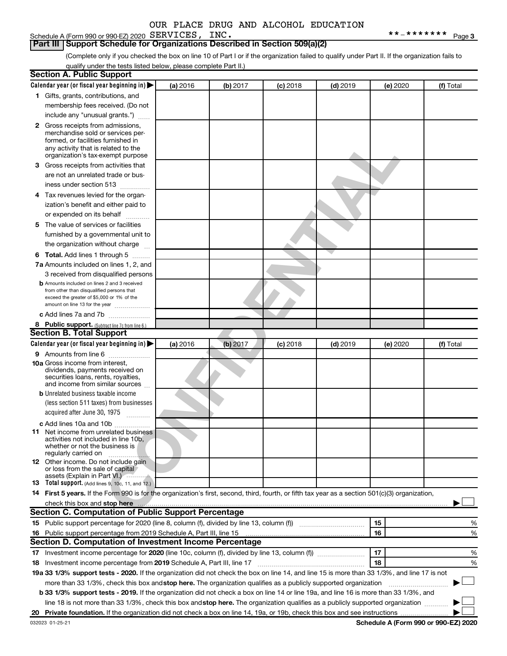Schedule A (Form 990 or 990-EZ) 2020 SERVICES, INC.

**3ERVICES, INC.** \*\*-\*\*\*\*\*\*\*\*\*\*\*\*<sub>Page</sub>3

#### **Part III Support Schedule for Organizations Described in Section 509(a)(2)**

(Complete only if you checked the box on line 10 of Part I or if the organization failed to qualify under Part II. If the organization fails to qualify under the tests listed below, please complete Part II.)

|    | <b>Section A. Public Support</b>                                                                                                                 |          |          |            |            |          |           |
|----|--------------------------------------------------------------------------------------------------------------------------------------------------|----------|----------|------------|------------|----------|-----------|
|    | Calendar year (or fiscal year beginning in)                                                                                                      | (a) 2016 | (b) 2017 | $(c)$ 2018 | $(d)$ 2019 | (e) 2020 | (f) Total |
|    | 1 Gifts, grants, contributions, and                                                                                                              |          |          |            |            |          |           |
|    | membership fees received. (Do not                                                                                                                |          |          |            |            |          |           |
|    | include any "unusual grants.")                                                                                                                   |          |          |            |            |          |           |
|    | 2 Gross receipts from admissions,                                                                                                                |          |          |            |            |          |           |
|    | merchandise sold or services per-                                                                                                                |          |          |            |            |          |           |
|    | formed, or facilities furnished in                                                                                                               |          |          |            |            |          |           |
|    | any activity that is related to the<br>organization's tax-exempt purpose                                                                         |          |          |            |            |          |           |
|    | 3 Gross receipts from activities that                                                                                                            |          |          |            |            |          |           |
|    | are not an unrelated trade or bus-                                                                                                               |          |          |            |            |          |           |
|    | iness under section 513                                                                                                                          |          |          |            |            |          |           |
|    | 4 Tax revenues levied for the organ-                                                                                                             |          |          |            |            |          |           |
|    | ization's benefit and either paid to                                                                                                             |          |          |            |            |          |           |
|    | or expended on its behalf<br>.                                                                                                                   |          |          |            |            |          |           |
|    | 5 The value of services or facilities                                                                                                            |          |          |            |            |          |           |
|    | furnished by a governmental unit to                                                                                                              |          |          |            |            |          |           |
|    | the organization without charge                                                                                                                  |          |          |            |            |          |           |
|    | <b>6 Total.</b> Add lines 1 through 5                                                                                                            |          |          |            |            |          |           |
|    | 7a Amounts included on lines 1, 2, and                                                                                                           |          |          |            |            |          |           |
|    | 3 received from disqualified persons                                                                                                             |          |          |            |            |          |           |
|    | <b>b</b> Amounts included on lines 2 and 3 received                                                                                              |          |          |            |            |          |           |
|    | from other than disqualified persons that                                                                                                        |          |          |            |            |          |           |
|    | exceed the greater of \$5,000 or 1% of the<br>amount on line 13 for the year                                                                     |          |          |            |            |          |           |
|    | c Add lines 7a and 7b                                                                                                                            |          |          |            |            |          |           |
|    | 8 Public support. (Subtract line 7c from line 6.)                                                                                                |          |          |            |            |          |           |
|    | <b>Section B. Total Support</b>                                                                                                                  |          |          |            |            |          |           |
|    | Calendar year (or fiscal year beginning in)                                                                                                      | (a) 2016 | (b) 2017 | $(c)$ 2018 | $(d)$ 2019 | (e) 2020 | (f) Total |
|    | <b>9</b> Amounts from line 6                                                                                                                     |          |          |            |            |          |           |
|    | <b>10a</b> Gross income from interest,                                                                                                           |          |          |            |            |          |           |
|    | dividends, payments received on                                                                                                                  |          |          |            |            |          |           |
|    | securities loans, rents, royalties,<br>and income from similar sources                                                                           |          |          |            |            |          |           |
|    | <b>b</b> Unrelated business taxable income                                                                                                       |          |          |            |            |          |           |
|    | (less section 511 taxes) from businesses                                                                                                         |          |          |            |            |          |           |
|    | acquired after June 30, 1975                                                                                                                     |          |          |            |            |          |           |
|    | c Add lines 10a and 10b                                                                                                                          |          |          |            |            |          |           |
| 11 | Net income from unrelated business                                                                                                               |          |          |            |            |          |           |
|    | activities not included in line 10b,                                                                                                             |          |          |            |            |          |           |
|    | whether or not the business is<br>regularly carried on                                                                                           |          |          |            |            |          |           |
|    | <b>12</b> Other income. Do not include gain                                                                                                      |          |          |            |            |          |           |
|    | or loss from the sale of capital                                                                                                                 |          |          |            |            |          |           |
|    | assets (Explain in Part VI.)<br><b>13</b> Total support. (Add lines 9, 10c, 11, and 12.)                                                         |          |          |            |            |          |           |
|    | 14 First 5 years. If the Form 990 is for the organization's first, second, third, fourth, or fifth tax year as a section 501(c)(3) organization, |          |          |            |            |          |           |
|    | check this box and stop here                                                                                                                     |          |          |            |            |          |           |
|    | Section C. Computation of Public Support Percentage                                                                                              |          |          |            |            |          |           |
|    |                                                                                                                                                  |          |          |            |            | 15       | %         |
|    | 16 Public support percentage from 2019 Schedule A, Part III, line 15                                                                             |          |          |            |            | 16       | %         |
|    | Section D. Computation of Investment Income Percentage                                                                                           |          |          |            |            |          |           |
|    |                                                                                                                                                  |          |          |            |            | 17       | %         |
|    | 18 Investment income percentage from 2019 Schedule A, Part III, line 17                                                                          |          |          |            |            | 18       | %         |
|    | 19a 33 1/3% support tests - 2020. If the organization did not check the box on line 14, and line 15 is more than 33 1/3%, and line 17 is not     |          |          |            |            |          |           |
|    | more than 33 1/3%, check this box and stop here. The organization qualifies as a publicly supported organization                                 |          |          |            |            |          |           |
|    | b 33 1/3% support tests - 2019. If the organization did not check a box on line 14 or line 19a, and line 16 is more than 33 1/3%, and            |          |          |            |            |          |           |
|    | line 18 is not more than 33 1/3%, check this box and stop here. The organization qualifies as a publicly supported organization                  |          |          |            |            |          |           |
|    |                                                                                                                                                  |          |          |            |            |          |           |
|    |                                                                                                                                                  |          |          |            |            |          |           |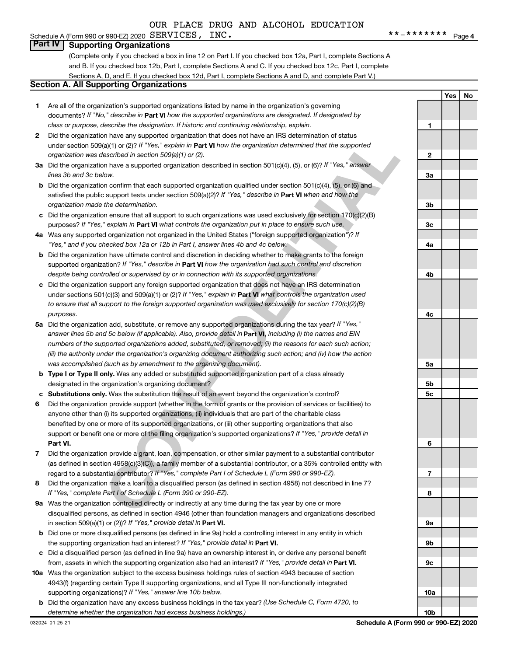### **Part IV Supporting Organizations**

(Complete only if you checked a box in line 12 on Part I. If you checked box 12a, Part I, complete Sections A and B. If you checked box 12b, Part I, complete Sections A and C. If you checked box 12c, Part I, complete Sections A, D, and E. If you checked box 12d, Part I, complete Sections A and D, and complete Part V.)

#### **Section A. All Supporting Organizations**

- **1** Are all of the organization's supported organizations listed by name in the organization's governing documents? If "No," describe in Part VI how the supported organizations are designated. If designated by *class or purpose, describe the designation. If historic and continuing relationship, explain.*
- **2** Did the organization have any supported organization that does not have an IRS determination of status under section 509(a)(1) or (2)? If "Yes," explain in Part **VI** how the organization determined that the supported *organization was described in section 509(a)(1) or (2).*
- **3a** Did the organization have a supported organization described in section 501(c)(4), (5), or (6)? If "Yes," answer *lines 3b and 3c below.*
- **b** Did the organization confirm that each supported organization qualified under section 501(c)(4), (5), or (6) and satisfied the public support tests under section 509(a)(2)? If "Yes," describe in Part VI when and how the *organization made the determination.*
- **c** Did the organization ensure that all support to such organizations was used exclusively for section 170(c)(2)(B) purposes? If "Yes," explain in Part VI what controls the organization put in place to ensure such use.
- **4 a** *If* Was any supported organization not organized in the United States ("foreign supported organization")? *"Yes," and if you checked box 12a or 12b in Part I, answer lines 4b and 4c below.*
- **b** Did the organization have ultimate control and discretion in deciding whether to make grants to the foreign supported organization? If "Yes," describe in Part VI how the organization had such control and discretion *despite being controlled or supervised by or in connection with its supported organizations.*
- **c** Did the organization support any foreign supported organization that does not have an IRS determination under sections 501(c)(3) and 509(a)(1) or (2)? If "Yes," explain in Part VI what controls the organization used *to ensure that all support to the foreign supported organization was used exclusively for section 170(c)(2)(B) purposes.*
- **5a** Did the organization add, substitute, or remove any supported organizations during the tax year? If "Yes," answer lines 5b and 5c below (if applicable). Also, provide detail in **Part VI,** including (i) the names and EIN *numbers of the supported organizations added, substituted, or removed; (ii) the reasons for each such action; (iii) the authority under the organization's organizing document authorizing such action; and (iv) how the action was accomplished (such as by amendment to the organizing document).*
- **b** Type I or Type II only. Was any added or substituted supported organization part of a class already designated in the organization's organizing document?
- **c Substitutions only.**  Was the substitution the result of an event beyond the organization's control?
- **Finance any suspension of the control of the state in the control of the mattern in the substitution of the control of the control of the control of the control of the control of the control of the control of the control 6** Did the organization provide support (whether in the form of grants or the provision of services or facilities) to **Part VI.** support or benefit one or more of the filing organization's supported organizations? If "Yes," provide detail in anyone other than (i) its supported organizations, (ii) individuals that are part of the charitable class benefited by one or more of its supported organizations, or (iii) other supporting organizations that also
- **7** Did the organization provide a grant, loan, compensation, or other similar payment to a substantial contributor regard to a substantial contributor? If "Yes," complete Part I of Schedule L (Form 990 or 990-EZ). (as defined in section 4958(c)(3)(C)), a family member of a substantial contributor, or a 35% controlled entity with
- **8** Did the organization make a loan to a disqualified person (as defined in section 4958) not described in line 7? *If "Yes," complete Part I of Schedule L (Form 990 or 990-EZ).*
- **9 a** Was the organization controlled directly or indirectly at any time during the tax year by one or more in section 509(a)(1) or (2))? If "Yes," provide detail in **Part VI.** disqualified persons, as defined in section 4946 (other than foundation managers and organizations described
- **b** Did one or more disqualified persons (as defined in line 9a) hold a controlling interest in any entity in which the supporting organization had an interest? If "Yes," provide detail in Part VI.
- **c** Did a disqualified person (as defined in line 9a) have an ownership interest in, or derive any personal benefit from, assets in which the supporting organization also had an interest? If "Yes," provide detail in Part VI.
- **10 a** Was the organization subject to the excess business holdings rules of section 4943 because of section supporting organizations)? If "Yes," answer line 10b below. 4943(f) (regarding certain Type II supporting organizations, and all Type III non-functionally integrated
- **b** Did the organization have any excess business holdings in the tax year? (Use Schedule C, Form 4720, to *determine whether the organization had excess business holdings.)*

**Yes No 1 2 3a 3b 3c 4a 4b 4c 5a 5b 5c 6 7 8 9a 9b 9c 10a 10b**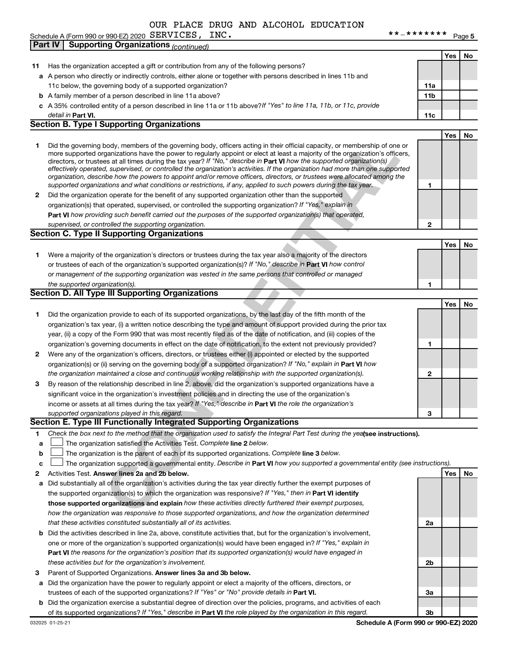|              | Schedule A (Form 990 or 990-EZ) 2020 SERVICES, INC.                                                                                                                                                                                                        | **_*******      |     | Page 5 |
|--------------|------------------------------------------------------------------------------------------------------------------------------------------------------------------------------------------------------------------------------------------------------------|-----------------|-----|--------|
|              | <b>Supporting Organizations (continued)</b><br>Part IV                                                                                                                                                                                                     |                 |     |        |
|              |                                                                                                                                                                                                                                                            |                 | Yes | No     |
| 11           | Has the organization accepted a gift or contribution from any of the following persons?                                                                                                                                                                    |                 |     |        |
|              | a A person who directly or indirectly controls, either alone or together with persons described in lines 11b and                                                                                                                                           |                 |     |        |
|              | 11c below, the governing body of a supported organization?                                                                                                                                                                                                 | 11a             |     |        |
|              | <b>b</b> A family member of a person described in line 11a above?                                                                                                                                                                                          | 11 <sub>b</sub> |     |        |
|              | c A 35% controlled entity of a person described in line 11a or 11b above?If "Yes" to line 11a, 11b, or 11c, provide                                                                                                                                        |                 |     |        |
|              | detail in Part VI.                                                                                                                                                                                                                                         | 11c             |     |        |
|              | <b>Section B. Type I Supporting Organizations</b>                                                                                                                                                                                                          |                 |     |        |
|              |                                                                                                                                                                                                                                                            |                 | Yes | No     |
| 1            | Did the governing body, members of the governing body, officers acting in their official capacity, or membership of one or                                                                                                                                 |                 |     |        |
|              | more supported organizations have the power to regularly appoint or elect at least a majority of the organization's officers,                                                                                                                              |                 |     |        |
|              | directors, or trustees at all times during the tax year? If "No," describe in Part VI how the supported organization(s)                                                                                                                                    |                 |     |        |
|              | effectively operated, supervised, or controlled the organization's activities. If the organization had more than one supported<br>organization, describe how the powers to appoint and/or remove officers, directors, or trustees were allocated among the |                 |     |        |
|              | supported organizations and what conditions or restrictions, if any, applied to such powers during the tax year.                                                                                                                                           | 1               |     |        |
| $\mathbf{2}$ | Did the organization operate for the benefit of any supported organization other than the supported                                                                                                                                                        |                 |     |        |
|              | organization(s) that operated, supervised, or controlled the supporting organization? If "Yes," explain in                                                                                                                                                 |                 |     |        |
|              | Part VI how providing such benefit carried out the purposes of the supported organization(s) that operated,                                                                                                                                                |                 |     |        |
|              | supervised, or controlled the supporting organization.                                                                                                                                                                                                     | 2               |     |        |
|              | <b>Section C. Type II Supporting Organizations</b>                                                                                                                                                                                                         |                 |     |        |
|              |                                                                                                                                                                                                                                                            |                 | Yes | No     |
| 1            | Were a majority of the organization's directors or trustees during the tax year also a majority of the directors                                                                                                                                           |                 |     |        |
|              | or trustees of each of the organization's supported organization(s)? If "No," describe in Part VI how control                                                                                                                                              |                 |     |        |
|              | or management of the supporting organization was vested in the same persons that controlled or managed                                                                                                                                                     |                 |     |        |
|              | the supported organization(s).                                                                                                                                                                                                                             | 1               |     |        |
|              | <b>Section D. All Type III Supporting Organizations</b>                                                                                                                                                                                                    |                 |     |        |
|              |                                                                                                                                                                                                                                                            |                 | Yes | No     |
| 1            | Did the organization provide to each of its supported organizations, by the last day of the fifth month of the                                                                                                                                             |                 |     |        |
|              | organization's tax year, (i) a written notice describing the type and amount of support provided during the prior tax                                                                                                                                      |                 |     |        |
|              | year, (ii) a copy of the Form 990 that was most recently filed as of the date of notification, and (iii) copies of the                                                                                                                                     |                 |     |        |
|              | organization's governing documents in effect on the date of notification, to the extent not previously provided?                                                                                                                                           | 1               |     |        |
| $\mathbf{2}$ | Were any of the organization's officers, directors, or trustees either (i) appointed or elected by the supported                                                                                                                                           |                 |     |        |
|              | organization(s) or (ii) serving on the governing body of a supported organization? If "No," explain in Part VI how                                                                                                                                         |                 |     |        |
|              | the organization maintained a close and continuous working relationship with the supported organization(s).                                                                                                                                                | $\mathbf{2}$    |     |        |
| 3            | By reason of the relationship described in line 2, above, did the organization's supported organizations have a                                                                                                                                            |                 |     |        |
|              | significant voice in the organization's investment policies and in directing the use of the organization's                                                                                                                                                 |                 |     |        |
|              | income or assets at all times during the tax year? If "Yes," describe in Part VI the role the organization's                                                                                                                                               |                 |     |        |
|              | supported organizations played in this regard.                                                                                                                                                                                                             | 3               |     |        |
|              | Section E. Type III Functionally Integrated Supporting Organizations                                                                                                                                                                                       |                 |     |        |
| 1            | Check the box next to the method that the organization used to satisfy the Integral Part Test during the yealsee instructions).                                                                                                                            |                 |     |        |
| a            | The organization satisfied the Activities Test. Complete line 2 below.                                                                                                                                                                                     |                 |     |        |
| b            | The organization is the parent of each of its supported organizations. Complete line 3 below.                                                                                                                                                              |                 |     |        |
| c            | The organization supported a governmental entity. Describe in Part VI how you supported a governmental entity (see instructions).                                                                                                                          |                 |     |        |
| 2            | Activities Test. Answer lines 2a and 2b below.                                                                                                                                                                                                             |                 | Yes | No     |
| a            | Did substantially all of the organization's activities during the tax year directly further the exempt purposes of                                                                                                                                         |                 |     |        |
|              | the supported organization(s) to which the organization was responsive? If "Yes," then in Part VI identify                                                                                                                                                 |                 |     |        |
|              | those supported organizations and explain how these activities directly furthered their exempt purposes,                                                                                                                                                   |                 |     |        |
|              | how the organization was responsive to those supported organizations, and how the organization determined                                                                                                                                                  |                 |     |        |
|              | that these activities constituted substantially all of its activities.                                                                                                                                                                                     | 2a              |     |        |
|              | <b>b</b> Did the activities described in line 2a, above, constitute activities that, but for the organization's involvement,                                                                                                                               |                 |     |        |
|              | one or more of the organization's supported organization(s) would have been engaged in? If "Yes," explain in                                                                                                                                               |                 |     |        |
|              |                                                                                                                                                                                                                                                            |                 |     |        |
|              | Part VI the reasons for the organization's position that its supported organization(s) would have engaged in                                                                                                                                               |                 |     |        |
|              | these activities but for the organization's involvement.                                                                                                                                                                                                   | 2b              |     |        |
| з            | Parent of Supported Organizations. Answer lines 3a and 3b below.<br>examination have the nower to requierly ennaint as elect a majerity of the officers, disaster                                                                                          |                 |     |        |

- **a** Did the organization have the power to regularly appoint or elect a majority of the officers, directors, or trustees of each of the supported organizations? If "Yes" or "No" provide details in Part VI.
- **b** Did the organization exercise a substantial degree of direction over the policies, programs, and activities of each of its supported organizations? If "Yes," describe in Part VI the role played by the organization in this regard.

**3a**

**3b**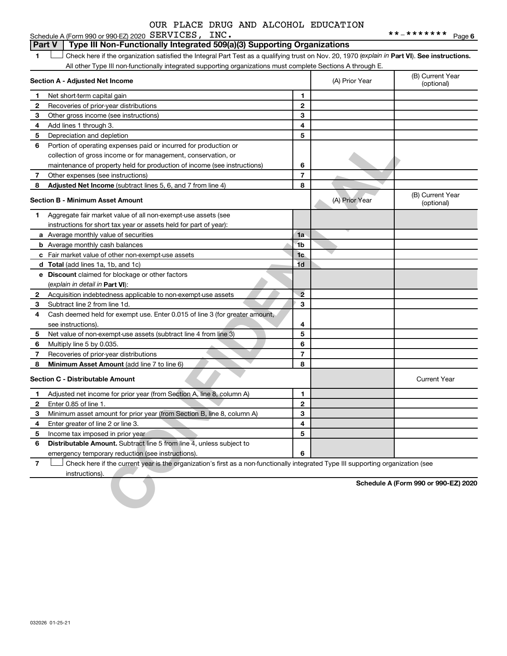**Exploration**<br>
In properties paid or incurred for production or<br>
Income or for management, conservation, or<br>
Derivation of monomic different conservation, and<br>
Derivation of income and increased (see<br>
text water of all mon **1 Part VI** Check here if the organization satisfied the Integral Part Test as a qualifying trust on Nov. 20, 1970 (*explain in* Part **VI**). See instructions. **Section A - Adjusted Net Income 1 2 3 4 5 6 7 8 1 2 3 4 5 6 7 Adjusted Net Income** (subtract lines 5, 6, and 7 from line 4) **8 8 Section B - Minimum Asset Amount 1 2 3 4 5 6 7 8 a** Average monthly value of securities **b** Average monthly cash balances **c** Fair market value of other non-exempt-use assets **d Total**  (add lines 1a, 1b, and 1c) **e Discount** claimed for blockage or other factors **1a 1b 1c 1d 2 3 4 5 6 7 8** (explain in detail in Part VI): **Minimum Asset Amount**  (add line 7 to line 6) **Section C - Distributable Amount 1 2 3 4 5 6 1 2 3 4 5** Distributable Amount. Subtract line 5 from line 4, unless subject to Schedule A (Form 990 or 990-EZ) 2020 SERVICES, INC.  $***$   $***$   $***$   $*$ All other Type III non-functionally integrated supporting organizations must complete Sections A through E. (B) Current Year<br>(optional) (A) Prior Year Net short-term capital gain Recoveries of prior-year distributions Other gross income (see instructions) Add lines 1 through 3. Depreciation and depletion Portion of operating expenses paid or incurred for production or collection of gross income or for management, conservation, or maintenance of property held for production of income (see instructions) Other expenses (see instructions) (B) Current Year  $(A)$  Prior Year  $(B)$  Content Topology Aggregate fair market value of all non-exempt-use assets (see instructions for short tax year or assets held for part of year): Acquisition indebtedness applicable to non-exempt-use assets Subtract line 2 from line 1d. Cash deemed held for exempt use. Enter 0.015 of line 3 (for greater amount, see instructions). Net value of non-exempt-use assets (subtract line 4 from line 3) Multiply line 5 by 0.035. Recoveries of prior-year distributions Current Year Adjusted net income for prior year (from Section A, line 8, column A) Enter 0.85 of line 1. Minimum asset amount for prior year (from Section B, line 8, column A) Enter greater of line 2 or line 3. Income tax imposed in prior year **Part V** Type III Non-Functionally Integrated 509(a)(3) Supporting Organizations  $\Box$ 

emergency temporary reduction (see instructions).

**7** Check here if the current year is the organization's first as a non-functionally integrated Type III supporting organization (see † instructions).

**6**

**Schedule A (Form 990 or 990-EZ) 2020**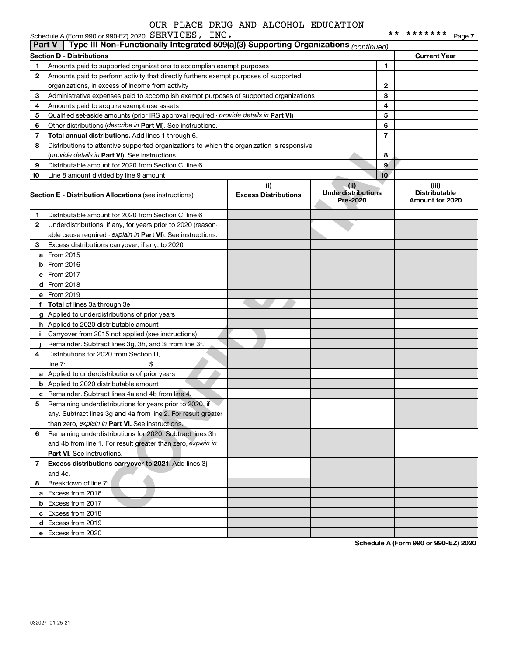|        | Schedule A (Form 990 or 990-EZ) 2020 SERVICES, INC.                                        |                                    |                                               | **_*******<br>Page 7                                    |  |  |  |  |  |
|--------|--------------------------------------------------------------------------------------------|------------------------------------|-----------------------------------------------|---------------------------------------------------------|--|--|--|--|--|
| Part V | Type III Non-Functionally Integrated 509(a)(3) Supporting Organizations (continued)        |                                    |                                               |                                                         |  |  |  |  |  |
|        | <b>Section D - Distributions</b>                                                           |                                    |                                               | <b>Current Year</b>                                     |  |  |  |  |  |
| 1      | Amounts paid to supported organizations to accomplish exempt purposes                      |                                    | 1                                             |                                                         |  |  |  |  |  |
| 2      | Amounts paid to perform activity that directly furthers exempt purposes of supported       |                                    |                                               |                                                         |  |  |  |  |  |
|        | organizations, in excess of income from activity                                           | 2                                  |                                               |                                                         |  |  |  |  |  |
| 3      | Administrative expenses paid to accomplish exempt purposes of supported organizations      |                                    | 3                                             |                                                         |  |  |  |  |  |
| 4      | Amounts paid to acquire exempt-use assets                                                  |                                    | 4                                             |                                                         |  |  |  |  |  |
| 5      | Qualified set-aside amounts (prior IRS approval required - provide details in Part VI)     |                                    | 5                                             |                                                         |  |  |  |  |  |
| 6      | Other distributions (describe in Part VI). See instructions.                               |                                    | 6                                             |                                                         |  |  |  |  |  |
| 7      | Total annual distributions. Add lines 1 through 6.                                         |                                    | $\overline{7}$                                |                                                         |  |  |  |  |  |
| 8      | Distributions to attentive supported organizations to which the organization is responsive |                                    |                                               |                                                         |  |  |  |  |  |
|        | (provide details in Part VI). See instructions.                                            |                                    | 8                                             |                                                         |  |  |  |  |  |
| 9      | Distributable amount for 2020 from Section C, line 6                                       |                                    | 9                                             |                                                         |  |  |  |  |  |
| 10     | Line 8 amount divided by line 9 amount                                                     |                                    | 10 <sub>1</sub>                               |                                                         |  |  |  |  |  |
|        | <b>Section E - Distribution Allocations (see instructions)</b>                             | (i)<br><b>Excess Distributions</b> | (ii)<br><b>Underdistributions</b><br>Pre-2020 | (iii)<br><b>Distributable</b><br><b>Amount for 2020</b> |  |  |  |  |  |
| 1      | Distributable amount for 2020 from Section C, line 6                                       |                                    |                                               |                                                         |  |  |  |  |  |
| 2      | Underdistributions, if any, for years prior to 2020 (reason-                               |                                    |                                               |                                                         |  |  |  |  |  |
|        | able cause required - explain in Part VI). See instructions.                               |                                    |                                               |                                                         |  |  |  |  |  |
| 3      | Excess distributions carryover, if any, to 2020                                            |                                    |                                               |                                                         |  |  |  |  |  |
|        | a From 2015                                                                                |                                    |                                               |                                                         |  |  |  |  |  |
|        | <b>b</b> From 2016                                                                         |                                    |                                               |                                                         |  |  |  |  |  |
|        | c From 2017                                                                                |                                    |                                               |                                                         |  |  |  |  |  |
|        | <b>d</b> From 2018                                                                         |                                    |                                               |                                                         |  |  |  |  |  |
|        | e From 2019                                                                                |                                    |                                               |                                                         |  |  |  |  |  |
|        | f Total of lines 3a through 3e                                                             |                                    |                                               |                                                         |  |  |  |  |  |
|        | g Applied to underdistributions of prior years                                             |                                    |                                               |                                                         |  |  |  |  |  |
|        | h Applied to 2020 distributable amount                                                     |                                    |                                               |                                                         |  |  |  |  |  |
| Ť.     | Carryover from 2015 not applied (see instructions)                                         |                                    |                                               |                                                         |  |  |  |  |  |
|        | Remainder. Subtract lines 3g, 3h, and 3i from line 3f.                                     |                                    |                                               |                                                         |  |  |  |  |  |
| 4      | Distributions for 2020 from Section D,                                                     |                                    |                                               |                                                         |  |  |  |  |  |
|        | line $7:$                                                                                  |                                    |                                               |                                                         |  |  |  |  |  |
|        | a Applied to underdistributions of prior years                                             |                                    |                                               |                                                         |  |  |  |  |  |
|        | <b>b</b> Applied to 2020 distributable amount                                              |                                    |                                               |                                                         |  |  |  |  |  |
|        | c Remainder. Subtract lines 4a and 4b from line 4.                                         |                                    |                                               |                                                         |  |  |  |  |  |
|        | 5 Remaining underdistributions for years prior to 2020, if                                 |                                    |                                               |                                                         |  |  |  |  |  |
|        | any. Subtract lines 3g and 4a from line 2. For result greater                              |                                    |                                               |                                                         |  |  |  |  |  |
|        | than zero, explain in Part VI. See instructions.                                           |                                    |                                               |                                                         |  |  |  |  |  |
| 6      | Remaining underdistributions for 2020. Subtract lines 3h                                   |                                    |                                               |                                                         |  |  |  |  |  |
|        | and 4b from line 1. For result greater than zero, explain in                               |                                    |                                               |                                                         |  |  |  |  |  |
|        | <b>Part VI.</b> See instructions.                                                          |                                    |                                               |                                                         |  |  |  |  |  |
| 7      | Excess distributions carryover to 2021. Add lines 3j                                       |                                    |                                               |                                                         |  |  |  |  |  |
|        | and 4c.                                                                                    |                                    |                                               |                                                         |  |  |  |  |  |
| 8      | Breakdown of line 7:                                                                       |                                    |                                               |                                                         |  |  |  |  |  |
|        | a Excess from 2016                                                                         |                                    |                                               |                                                         |  |  |  |  |  |
|        | <b>b</b> Excess from 2017                                                                  |                                    |                                               |                                                         |  |  |  |  |  |
|        | c Excess from 2018                                                                         |                                    |                                               |                                                         |  |  |  |  |  |
|        | d Excess from 2019                                                                         |                                    |                                               |                                                         |  |  |  |  |  |
|        | e Excess from 2020                                                                         |                                    |                                               |                                                         |  |  |  |  |  |

**Schedule A (Form 990 or 990-EZ) 2020**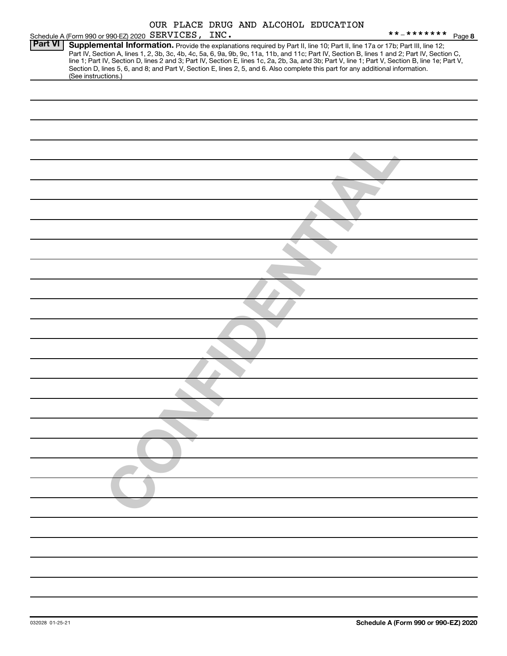|                |                                                                                                                                                                                                                                                                                                                                                                                                                                                                                                                                                                                             |  | OUR PLACE DRUG AND ALCOHOL EDUCATION |                   |  |
|----------------|---------------------------------------------------------------------------------------------------------------------------------------------------------------------------------------------------------------------------------------------------------------------------------------------------------------------------------------------------------------------------------------------------------------------------------------------------------------------------------------------------------------------------------------------------------------------------------------------|--|--------------------------------------|-------------------|--|
|                | Schedule A (Form 990 or 990-EZ) 2020 SERVICES, INC.                                                                                                                                                                                                                                                                                                                                                                                                                                                                                                                                         |  |                                      | **_******* Page 8 |  |
| <b>Part VI</b> | Supplemental Information. Provide the explanations required by Part II, line 10; Part II, line 17a or 17b; Part III, line 12;<br>Part IV, Section A, lines 1, 2, 3b, 3c, 4b, 4c, 5a, 6, 9a, 9b, 9c, 11a, 11b, and 11c; Part IV, Section B, lines 1 and 2; Part IV, Section C,<br>line 1; Part IV, Section D, lines 2 and 3; Part IV, Section E, lines 1c, 2a, 2b, 3a, and 3b; Part V, line 1; Part V, Section B, line 1e; Part V,<br>Section D, lines 5, 6, and 8; and Part V, Section E, lines 2, 5, and 6. Also complete this part for any additional information.<br>(See instructions.) |  |                                      |                   |  |
|                |                                                                                                                                                                                                                                                                                                                                                                                                                                                                                                                                                                                             |  |                                      |                   |  |
|                |                                                                                                                                                                                                                                                                                                                                                                                                                                                                                                                                                                                             |  |                                      |                   |  |
|                |                                                                                                                                                                                                                                                                                                                                                                                                                                                                                                                                                                                             |  |                                      |                   |  |
|                |                                                                                                                                                                                                                                                                                                                                                                                                                                                                                                                                                                                             |  |                                      |                   |  |
|                |                                                                                                                                                                                                                                                                                                                                                                                                                                                                                                                                                                                             |  |                                      |                   |  |
|                |                                                                                                                                                                                                                                                                                                                                                                                                                                                                                                                                                                                             |  |                                      |                   |  |
|                |                                                                                                                                                                                                                                                                                                                                                                                                                                                                                                                                                                                             |  |                                      |                   |  |
|                |                                                                                                                                                                                                                                                                                                                                                                                                                                                                                                                                                                                             |  |                                      |                   |  |
|                |                                                                                                                                                                                                                                                                                                                                                                                                                                                                                                                                                                                             |  |                                      |                   |  |
|                |                                                                                                                                                                                                                                                                                                                                                                                                                                                                                                                                                                                             |  |                                      |                   |  |
|                |                                                                                                                                                                                                                                                                                                                                                                                                                                                                                                                                                                                             |  |                                      |                   |  |
|                |                                                                                                                                                                                                                                                                                                                                                                                                                                                                                                                                                                                             |  |                                      |                   |  |
|                |                                                                                                                                                                                                                                                                                                                                                                                                                                                                                                                                                                                             |  |                                      |                   |  |
|                |                                                                                                                                                                                                                                                                                                                                                                                                                                                                                                                                                                                             |  |                                      |                   |  |
|                |                                                                                                                                                                                                                                                                                                                                                                                                                                                                                                                                                                                             |  |                                      |                   |  |
|                |                                                                                                                                                                                                                                                                                                                                                                                                                                                                                                                                                                                             |  |                                      |                   |  |
|                |                                                                                                                                                                                                                                                                                                                                                                                                                                                                                                                                                                                             |  |                                      |                   |  |
|                |                                                                                                                                                                                                                                                                                                                                                                                                                                                                                                                                                                                             |  |                                      |                   |  |
|                |                                                                                                                                                                                                                                                                                                                                                                                                                                                                                                                                                                                             |  |                                      |                   |  |
|                |                                                                                                                                                                                                                                                                                                                                                                                                                                                                                                                                                                                             |  |                                      |                   |  |
|                |                                                                                                                                                                                                                                                                                                                                                                                                                                                                                                                                                                                             |  |                                      |                   |  |
|                |                                                                                                                                                                                                                                                                                                                                                                                                                                                                                                                                                                                             |  |                                      |                   |  |
|                |                                                                                                                                                                                                                                                                                                                                                                                                                                                                                                                                                                                             |  |                                      |                   |  |
|                |                                                                                                                                                                                                                                                                                                                                                                                                                                                                                                                                                                                             |  |                                      |                   |  |
|                |                                                                                                                                                                                                                                                                                                                                                                                                                                                                                                                                                                                             |  |                                      |                   |  |
|                |                                                                                                                                                                                                                                                                                                                                                                                                                                                                                                                                                                                             |  |                                      |                   |  |
|                |                                                                                                                                                                                                                                                                                                                                                                                                                                                                                                                                                                                             |  |                                      |                   |  |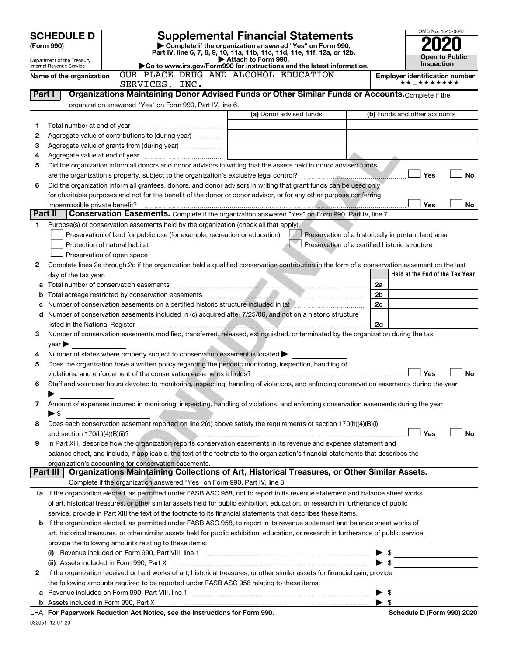|         |                                                        |                                                                             |  |                                                                                                                                                |  |                         | OMB No. 1545-0047                                  |
|---------|--------------------------------------------------------|-----------------------------------------------------------------------------|--|------------------------------------------------------------------------------------------------------------------------------------------------|--|-------------------------|----------------------------------------------------|
|         | <b>SCHEDULE D</b><br>(Form 990)                        |                                                                             |  | <b>Supplemental Financial Statements</b><br>Complete if the organization answered "Yes" on Form 990,                                           |  |                         |                                                    |
|         |                                                        |                                                                             |  | Part IV, line 6, 7, 8, 9, 10, 11a, 11b, 11c, 11d, 11e, 11f, 12a, or 12b.                                                                       |  |                         |                                                    |
|         | Department of the Treasury<br>Internal Revenue Service |                                                                             |  | Attach to Form 990.<br>Go to www.irs.gov/Form990 for instructions and the latest information.                                                  |  |                         | Open to Public<br>Inspection                       |
|         | Name of the organization                               | OUR PLACE DRUG AND ALCOHOL EDUCATION                                        |  |                                                                                                                                                |  |                         | <b>Employer identification number</b>              |
|         |                                                        | SERVICES, INC.                                                              |  |                                                                                                                                                |  |                         | **_*******                                         |
| Part I  |                                                        |                                                                             |  | Organizations Maintaining Donor Advised Funds or Other Similar Funds or Accounts. Complete if the                                              |  |                         |                                                    |
|         |                                                        | organization answered "Yes" on Form 990, Part IV, line 6.                   |  |                                                                                                                                                |  |                         |                                                    |
|         |                                                        |                                                                             |  | (a) Donor advised funds                                                                                                                        |  |                         | (b) Funds and other accounts                       |
| 1       |                                                        |                                                                             |  |                                                                                                                                                |  |                         |                                                    |
| 2       |                                                        | Aggregate value of contributions to (during year)                           |  |                                                                                                                                                |  |                         |                                                    |
| З       |                                                        |                                                                             |  |                                                                                                                                                |  |                         |                                                    |
| 4       |                                                        |                                                                             |  |                                                                                                                                                |  |                         |                                                    |
| 5       |                                                        |                                                                             |  | Did the organization inform all donors and donor advisors in writing that the assets held in donor advised funds                               |  |                         |                                                    |
|         |                                                        |                                                                             |  |                                                                                                                                                |  |                         | Yes<br><b>No</b>                                   |
| 6       |                                                        |                                                                             |  | Did the organization inform all grantees, donors, and donor advisors in writing that grant funds can be used only                              |  |                         |                                                    |
|         |                                                        |                                                                             |  | for charitable purposes and not for the benefit of the donor or donor advisor, or for any other purpose conferring                             |  |                         |                                                    |
|         | impermissible private benefit?                         |                                                                             |  |                                                                                                                                                |  |                         | Yes<br>No                                          |
| Part II |                                                        |                                                                             |  | Conservation Easements. Complete if the organization answered "Yes" on Form 990, Part IV, line 7.                                              |  |                         |                                                    |
| 1       |                                                        |                                                                             |  | Purpose(s) of conservation easements held by the organization (check all that apply).                                                          |  |                         |                                                    |
|         |                                                        | Preservation of land for public use (for example, recreation or education)  |  |                                                                                                                                                |  |                         | Preservation of a historically important land area |
|         |                                                        | Protection of natural habitat                                               |  | Preservation of a certified historic structure                                                                                                 |  |                         |                                                    |
|         |                                                        | Preservation of open space                                                  |  |                                                                                                                                                |  |                         |                                                    |
| 2       |                                                        |                                                                             |  | Complete lines 2a through 2d if the organization held a qualified conservation contribution in the form of a conservation easement on the last |  |                         |                                                    |
|         | day of the tax year.                                   |                                                                             |  |                                                                                                                                                |  |                         | Held at the End of the Tax Year                    |
|         |                                                        |                                                                             |  |                                                                                                                                                |  | 2a                      |                                                    |
| b       |                                                        |                                                                             |  |                                                                                                                                                |  | 2 <sub>b</sub>          |                                                    |
|         |                                                        |                                                                             |  | Number of conservation easements on a certified historic structure included in (a) manufacture of conservation                                 |  | 2c                      |                                                    |
|         |                                                        |                                                                             |  | d Number of conservation easements included in (c) acquired after 7/25/06, and not on a historic structure                                     |  |                         |                                                    |
|         |                                                        |                                                                             |  |                                                                                                                                                |  | 2d                      |                                                    |
| 3       |                                                        |                                                                             |  | Number of conservation easements modified, transferred, released, extinguished, or terminated by the organization during the tax               |  |                         |                                                    |
|         | year                                                   |                                                                             |  |                                                                                                                                                |  |                         |                                                    |
| 4       |                                                        | Number of states where property subject to conservation easement is located |  |                                                                                                                                                |  |                         |                                                    |
| 5       |                                                        | violations, and enforcement of the conservation easements it holds?         |  | Does the organization have a written policy regarding the periodic monitoring, inspection, handling of                                         |  |                         | Yes<br><b>No</b>                                   |
| 6       |                                                        |                                                                             |  |                                                                                                                                                |  |                         |                                                    |
|         |                                                        |                                                                             |  | Staff and volunteer hours devoted to monitoring, inspecting, handling of violations, and enforcing conservation easements during the year      |  |                         |                                                    |
| 7       |                                                        |                                                                             |  | Amount of expenses incurred in monitoring, inspecting, handling of violations, and enforcing conservation easements during the year            |  |                         |                                                    |
|         | ▶ \$                                                   |                                                                             |  |                                                                                                                                                |  |                         |                                                    |
| 8       |                                                        |                                                                             |  | Does each conservation easement reported on line 2(d) above satisfy the requirements of section 170(h)(4)(B)(i)                                |  |                         |                                                    |
|         |                                                        |                                                                             |  |                                                                                                                                                |  |                         | Yes<br>No                                          |
| 9       |                                                        |                                                                             |  | In Part XIII, describe how the organization reports conservation easements in its revenue and expense statement and                            |  |                         |                                                    |
|         |                                                        |                                                                             |  | balance sheet, and include, if applicable, the text of the footnote to the organization's financial statements that describes the              |  |                         |                                                    |
|         |                                                        | organization's accounting for conservation easements.                       |  |                                                                                                                                                |  |                         |                                                    |
|         | Part III                                               |                                                                             |  | Organizations Maintaining Collections of Art, Historical Treasures, or Other Similar Assets.                                                   |  |                         |                                                    |
|         |                                                        | Complete if the organization answered "Yes" on Form 990, Part IV, line 8.   |  |                                                                                                                                                |  |                         |                                                    |
|         |                                                        |                                                                             |  | 1a If the organization elected, as permitted under FASB ASC 958, not to report in its revenue statement and balance sheet works                |  |                         |                                                    |
|         |                                                        |                                                                             |  | of art, historical treasures, or other similar assets held for public exhibition, education, or research in furtherance of public              |  |                         |                                                    |
|         |                                                        |                                                                             |  | service, provide in Part XIII the text of the footnote to its financial statements that describes these items.                                 |  |                         |                                                    |
|         |                                                        |                                                                             |  | <b>b</b> If the organization elected, as permitted under FASB ASC 958, to report in its revenue statement and balance sheet works of           |  |                         |                                                    |
|         |                                                        |                                                                             |  | art, historical treasures, or other similar assets held for public exhibition, education, or research in furtherance of public service,        |  |                         |                                                    |
|         |                                                        | provide the following amounts relating to these items:                      |  |                                                                                                                                                |  |                         |                                                    |
|         |                                                        |                                                                             |  |                                                                                                                                                |  | -\$                     |                                                    |
|         |                                                        |                                                                             |  | (ii) Assets included in Form 990, Part X [11] Marson Marson Marson Marson Marson Marson Marson Marson Marson M                                 |  | - \$                    |                                                    |
| 2       |                                                        |                                                                             |  | If the organization received or held works of art, historical treasures, or other similar assets for financial gain, provide                   |  |                         |                                                    |
|         |                                                        |                                                                             |  | the following amounts required to be reported under FASB ASC 958 relating to these items:                                                      |  |                         |                                                    |
| а       |                                                        |                                                                             |  |                                                                                                                                                |  | -\$                     |                                                    |
|         |                                                        |                                                                             |  |                                                                                                                                                |  | $\blacktriangleright$ s |                                                    |
|         |                                                        | LHA For Paperwork Reduction Act Notice, see the Instructions for Form 990.  |  |                                                                                                                                                |  |                         | Schedule D (Form 990) 2020                         |

032051 12-01-20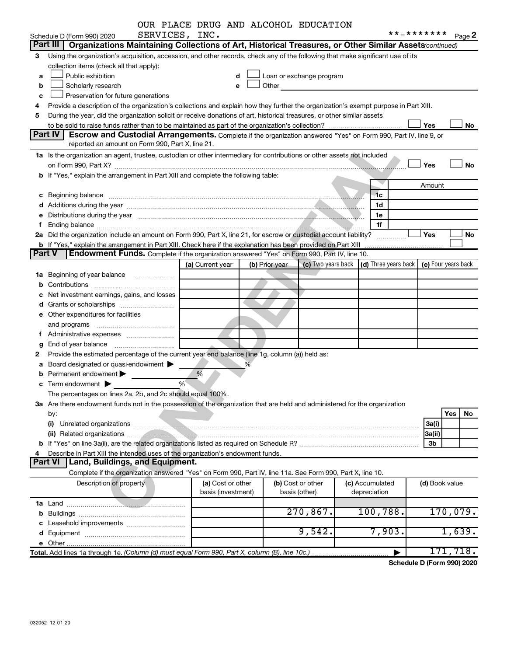|               |                                                                                                                                                                                                                                | OUR PLACE DRUG AND ALCOHOL EDUCATION |                    |                |                                                                                                                                                                                                                               |                                         |                     |           |
|---------------|--------------------------------------------------------------------------------------------------------------------------------------------------------------------------------------------------------------------------------|--------------------------------------|--------------------|----------------|-------------------------------------------------------------------------------------------------------------------------------------------------------------------------------------------------------------------------------|-----------------------------------------|---------------------|-----------|
|               | Schedule D (Form 990) 2020                                                                                                                                                                                                     | SERVICES, INC.                       |                    |                |                                                                                                                                                                                                                               |                                         | **_*******          | Page 2    |
| Part III      | Organizations Maintaining Collections of Art, Historical Treasures, or Other Similar Assets (continued)                                                                                                                        |                                      |                    |                |                                                                                                                                                                                                                               |                                         |                     |           |
| 3             | Using the organization's acquisition, accession, and other records, check any of the following that make significant use of its                                                                                                |                                      |                    |                |                                                                                                                                                                                                                               |                                         |                     |           |
|               | collection items (check all that apply):                                                                                                                                                                                       |                                      |                    |                |                                                                                                                                                                                                                               |                                         |                     |           |
| a             | Public exhibition                                                                                                                                                                                                              |                                      | d                  |                | Loan or exchange program                                                                                                                                                                                                      |                                         |                     |           |
| b             | Scholarly research                                                                                                                                                                                                             |                                      | е                  |                | Other and the contract of the contract of the contract of the contract of the contract of the contract of the contract of the contract of the contract of the contract of the contract of the contract of the contract of the |                                         |                     |           |
| c             | Preservation for future generations                                                                                                                                                                                            |                                      |                    |                |                                                                                                                                                                                                                               |                                         |                     |           |
|               | Provide a description of the organization's collections and explain how they further the organization's exempt purpose in Part XIII.                                                                                           |                                      |                    |                |                                                                                                                                                                                                                               |                                         |                     |           |
| 5             | During the year, did the organization solicit or receive donations of art, historical treasures, or other similar assets                                                                                                       |                                      |                    |                |                                                                                                                                                                                                                               |                                         |                     |           |
|               |                                                                                                                                                                                                                                |                                      |                    |                |                                                                                                                                                                                                                               |                                         | Yes                 | No        |
|               | Part IV<br><b>Escrow and Custodial Arrangements.</b> Complete if the organization answered "Yes" on Form 990, Part IV, line 9, or                                                                                              |                                      |                    |                |                                                                                                                                                                                                                               |                                         |                     |           |
|               | reported an amount on Form 990, Part X, line 21.                                                                                                                                                                               |                                      |                    |                |                                                                                                                                                                                                                               |                                         |                     |           |
|               | 1a Is the organization an agent, trustee, custodian or other intermediary for contributions or other assets not included                                                                                                       |                                      |                    |                |                                                                                                                                                                                                                               |                                         |                     |           |
|               |                                                                                                                                                                                                                                |                                      |                    |                |                                                                                                                                                                                                                               |                                         | Yes                 | <b>No</b> |
|               | b If "Yes," explain the arrangement in Part XIII and complete the following table:                                                                                                                                             |                                      |                    |                |                                                                                                                                                                                                                               |                                         |                     |           |
|               |                                                                                                                                                                                                                                |                                      |                    |                |                                                                                                                                                                                                                               |                                         | Amount              |           |
|               | c Beginning balance measurements and the contract of the contract of the contract of the contract of the contract of the contract of the contract of the contract of the contract of the contract of the contract of the contr |                                      |                    |                |                                                                                                                                                                                                                               | 1 <sub>c</sub>                          |                     |           |
|               |                                                                                                                                                                                                                                |                                      |                    |                |                                                                                                                                                                                                                               | 1d                                      |                     |           |
|               | e Distributions during the year measurements and contained a contact the contact of the contact of the contact of the contact of the contact of the contact of the contact of the contact of the contact of the contact of the |                                      |                    |                |                                                                                                                                                                                                                               | 1e                                      |                     |           |
| Ť.            |                                                                                                                                                                                                                                |                                      |                    |                |                                                                                                                                                                                                                               | 1f                                      |                     |           |
|               | 2a Did the organization include an amount on Form 990, Part X, line 21, for escrow or custodial account liability?                                                                                                             |                                      |                    |                |                                                                                                                                                                                                                               |                                         | Yes                 | No        |
|               | b If "Yes," explain the arrangement in Part XIII. Check here if the explanation has been provided on Part XIII                                                                                                                 |                                      |                    |                |                                                                                                                                                                                                                               |                                         |                     |           |
| <b>Part V</b> | <b>Endowment Funds.</b> Complete if the organization answered "Yes" on Form 990, Part IV, line 10.                                                                                                                             |                                      |                    |                |                                                                                                                                                                                                                               |                                         |                     |           |
|               |                                                                                                                                                                                                                                | (a) Current year                     |                    | (b) Prior year |                                                                                                                                                                                                                               | (c) Two years back (d) Three years back | (e) Four years back |           |
|               | 1a Beginning of year balance                                                                                                                                                                                                   |                                      |                    |                |                                                                                                                                                                                                                               |                                         |                     |           |
|               |                                                                                                                                                                                                                                |                                      |                    |                |                                                                                                                                                                                                                               |                                         |                     |           |
|               | Net investment earnings, gains, and losses                                                                                                                                                                                     |                                      |                    |                |                                                                                                                                                                                                                               |                                         |                     |           |
|               |                                                                                                                                                                                                                                |                                      |                    |                |                                                                                                                                                                                                                               |                                         |                     |           |
|               | e Other expenditures for facilities                                                                                                                                                                                            |                                      |                    |                |                                                                                                                                                                                                                               |                                         |                     |           |
|               |                                                                                                                                                                                                                                |                                      |                    |                |                                                                                                                                                                                                                               |                                         |                     |           |
|               |                                                                                                                                                                                                                                |                                      |                    |                |                                                                                                                                                                                                                               |                                         |                     |           |
| g             |                                                                                                                                                                                                                                |                                      |                    |                |                                                                                                                                                                                                                               |                                         |                     |           |
| 2             | Provide the estimated percentage of the current year end balance (line 1g, column (a)) held as:                                                                                                                                |                                      |                    |                |                                                                                                                                                                                                                               |                                         |                     |           |
| a             | Board designated or quasi-endowment                                                                                                                                                                                            |                                      | %                  |                |                                                                                                                                                                                                                               |                                         |                     |           |
|               | Permanent endowment                                                                                                                                                                                                            | %                                    |                    |                |                                                                                                                                                                                                                               |                                         |                     |           |
|               | <b>c</b> Term endowment $\blacktriangleright$                                                                                                                                                                                  | %                                    |                    |                |                                                                                                                                                                                                                               |                                         |                     |           |
|               | The percentages on lines 2a, 2b, and 2c should equal 100%.                                                                                                                                                                     |                                      |                    |                |                                                                                                                                                                                                                               |                                         |                     |           |
|               | 3a Are there endowment funds not in the possession of the organization that are held and administered for the organization                                                                                                     |                                      |                    |                |                                                                                                                                                                                                                               |                                         |                     |           |
|               | by:                                                                                                                                                                                                                            |                                      |                    |                |                                                                                                                                                                                                                               |                                         |                     | Yes<br>No |
|               | (i)                                                                                                                                                                                                                            |                                      |                    |                |                                                                                                                                                                                                                               |                                         | 3a(i)               |           |
|               |                                                                                                                                                                                                                                |                                      |                    |                |                                                                                                                                                                                                                               |                                         | 3a(ii)              |           |
|               |                                                                                                                                                                                                                                |                                      |                    |                |                                                                                                                                                                                                                               |                                         | 3b                  |           |
| 4             | Describe in Part XIII the intended uses of the organization's endowment funds.                                                                                                                                                 |                                      |                    |                |                                                                                                                                                                                                                               |                                         |                     |           |
|               | Land, Buildings, and Equipment.<br><b>Part VI</b>                                                                                                                                                                              |                                      |                    |                |                                                                                                                                                                                                                               |                                         |                     |           |
|               | Complete if the organization answered "Yes" on Form 990, Part IV, line 11a. See Form 990, Part X, line 10.                                                                                                                     |                                      |                    |                |                                                                                                                                                                                                                               |                                         |                     |           |
|               | Description of property                                                                                                                                                                                                        |                                      | (a) Cost or other  |                | (b) Cost or other                                                                                                                                                                                                             | (c) Accumulated                         | (d) Book value      |           |
|               |                                                                                                                                                                                                                                |                                      | basis (investment) |                | basis (other)                                                                                                                                                                                                                 | depreciation                            |                     |           |
|               |                                                                                                                                                                                                                                |                                      |                    |                |                                                                                                                                                                                                                               | 100, 788.                               |                     | 170,079.  |
|               |                                                                                                                                                                                                                                |                                      |                    |                | 270,867.                                                                                                                                                                                                                      |                                         |                     |           |
|               |                                                                                                                                                                                                                                |                                      |                    |                |                                                                                                                                                                                                                               |                                         |                     | 1,639.    |
|               |                                                                                                                                                                                                                                |                                      |                    |                | 9,542.                                                                                                                                                                                                                        | 7,903.                                  |                     |           |
|               |                                                                                                                                                                                                                                |                                      |                    |                |                                                                                                                                                                                                                               |                                         |                     | 171,718.  |
|               | Total. Add lines 1a through 1e. (Column (d) must equal Form 990, Part X, column (B), line 10c.)                                                                                                                                |                                      |                    |                |                                                                                                                                                                                                                               |                                         |                     |           |

**Schedule D (Form 990) 2020**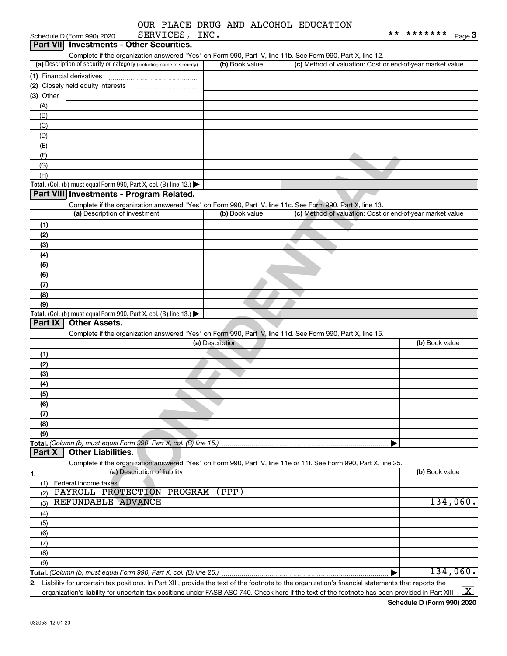|  |  | OUR PLACE DRUG AND ALCOHOL EDUCATION |
|--|--|--------------------------------------|
|  |  |                                      |

|                  | Schedule D (Form 990) 2020                                           | SERVICES, INC.               |                 |                                                                                                                                                      | **_*******     | Page 3 |
|------------------|----------------------------------------------------------------------|------------------------------|-----------------|------------------------------------------------------------------------------------------------------------------------------------------------------|----------------|--------|
| <b>Part VIII</b> | <b>Investments - Other Securities.</b>                               |                              |                 |                                                                                                                                                      |                |        |
|                  |                                                                      |                              |                 | Complete if the organization answered "Yes" on Form 990, Part IV, line 11b. See Form 990, Part X, line 12.                                           |                |        |
|                  | (a) Description of security or category (including name of security) |                              | (b) Book value  | (c) Method of valuation: Cost or end-of-year market value                                                                                            |                |        |
|                  | (1) Financial derivatives                                            |                              |                 |                                                                                                                                                      |                |        |
|                  |                                                                      |                              |                 |                                                                                                                                                      |                |        |
|                  |                                                                      |                              |                 |                                                                                                                                                      |                |        |
| (3) Other        |                                                                      |                              |                 |                                                                                                                                                      |                |        |
| (A)              |                                                                      |                              |                 |                                                                                                                                                      |                |        |
| (B)              |                                                                      |                              |                 |                                                                                                                                                      |                |        |
| (C)              |                                                                      |                              |                 |                                                                                                                                                      |                |        |
| (D)              |                                                                      |                              |                 |                                                                                                                                                      |                |        |
| (E)              |                                                                      |                              |                 |                                                                                                                                                      |                |        |
| (F)              |                                                                      |                              |                 |                                                                                                                                                      |                |        |
| (G)              |                                                                      |                              |                 |                                                                                                                                                      |                |        |
| (H)              |                                                                      |                              |                 |                                                                                                                                                      |                |        |
|                  | Total. (Col. (b) must equal Form 990, Part X, col. (B) line 12.)     |                              |                 |                                                                                                                                                      |                |        |
|                  | Part VIII Investments - Program Related.                             |                              |                 |                                                                                                                                                      |                |        |
|                  |                                                                      |                              |                 | Complete if the organization answered "Yes" on Form 990, Part IV, line 11c. See Form 990, Part X, line 13.                                           |                |        |
|                  | (a) Description of investment                                        |                              | (b) Book value  | (c) Method of valuation: Cost or end-of-year market value                                                                                            |                |        |
| (1)              |                                                                      |                              |                 |                                                                                                                                                      |                |        |
| (2)              |                                                                      |                              |                 |                                                                                                                                                      |                |        |
| (3)              |                                                                      |                              |                 |                                                                                                                                                      |                |        |
| (4)              |                                                                      |                              |                 |                                                                                                                                                      |                |        |
| (5)              |                                                                      |                              |                 |                                                                                                                                                      |                |        |
|                  |                                                                      |                              |                 |                                                                                                                                                      |                |        |
| (6)              |                                                                      |                              |                 |                                                                                                                                                      |                |        |
| (7)              |                                                                      |                              |                 |                                                                                                                                                      |                |        |
| (8)              |                                                                      |                              |                 |                                                                                                                                                      |                |        |
| (9)              |                                                                      |                              |                 |                                                                                                                                                      |                |        |
|                  | Total. (Col. (b) must equal Form 990, Part X, col. (B) line 13.)     |                              |                 |                                                                                                                                                      |                |        |
| Part IX          | <b>Other Assets.</b>                                                 |                              |                 |                                                                                                                                                      |                |        |
|                  |                                                                      |                              |                 | Complete if the organization answered "Yes" on Form 990, Part IV, line 11d. See Form 990, Part X, line 15.                                           |                |        |
|                  |                                                                      |                              | (a) Description |                                                                                                                                                      | (b) Book value |        |
| (1)              |                                                                      |                              |                 |                                                                                                                                                      |                |        |
| (2)              |                                                                      |                              |                 |                                                                                                                                                      |                |        |
| (3)              |                                                                      |                              |                 |                                                                                                                                                      |                |        |
| (4)              |                                                                      |                              |                 |                                                                                                                                                      |                |        |
| (5)              |                                                                      |                              |                 |                                                                                                                                                      |                |        |
| (6)              |                                                                      |                              |                 |                                                                                                                                                      |                |        |
| (7)              |                                                                      |                              |                 |                                                                                                                                                      |                |        |
| (8)              |                                                                      |                              |                 |                                                                                                                                                      |                |        |
| (9)              |                                                                      |                              |                 |                                                                                                                                                      |                |        |
|                  | Total. (Column (b) must equal Form 990, Part X, col. (B) line 15.)   |                              |                 |                                                                                                                                                      |                |        |
| Part X           | <b>Other Liabilities.</b>                                            |                              |                 |                                                                                                                                                      |                |        |
|                  |                                                                      |                              |                 | Complete if the organization answered "Yes" on Form 990, Part IV, line 11e or 11f. See Form 990, Part X, line 25.                                    |                |        |
| <u>1.</u>        |                                                                      | (a) Description of liability |                 |                                                                                                                                                      | (b) Book value |        |
|                  | (1) Federal income taxes                                             |                              |                 |                                                                                                                                                      |                |        |
| (2)              | PAYROLL PROTECTION PROGRAM (PPP)                                     |                              |                 |                                                                                                                                                      |                |        |
|                  | REFUNDABLE ADVANCE                                                   |                              |                 |                                                                                                                                                      | 134,060.       |        |
| (3)              |                                                                      |                              |                 |                                                                                                                                                      |                |        |
| (4)              |                                                                      |                              |                 |                                                                                                                                                      |                |        |
| (5)              |                                                                      |                              |                 |                                                                                                                                                      |                |        |
| (6)              |                                                                      |                              |                 |                                                                                                                                                      |                |        |
| (7)              |                                                                      |                              |                 |                                                                                                                                                      |                |        |
| (8)              |                                                                      |                              |                 |                                                                                                                                                      |                |        |
| (9)              |                                                                      |                              |                 |                                                                                                                                                      |                |        |
|                  |                                                                      |                              |                 |                                                                                                                                                      | 134,060.       |        |
|                  |                                                                      |                              |                 | 2. Liability for uncertain tax positions. In Part XIII, provide the text of the footnote to the organization's financial statements that reports the |                |        |

Liability for uncertain tax positions. In Part XIII, provide the text of the footnote to the organization's financial statements that reports the organization's liability for uncertain tax positions under FASB ASC 740. Check here if the text of the footnote has been provided in Part XIII ...  $\fbox{\bf X}$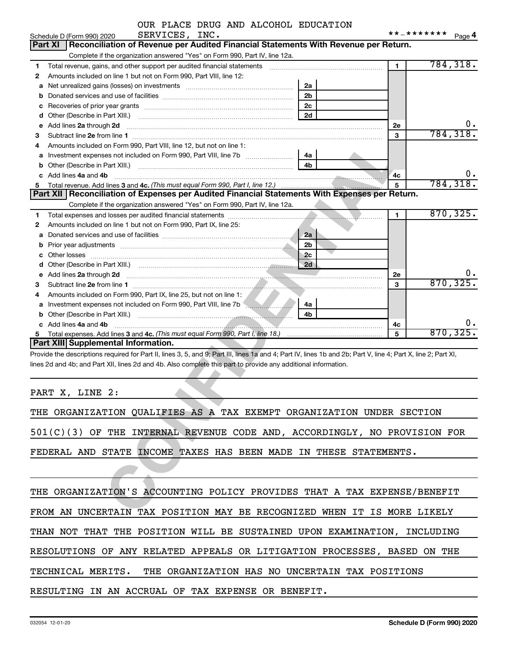|                | OUR PLACE DRUG AND ALCOHOL EDUCATION                                                                                                                           |                |                |         |           |
|----------------|----------------------------------------------------------------------------------------------------------------------------------------------------------------|----------------|----------------|---------|-----------|
|                | SERVICES, INC.<br>Schedule D (Form 990) 2020                                                                                                                   |                | **_*******     |         | Page 4    |
| <b>Part XI</b> | Reconciliation of Revenue per Audited Financial Statements With Revenue per Return.                                                                            |                |                |         |           |
|                | Complete if the organization answered "Yes" on Form 990, Part IV, line 12a.                                                                                    |                |                |         |           |
| 1.             | Total revenue, gains, and other support per audited financial statements                                                                                       |                | $\blacksquare$ |         | 784,318.  |
| 2              | Amounts included on line 1 but not on Form 990, Part VIII, line 12:                                                                                            |                |                |         |           |
| а              |                                                                                                                                                                | 2a             |                |         |           |
| b              |                                                                                                                                                                | 2 <sub>b</sub> |                |         |           |
|                |                                                                                                                                                                | 2 <sub>c</sub> |                |         |           |
| d              |                                                                                                                                                                | 2d             |                |         |           |
| е              | Add lines 2a through 2d                                                                                                                                        |                | 2e             |         |           |
| з              |                                                                                                                                                                |                | 3              | 784,318 |           |
|                | Amounts included on Form 990, Part VIII, line 12, but not on line 1:                                                                                           |                |                |         |           |
|                |                                                                                                                                                                | 4a             |                |         |           |
| b              |                                                                                                                                                                | 4b             |                |         |           |
|                | c Add lines 4a and 4b                                                                                                                                          |                | 4c             |         |           |
|                | Total revenue. Add lines 3 and 4c. (This must equal Form 990, Part I, line 12.)                                                                                |                | 5              |         | 784,318   |
|                | Part XII Reconciliation of Expenses per Audited Financial Statements With Expenses per Return.                                                                 |                |                |         |           |
|                | Complete if the organization answered "Yes" on Form 990, Part IV, line 12a.                                                                                    |                |                |         |           |
| 1.             |                                                                                                                                                                |                | 1.             |         | 870, 325. |
| 2              | Amounts included on line 1 but not on Form 990, Part IX, line 25:                                                                                              |                |                |         |           |
| а              |                                                                                                                                                                | 2a             |                |         |           |
| b              |                                                                                                                                                                | 2 <sub>b</sub> |                |         |           |
|                |                                                                                                                                                                | 2 <sub>c</sub> |                |         |           |
|                |                                                                                                                                                                | 2d             |                |         |           |
| е              | Add lines 2a through 2d                                                                                                                                        |                | 2e             |         |           |
| з              |                                                                                                                                                                |                | 3              | 870,325 |           |
|                | Amounts included on Form 990, Part IX, line 25, but not on line 1:                                                                                             |                |                |         |           |
| а              | Investment expenses not included on Form 990, Part VIII, line 7b [1000100010001001001001001001001010                                                           | 4a             |                |         |           |
|                |                                                                                                                                                                | 4b             |                |         |           |
|                | c Add lines 4a and 4b                                                                                                                                          |                | 4с             |         |           |
|                |                                                                                                                                                                |                | 5              |         | 870, 325. |
|                | Part XIII Supplemental Information.                                                                                                                            |                |                |         |           |
|                | Provide the descriptions required for Part II, lines 3, 5, and 9; Part III, lines 1a and 4; Part IV, lines 1b and 2b; Part V, line 4; Part X, line 2; Part XI, |                |                |         |           |
|                | lines 2d and 4b; and Part XII, lines 2d and 4b. Also complete this part to provide any additional information.                                                 |                |                |         |           |
|                |                                                                                                                                                                |                |                |         |           |
|                |                                                                                                                                                                |                |                |         |           |
|                | PART X, LINE 2:                                                                                                                                                |                |                |         |           |
|                |                                                                                                                                                                |                |                |         |           |
|                | THE ORGANIZATION QUALIFIES AS A TAX EXEMPT ORGANIZATION UNDER SECTION                                                                                          |                |                |         |           |
|                | $501(C)(3)$ OF THE INTERNAL REVENUE CODE AND, ACCORDINGLY, NO PROVISION FOR                                                                                    |                |                |         |           |
|                | FEDERAL AND STATE INCOME TAXES HAS BEEN MADE IN THESE STATEMENTS.                                                                                              |                |                |         |           |
|                |                                                                                                                                                                |                |                |         |           |
|                | THE ORGANIZATION'S ACCOUNTING POLICY PROVIDES THAT A TAX EXPENSE/BENEFIT                                                                                       |                |                |         |           |
|                |                                                                                                                                                                |                |                |         |           |
|                | FROM AN UNCERTAIN TAX POSITION MAY BE RECOGNIZED WHEN IT IS MORE LIKELY                                                                                        |                |                |         |           |

#### PART X, LINE 2:

THE ORGANIZATION'S ACCOUNTING POLICY PROVIDES THAT A TAX EXPENSE/BENEFIT FROM AN UNCERTAIN TAX POSITION MAY BE RECOGNIZED WHEN IT IS MORE LIKELY THAN NOT THAT THE POSITION WILL BE SUSTAINED UPON EXAMINATION, INCLUDING RESOLUTIONS OF ANY RELATED APPEALS OR LITIGATION PROCESSES, BASED ON THE TECHNICAL MERITS. THE ORGANIZATION HAS NO UNCERTAIN TAX POSITIONS RESULTING IN AN ACCRUAL OF TAX EXPENSE OR BENEFIT.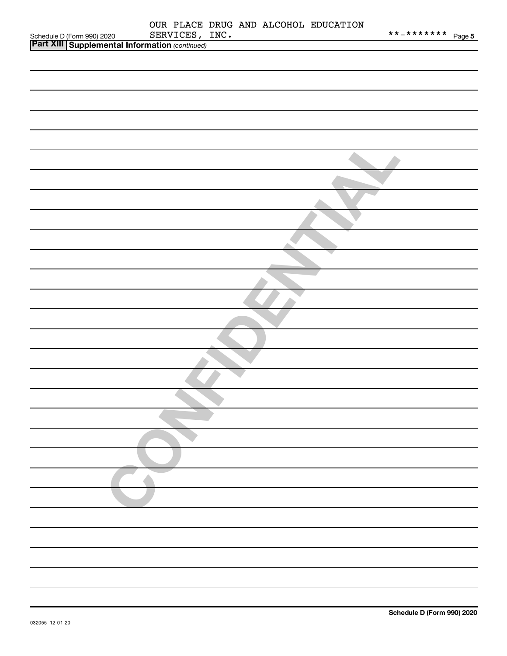|                                                                                               | SERVICES, INC. |  | OUR PLACE DRUG AND ALCOHOL EDUCATION | **_*******    Page 5 |
|-----------------------------------------------------------------------------------------------|----------------|--|--------------------------------------|----------------------|
| Schedule D (Form 990) 2020 SERVICES,<br><b>Part XIII Supplemental Information</b> (continued) |                |  |                                      |                      |
|                                                                                               |                |  |                                      |                      |
|                                                                                               |                |  |                                      |                      |
|                                                                                               |                |  |                                      |                      |
|                                                                                               |                |  |                                      |                      |
|                                                                                               |                |  |                                      |                      |
|                                                                                               |                |  |                                      |                      |
|                                                                                               |                |  |                                      |                      |
|                                                                                               |                |  |                                      |                      |
|                                                                                               |                |  |                                      |                      |
|                                                                                               |                |  |                                      |                      |
|                                                                                               |                |  |                                      |                      |
|                                                                                               |                |  |                                      |                      |
|                                                                                               |                |  |                                      |                      |
|                                                                                               |                |  |                                      |                      |
|                                                                                               |                |  |                                      |                      |
|                                                                                               |                |  |                                      |                      |
|                                                                                               |                |  |                                      |                      |
|                                                                                               |                |  |                                      |                      |
|                                                                                               |                |  |                                      |                      |
|                                                                                               |                |  |                                      |                      |
|                                                                                               |                |  |                                      |                      |
|                                                                                               |                |  |                                      |                      |
|                                                                                               |                |  |                                      |                      |
|                                                                                               |                |  |                                      |                      |
|                                                                                               |                |  |                                      |                      |
|                                                                                               |                |  |                                      |                      |
|                                                                                               |                |  |                                      |                      |
|                                                                                               |                |  |                                      |                      |
|                                                                                               |                |  |                                      |                      |
|                                                                                               |                |  |                                      |                      |
|                                                                                               |                |  |                                      |                      |
|                                                                                               |                |  |                                      |                      |
|                                                                                               |                |  |                                      |                      |
|                                                                                               |                |  |                                      |                      |
|                                                                                               |                |  |                                      |                      |
|                                                                                               |                |  |                                      |                      |
|                                                                                               |                |  |                                      |                      |
|                                                                                               |                |  |                                      |                      |
|                                                                                               |                |  |                                      |                      |
|                                                                                               |                |  |                                      |                      |
|                                                                                               |                |  |                                      |                      |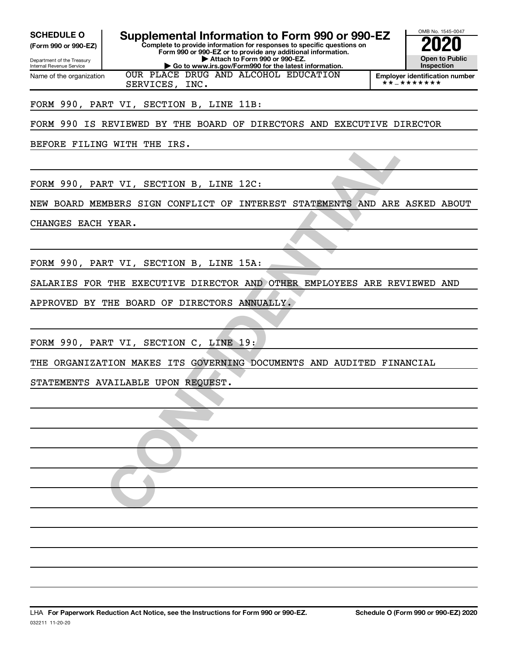**(Form 990 or 990-EZ)**

**Complete to provide information for responses to specific questions on Form 990 or 990-EZ or to provide any additional information. | Attach to Form 990 or 990-EZ. SCHEDULE O Supplemental Information to Form 990 or 990-EZ 2020**<br>(Form 990 or 990-EZ) Complete to provide information for responses to specific questions on

Department of the Treasury Internal Revenue Service Name of the organization

**| Go to www.irs.gov/Form990 for the latest information.** OUR PLACE DRUG AND ALCOHOL EDUCATION

**Open to Public Inspection**

OMB No. 1545-0047

**Employer identification number**<br>\*\*\_\*\*\*\*\*\*\*

#### FORM 990, PART VI, SECTION B, LINE 11B:

SERVICES, INC.

FORM 990 IS REVIEWED BY THE BOARD OF DIRECTORS AND EXECUTIVE DIRECTOR

BEFORE FILING WITH THE IRS.

FORM 990, PART VI, SECTION B, LINE 12C:

NEW BOARD MEMBERS SIGN CONFLICT OF INTEREST STATEMENTS AND ARE ASKED ABOUT

CHANGES EACH YEAR.

FORM 990, PART VI, SECTION B, LINE 15A:

SALARIES FOR THE EXECUTIVE DIRECTOR AND OTHER EMPLOYEES ARE REVIEWED AND

APPROVED BY THE BOARD OF DIRECTORS ANNUALLY.

FORM 990, PART VI, SECTION C, LINE 19:

**EXAMPLE THE READ ONE ASSESS AND AREA SERVED ONE ASSESS STON CONFILICT OF INTEREST STATEMENTS AND ARE ASKLY YEAR.**<br>
YEAR.<br>
THE EXECUTIVE DIRECTOR AND OTHER EMPLOYEES ARE REVIEW THE BOARD OF DIRECTORS ANNUALLY.<br>
THE BOARD O THE ORGANIZATION MAKES ITS GOVERNING DOCUMENTS AND AUDITED FINANCIAL

STATEMENTS AVAILABLE UPON REQUEST.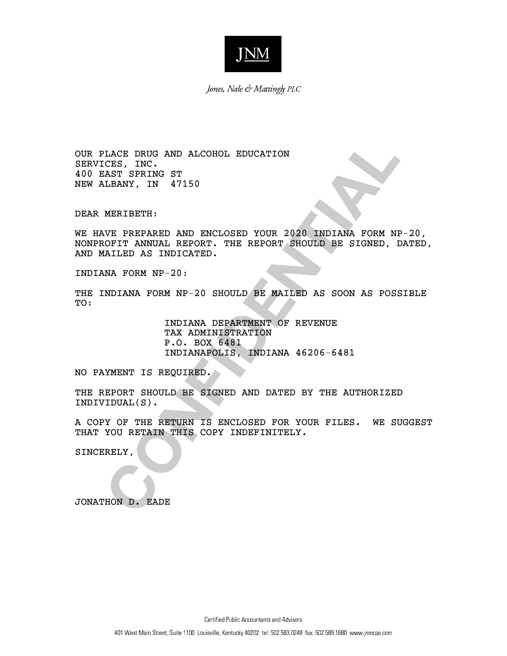

Jones, Nale & Mattingly PLC

OUR PLACE DRUG AND ALCOHOL EDUCATION SERVICES, INC. 400 EAST SPRING ST NEW ALBANY, IN 47150

DEAR MERIBETH:

LACE DRUG AND ALCOHOL EDUCATION<br>
CES, INC.<br>
LEANY, IN 47150<br>
MERIBETH:<br>
LEANY, IN 47150<br>
MERIBETH:<br>
CONFIT ANNUAL REPORT, THE REPORT SHOULD BE SIGNED, DATED<br>
AND FORM NP-20:<br>
NA FORM NP-20:<br>
NDIANA DEPARTMENT OF REVENUE<br>
T WE HAVE PREPARED AND ENCLOSED YOUR 2020 INDIANA FORM NP-20, NONPROFIT ANNUAL REPORT. THE REPORT SHOULD BE SIGNED, DATED, AND MAILED AS INDICATED.

INDIANA FORM NP-20:

THE INDIANA FORM NP-20 SHOULD BE MAILED AS SOON AS POSSIBLE TO:

> INDIANA DEPARTMENT OF REVENUE TAX ADMINISTRATION P.O. BOX 6481 INDIANAPOLIS, INDIANA 46206-6481

NO PAYMENT IS REQUIRED.

THE REPORT SHOULD BE SIGNED AND DATED BY THE AUTHORIZED INDIVIDUAL(S).

A COPY OF THE RETURN IS ENCLOSED FOR YOUR FILES. WE SUGGEST THAT YOU RETAIN THIS COPY INDEFINITELY.

SINCERELY,

JONATHON D. EADE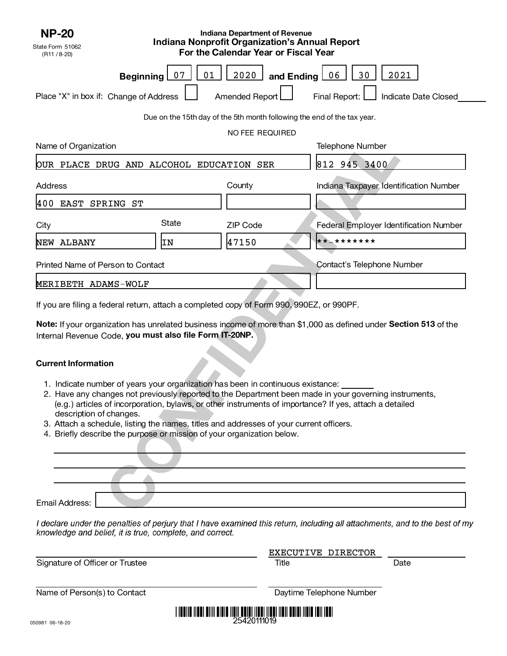| <b>NP-20</b><br>State Form 51062<br>(R11 / 8.20)                                                                                                                                                                                                                                |          | <b>Indiana Department of Revenue</b><br><b>Indiana Nonprofit Organization's Annual Report</b><br>For the Calendar Year or Fiscal Year |                                                                                                                                                                                                                   |
|---------------------------------------------------------------------------------------------------------------------------------------------------------------------------------------------------------------------------------------------------------------------------------|----------|---------------------------------------------------------------------------------------------------------------------------------------|-------------------------------------------------------------------------------------------------------------------------------------------------------------------------------------------------------------------|
| <b>Beginning</b>                                                                                                                                                                                                                                                                | 01<br>07 | 2020<br>and Ending $\sqrt{06}$                                                                                                        | 30<br>2021                                                                                                                                                                                                        |
| Place "X" in box if: Change of Address                                                                                                                                                                                                                                          |          | Amended Report                                                                                                                        | Final Report:  <br>Indicate Date Closed                                                                                                                                                                           |
|                                                                                                                                                                                                                                                                                 |          | Due on the 15th day of the 5th month following the end of the tax year.                                                               |                                                                                                                                                                                                                   |
|                                                                                                                                                                                                                                                                                 |          | NO FEE REQUIRED                                                                                                                       |                                                                                                                                                                                                                   |
| Name of Organization                                                                                                                                                                                                                                                            |          |                                                                                                                                       | Telephone Number                                                                                                                                                                                                  |
| OUR PLACE DRUG AND ALCOHOL EDUCATION SER                                                                                                                                                                                                                                        |          |                                                                                                                                       | 812 945 3400                                                                                                                                                                                                      |
| <b>Address</b>                                                                                                                                                                                                                                                                  |          | County                                                                                                                                | Indiana Taxpayer Identification Number                                                                                                                                                                            |
| 400 EAST SPRING ST                                                                                                                                                                                                                                                              |          |                                                                                                                                       |                                                                                                                                                                                                                   |
| City                                                                                                                                                                                                                                                                            | State    | <b>ZIP Code</b>                                                                                                                       | Federal Employer Identification Number                                                                                                                                                                            |
| NEW ALBANY                                                                                                                                                                                                                                                                      | ΙN       | 47150                                                                                                                                 | * * _ * * * * * * *                                                                                                                                                                                               |
| Printed Name of Person to Contact                                                                                                                                                                                                                                               |          |                                                                                                                                       | Contact's Telephone Number                                                                                                                                                                                        |
| MERIBETH ADAMS-WOLF                                                                                                                                                                                                                                                             |          |                                                                                                                                       |                                                                                                                                                                                                                   |
| If you are filing a federal return, attach a completed copy of Form 990, 990EZ, or 990PF.                                                                                                                                                                                       |          |                                                                                                                                       |                                                                                                                                                                                                                   |
| Internal Revenue Code, you must also file Form IT-20NP.                                                                                                                                                                                                                         |          |                                                                                                                                       | Note: If your organization has unrelated business income of more than \$1,000 as defined under Section 513 of the                                                                                                 |
| <b>Current Information</b>                                                                                                                                                                                                                                                      |          |                                                                                                                                       |                                                                                                                                                                                                                   |
| 1. Indicate number of years your organization has been in continuous existance:<br>description of changes.<br>3. Attach a schedule, listing the names, titles and addresses of your current officers.<br>4. Briefly describe the purpose or mission of your organization below. |          |                                                                                                                                       | 2. Have any changes not previously reported to the Department been made in your governing instruments,<br>(e.g.) articles of incorporation, bylaws, or other instruments of importance? If yes, attach a detailed |
| Email Address:                                                                                                                                                                                                                                                                  |          |                                                                                                                                       |                                                                                                                                                                                                                   |

### **Current Information**

- 1. Indicate number of years your organization has been in continuous existance:
- 2. Have any changes not previously reported to the Department been made in your governing instruments, (e.g.) articles of incorporation, bylaws, or other instruments of importance? If yes, attach a detailed description of changes.
- 3. Attach a schedule, listing the names, titles and addresses of your current officers.
- 4. Briefly describe the purpose or mission of your organization below.

| Email Address: [ |  |
|------------------|--|

I declare under the penalties of perjury that I have examined this return, including all attachments, and to the best of my knowledge and belief, it is true, complete, and correct.

|                                 | EXECUTIVE DIRECTOR                                                                            |      |
|---------------------------------|-----------------------------------------------------------------------------------------------|------|
| Signature of Officer or Trustee | Title                                                                                         | Date |
| Name of Person(s) to Contact    | Daytime Telephone Number                                                                      |      |
| 50091 06-19-20                  | I IODIID IIODI DIIII BIDID IIDII DOIDI IIODI IIODI IIOII DOIDI IIDID IDII IODI<br>25420111019 |      |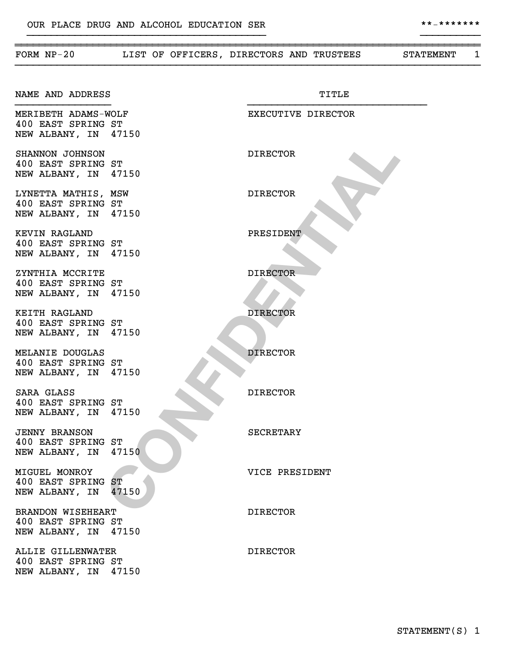| FORM $NP-20$                                                           | LIST OF OFFICERS, DIRECTORS AND TRUSTEES |                    |  | $\mathbf{1}$<br><b>STATEMENT</b> |
|------------------------------------------------------------------------|------------------------------------------|--------------------|--|----------------------------------|
| NAME AND ADDRESS                                                       |                                          | TITLE              |  |                                  |
| MERIBETH ADAMS-WOLF<br>400 EAST SPRING ST<br>NEW ALBANY, IN 47150      |                                          | EXECUTIVE DIRECTOR |  |                                  |
| SHANNON JOHNSON<br>400 EAST SPRING ST<br>NEW ALBANY, IN 47150          |                                          | <b>DIRECTOR</b>    |  |                                  |
| LYNETTA MATHIS, MSW<br>400 EAST SPRING ST<br>NEW ALBANY, IN 47150      |                                          | <b>DIRECTOR</b>    |  |                                  |
| KEVIN RAGLAND<br>400 EAST SPRING ST<br>NEW ALBANY, IN 47150            |                                          | PRESIDENT          |  |                                  |
| ZYNTHIA MCCRITE<br>400 EAST SPRING ST<br>NEW ALBANY, IN 47150          |                                          | <b>DIRECTOR</b>    |  |                                  |
| KEITH RAGLAND<br>400 EAST SPRING ST<br>NEW ALBANY, IN 47150            |                                          | <b>DIRECTOR</b>    |  |                                  |
| MELANIE DOUGLAS<br>400 EAST SPRING ST<br>NEW ALBANY, IN 47150          |                                          | <b>DIRECTOR</b>    |  |                                  |
| SARA GLASS<br>400 EAST SPRING ST<br>NEW ALBANY, IN 47150               |                                          | <b>DIRECTOR</b>    |  |                                  |
| <b>JENNY BRANSON</b><br>400 EAST SPRING ST<br>NEW ALBANY, IN 47150     |                                          | <b>SECRETARY</b>   |  |                                  |
| MIGUEL MONROY<br>400 EAST SPRING ST<br>NEW ALBANY, IN                  | 47150                                    | VICE PRESIDENT     |  |                                  |
| <b>BRANDON WISEHEART</b><br>400 EAST SPRING ST<br>NEW ALBANY, IN 47150 |                                          | <b>DIRECTOR</b>    |  |                                  |
| ALLIE GILLENWATER<br>400 EAST SPRING ST<br>NEW ALBANY, IN 47150        |                                          | <b>DIRECTOR</b>    |  |                                  |

~~~~~~~~~~~~~~~~~~~~~~~~~~~~~~~~~~~~~~~~~~~~~~~~~~~~~~~~~~~~~~~~~~~~~~~~~~~~~~

}}}}}}}}}}}}}}}}}}}}}}}}}}}}}}}}}}}}}}}} }}}}}}}}}}